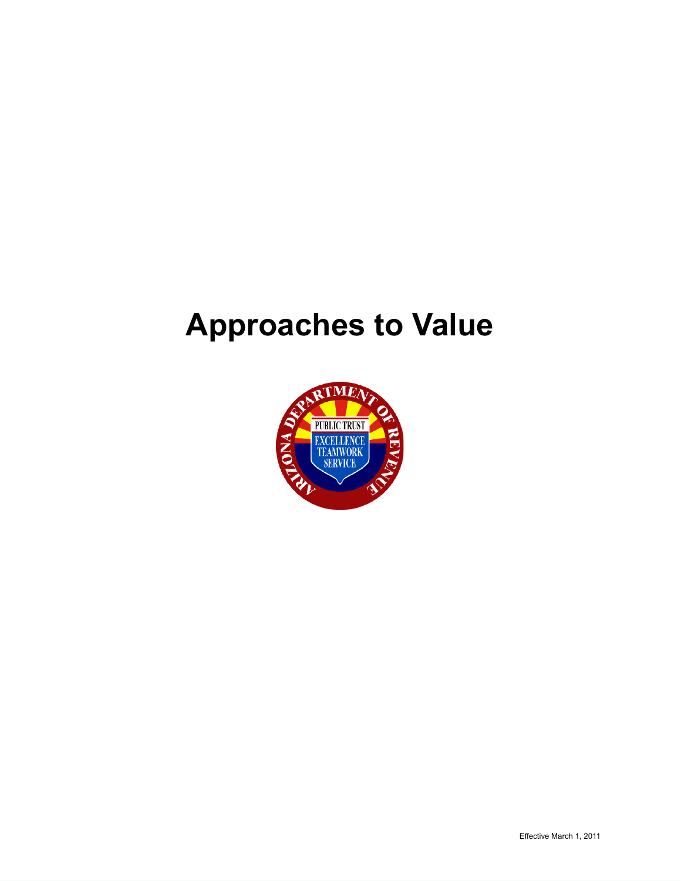# **Approaches to Value**

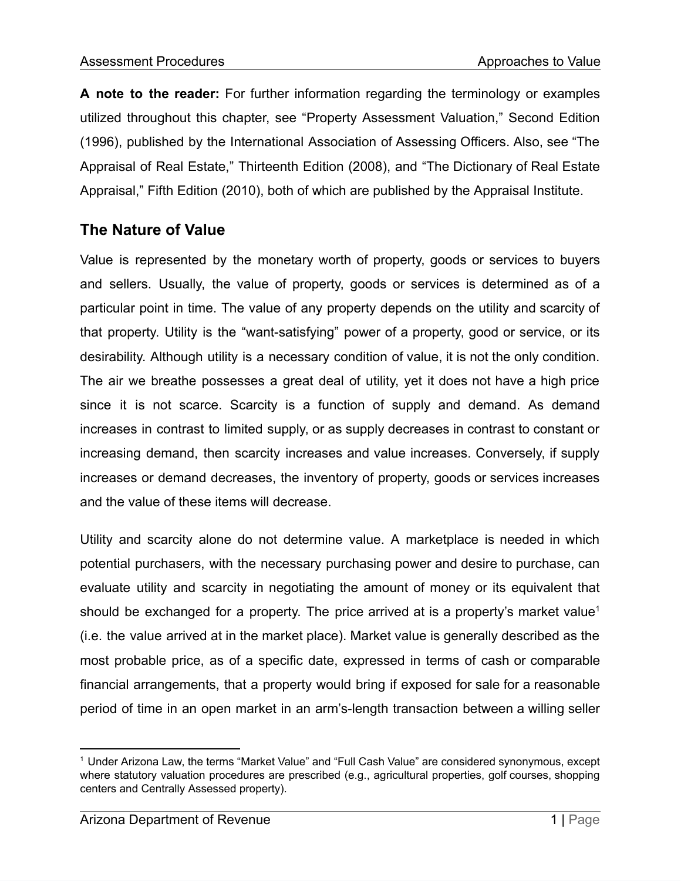**A note to the reader:** For further information regarding the terminology or examples utilized throughout this chapter, see "Property Assessment Valuation," Second Edition (1996), published by the International Association of Assessing Officers. Also, see "The Appraisal of Real Estate," Thirteenth Edition (2008), and "The Dictionary of Real Estate Appraisal," Fifth Edition (2010), both of which are published by the Appraisal Institute.

# **The Nature of Value**

Value is represented by the monetary worth of property, goods or services to buyers and sellers. Usually, the value of property, goods or services is determined as of a particular point in time. The value of any property depends on the utility and scarcity of that property. Utility is the "want-satisfying" power of a property, good or service, or its desirability. Although utility is a necessary condition of value, it is not the only condition. The air we breathe possesses a great deal of utility, yet it does not have a high price since it is not scarce. Scarcity is a function of supply and demand. As demand increases in contrast to limited supply, or as supply decreases in contrast to constant or increasing demand, then scarcity increases and value increases. Conversely, if supply increases or demand decreases, the inventory of property, goods or services increases and the value of these items will decrease.

Utility and scarcity alone do not determine value. A marketplace is needed in which potential purchasers, with the necessary purchasing power and desire to purchase, can evaluate utility and scarcity in negotiating the amount of money or its equivalent that should be exchanged for a property. The price arrived at is a property's market value<sup>1</sup> (i.e. the value arrived at in the market place). Market value is generally described as the most probable price, as of a specific date, expressed in terms of cash or comparable financial arrangements, that a property would bring if exposed for sale for a reasonable period of time in an open market in an arm's-length transaction between a willing seller

<sup>1</sup> Under Arizona Law, the terms "Market Value" and "Full Cash Value" are considered synonymous, except where statutory valuation procedures are prescribed (e.g., agricultural properties, golf courses, shopping centers and Centrally Assessed property).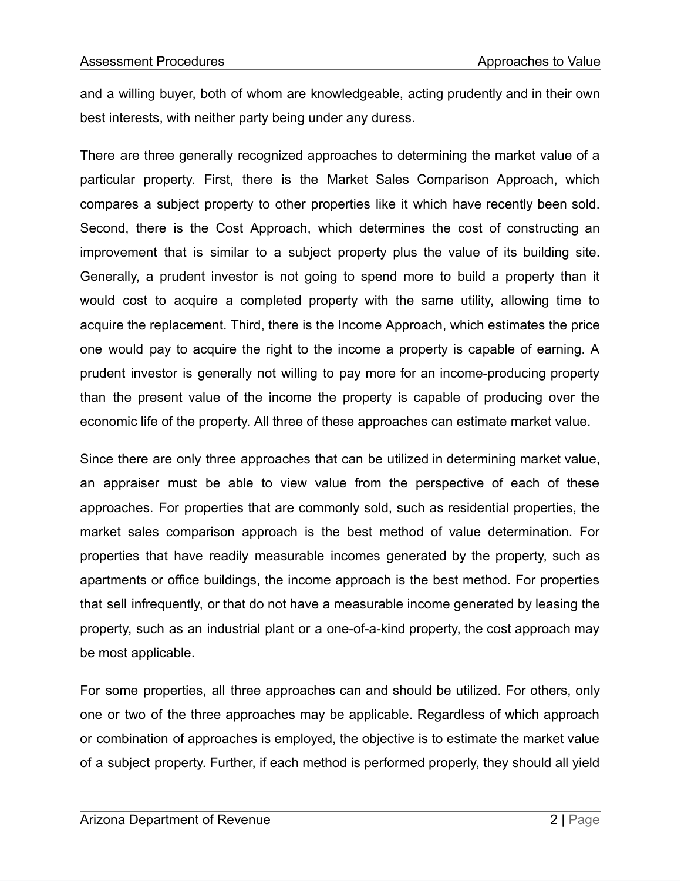and a willing buyer, both of whom are knowledgeable, acting prudently and in their own best interests, with neither party being under any duress.

There are three generally recognized approaches to determining the market value of a particular property. First, there is the Market Sales Comparison Approach, which compares a subject property to other properties like it which have recently been sold. Second, there is the Cost Approach, which determines the cost of constructing an improvement that is similar to a subject property plus the value of its building site. Generally, a prudent investor is not going to spend more to build a property than it would cost to acquire a completed property with the same utility, allowing time to acquire the replacement. Third, there is the Income Approach, which estimates the price one would pay to acquire the right to the income a property is capable of earning. A prudent investor is generally not willing to pay more for an income-producing property than the present value of the income the property is capable of producing over the economic life of the property. All three of these approaches can estimate market value.

Since there are only three approaches that can be utilized in determining market value, an appraiser must be able to view value from the perspective of each of these approaches. For properties that are commonly sold, such as residential properties, the market sales comparison approach is the best method of value determination. For properties that have readily measurable incomes generated by the property, such as apartments or office buildings, the income approach is the best method. For properties that sell infrequently, or that do not have a measurable income generated by leasing the property, such as an industrial plant or a one-of-a-kind property, the cost approach may be most applicable.

For some properties, all three approaches can and should be utilized. For others, only one or two of the three approaches may be applicable. Regardless of which approach or combination of approaches is employed, the objective is to estimate the market value of a subject property. Further, if each method is performed properly, they should all yield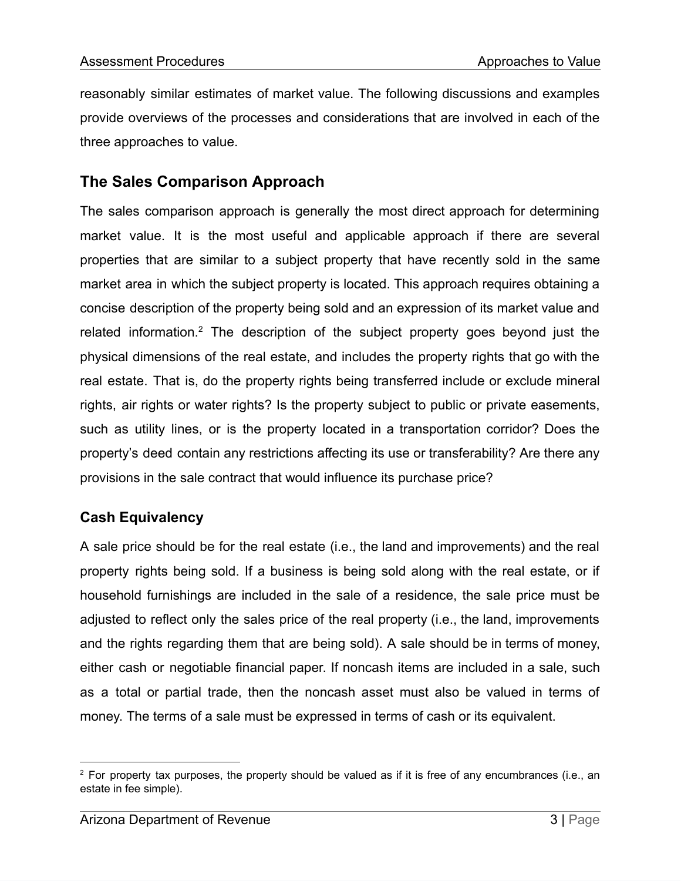reasonably similar estimates of market value. The following discussions and examples provide overviews of the processes and considerations that are involved in each of the three approaches to value.

## **The Sales Comparison Approach**

The sales comparison approach is generally the most direct approach for determining market value. It is the most useful and applicable approach if there are several properties that are similar to a subject property that have recently sold in the same market area in which the subject property is located. This approach requires obtaining a concise description of the property being sold and an expression of its market value and related information.<sup>2</sup> The description of the subject property goes beyond just the physical dimensions of the real estate, and includes the property rights that go with the real estate. That is, do the property rights being transferred include or exclude mineral rights, air rights or water rights? Is the property subject to public or private easements, such as utility lines, or is the property located in a transportation corridor? Does the property's deed contain any restrictions affecting its use or transferability? Are there any provisions in the sale contract that would influence its purchase price?

## **Cash Equivalency**

A sale price should be for the real estate (i.e., the land and improvements) and the real property rights being sold. If a business is being sold along with the real estate, or if household furnishings are included in the sale of a residence, the sale price must be adjusted to reflect only the sales price of the real property (i.e., the land, improvements and the rights regarding them that are being sold). A sale should be in terms of money, either cash or negotiable financial paper. If noncash items are included in a sale, such as a total or partial trade, then the noncash asset must also be valued in terms of money. The terms of a sale must be expressed in terms of cash or its equivalent.

 $2$  For property tax purposes, the property should be valued as if it is free of any encumbrances (i.e., an estate in fee simple).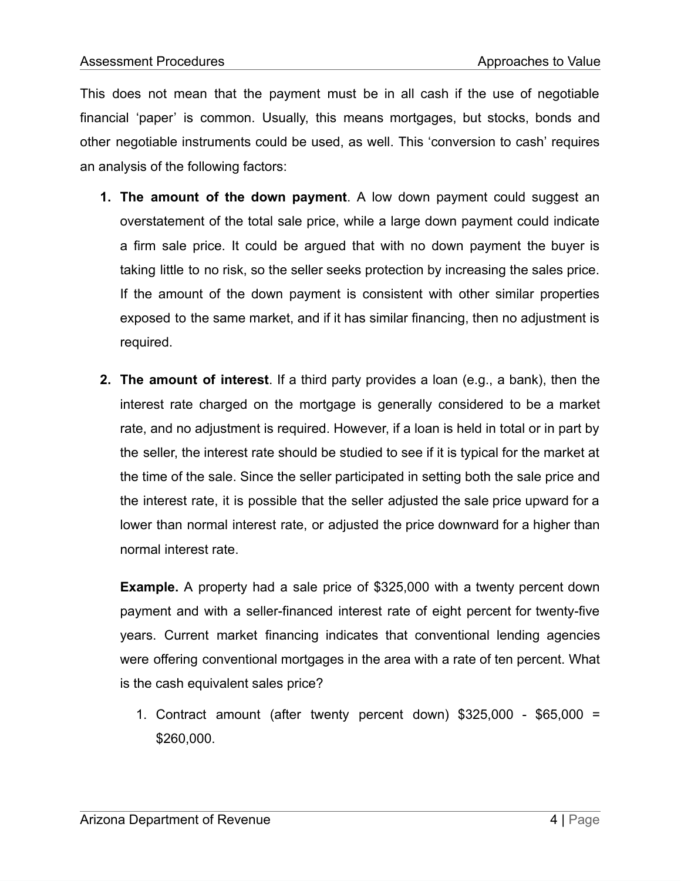This does not mean that the payment must be in all cash if the use of negotiable financial 'paper' is common. Usually, this means mortgages, but stocks, bonds and other negotiable instruments could be used, as well. This 'conversion to cash' requires an analysis of the following factors:

- **1. The amount of the down payment**. A low down payment could suggest an overstatement of the total sale price, while a large down payment could indicate a firm sale price. It could be argued that with no down payment the buyer is taking little to no risk, so the seller seeks protection by increasing the sales price. If the amount of the down payment is consistent with other similar properties exposed to the same market, and if it has similar financing, then no adjustment is required.
- **2. The amount of interest**. If a third party provides a loan (e.g., a bank), then the interest rate charged on the mortgage is generally considered to be a market rate, and no adjustment is required. However, if a loan is held in total or in part by the seller, the interest rate should be studied to see if it is typical for the market at the time of the sale. Since the seller participated in setting both the sale price and the interest rate, it is possible that the seller adjusted the sale price upward for a lower than normal interest rate, or adjusted the price downward for a higher than normal interest rate.

**Example.** A property had a sale price of \$325,000 with a twenty percent down payment and with a seller-financed interest rate of eight percent for twenty-five years. Current market financing indicates that conventional lending agencies were offering conventional mortgages in the area with a rate of ten percent. What is the cash equivalent sales price?

1. Contract amount (after twenty percent down) \$325,000 - \$65,000 = \$260,000.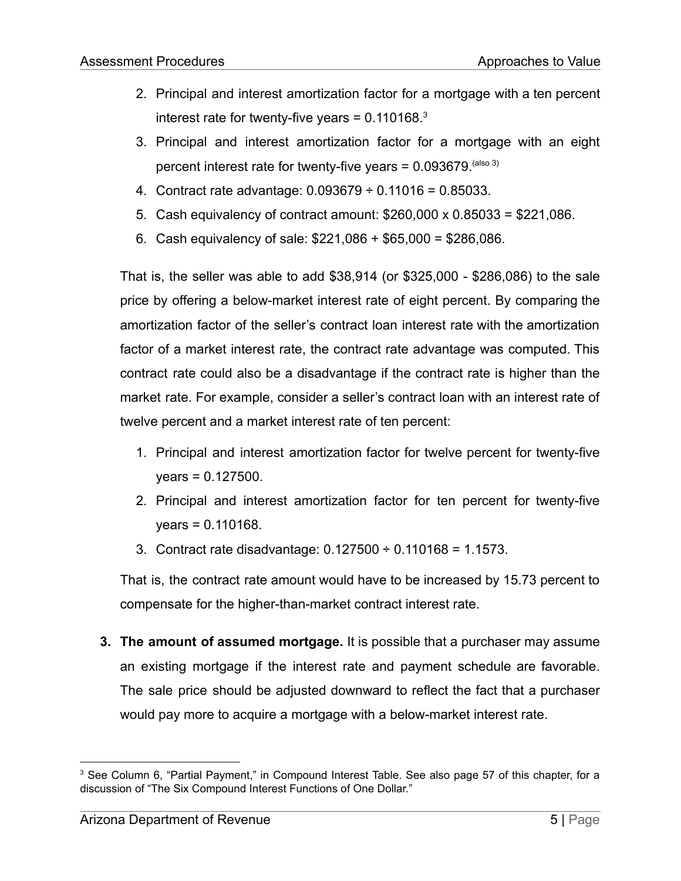- 2. Principal and interest amortization factor for a mortgage with a ten percent interest rate for twenty-five years =  $0.110168$ .<sup>3</sup>
- 3. Principal and interest amortization factor for a mortgage with an eight percent interest rate for twenty-five years =  $0.093679$ .  $(also 3)$
- 4. Contract rate advantage:  $0.093679 \div 0.11016 = 0.85033$ .
- 5. Cash equivalency of contract amount: \$260,000 x 0.85033 = \$221,086.
- 6. Cash equivalency of sale: \$221,086 + \$65,000 = \$286,086.

That is, the seller was able to add \$38,914 (or \$325,000 - \$286,086) to the sale price by offering a below-market interest rate of eight percent. By comparing the amortization factor of the seller's contract loan interest rate with the amortization factor of a market interest rate, the contract rate advantage was computed. This contract rate could also be a disadvantage if the contract rate is higher than the market rate. For example, consider a seller's contract loan with an interest rate of twelve percent and a market interest rate of ten percent:

- 1. Principal and interest amortization factor for twelve percent for twenty-five years = 0.127500.
- 2. Principal and interest amortization factor for ten percent for twenty-five years = 0.110168.
- 3. Contract rate disadvantage: 0.127500 ÷ 0.110168 = 1.1573.

That is, the contract rate amount would have to be increased by 15.73 percent to compensate for the higher-than-market contract interest rate.

**3. The amount of assumed mortgage.** It is possible that a purchaser may assume an existing mortgage if the interest rate and payment schedule are favorable. The sale price should be adjusted downward to reflect the fact that a purchaser would pay more to acquire a mortgage with a below-market interest rate.

<sup>3</sup> See Column 6, "Partial Payment," in Compound Interest Table. See also page 57 of this chapter, for a discussion of "The Six Compound Interest Functions of One Dollar."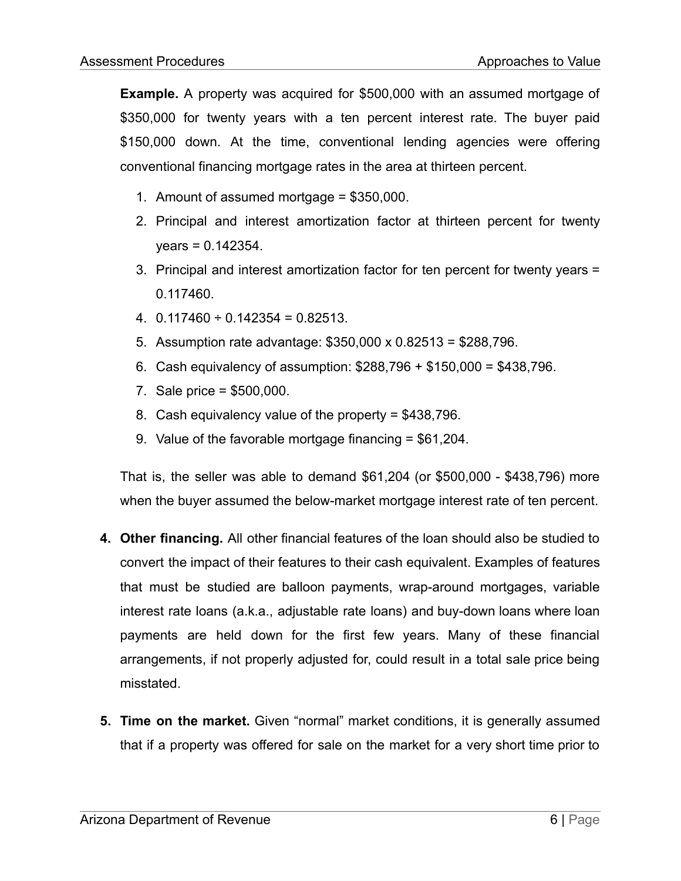**Example.** A property was acquired for \$500,000 with an assumed mortgage of \$350,000 for twenty years with a ten percent interest rate. The buyer paid \$150,000 down. At the time, conventional lending agencies were offering conventional financing mortgage rates in the area at thirteen percent.

- 1. Amount of assumed mortgage = \$350,000.
- 2. Principal and interest amortization factor at thirteen percent for twenty  $years = 0.142354.$
- 3. Principal and interest amortization factor for ten percent for twenty years = 0.117460.
- 4.  $0.117460 \div 0.142354 = 0.82513$ .
- 5. Assumption rate advantage: \$350,000 x 0.82513 = \$288,796.
- 6. Cash equivalency of assumption: \$288,796 + \$150,000 = \$438,796.
- 7. Sale price = \$500,000.
- 8. Cash equivalency value of the property = \$438,796.
- 9. Value of the favorable mortgage financing = \$61,204.

That is, the seller was able to demand \$61,204 (or \$500,000 - \$438,796) more when the buyer assumed the below-market mortgage interest rate of ten percent.

- **4. Other financing.** All other financial features of the loan should also be studied to convert the impact of their features to their cash equivalent. Examples of features that must be studied are balloon payments, wrap-around mortgages, variable interest rate loans (a.k.a., adjustable rate loans) and buy-down loans where loan payments are held down for the first few years. Many of these financial arrangements, if not properly adjusted for, could result in a total sale price being misstated.
- **5. Time on the market.** Given "normal" market conditions, it is generally assumed that if a property was offered for sale on the market for a very short time prior to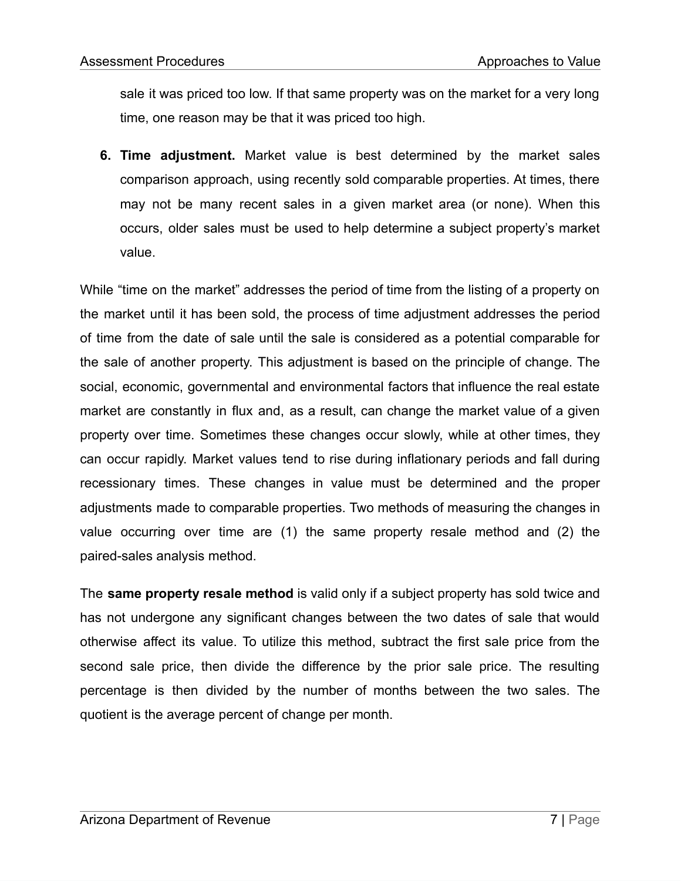sale it was priced too low. If that same property was on the market for a very long time, one reason may be that it was priced too high.

**6. Time adjustment.** Market value is best determined by the market sales comparison approach, using recently sold comparable properties. At times, there may not be many recent sales in a given market area (or none). When this occurs, older sales must be used to help determine a subject property's market value.

While "time on the market" addresses the period of time from the listing of a property on the market until it has been sold, the process of time adjustment addresses the period of time from the date of sale until the sale is considered as a potential comparable for the sale of another property. This adjustment is based on the principle of change. The social, economic, governmental and environmental factors that influence the real estate market are constantly in flux and, as a result, can change the market value of a given property over time. Sometimes these changes occur slowly, while at other times, they can occur rapidly. Market values tend to rise during inflationary periods and fall during recessionary times. These changes in value must be determined and the proper adjustments made to comparable properties. Two methods of measuring the changes in value occurring over time are (1) the same property resale method and (2) the paired-sales analysis method.

The **same property resale method** is valid only if a subject property has sold twice and has not undergone any significant changes between the two dates of sale that would otherwise affect its value. To utilize this method, subtract the first sale price from the second sale price, then divide the difference by the prior sale price. The resulting percentage is then divided by the number of months between the two sales. The quotient is the average percent of change per month.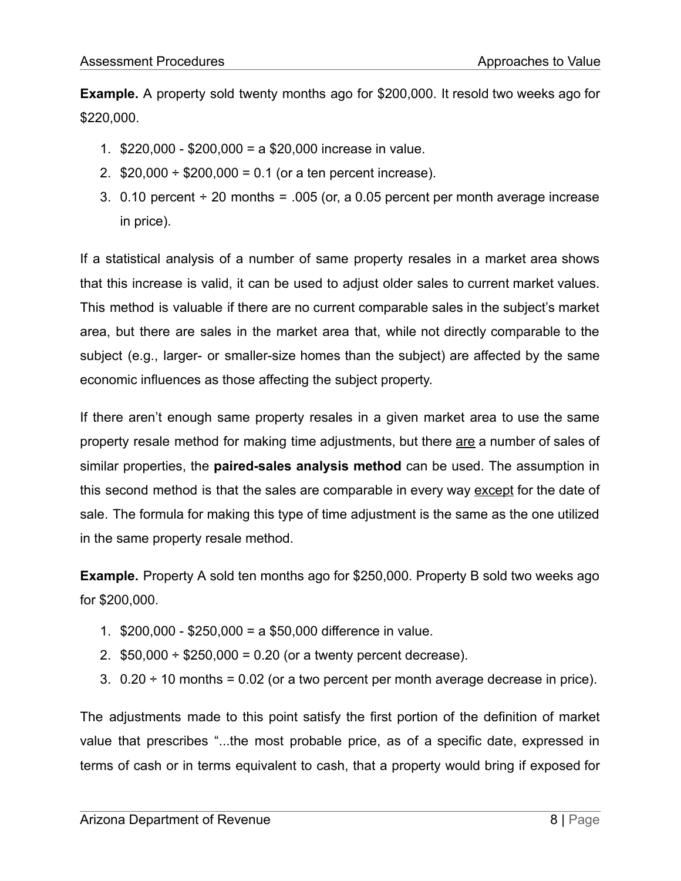**Example.** A property sold twenty months ago for \$200,000. It resold two weeks ago for \$220,000.

- 1. \$220,000 \$200,000 = a \$20,000 increase in value.
- 2.  $$20,000 \div $200,000 = 0.1$  (or a ten percent increase).
- 3. 0.10 percent  $\div$  20 months = .005 (or, a 0.05 percent per month average increase in price).

If a statistical analysis of a number of same property resales in a market area shows that this increase is valid, it can be used to adjust older sales to current market values. This method is valuable if there are no current comparable sales in the subject's market area, but there are sales in the market area that, while not directly comparable to the subject (e.g., larger- or smaller-size homes than the subject) are affected by the same economic influences as those affecting the subject property.

If there aren't enough same property resales in a given market area to use the same property resale method for making time adjustments, but there are a number of sales of similar properties, the **paired-sales analysis method** can be used. The assumption in this second method is that the sales are comparable in every way except for the date of sale. The formula for making this type of time adjustment is the same as the one utilized in the same property resale method.

**Example.** Property A sold ten months ago for \$250,000. Property B sold two weeks ago for \$200,000.

- 1. \$200,000 \$250,000 = a \$50,000 difference in value.
- 2.  $$50,000 \div $250,000 = 0.20$  (or a twenty percent decrease).
- 3.  $0.20 \div 10$  months = 0.02 (or a two percent per month average decrease in price).

The adjustments made to this point satisfy the first portion of the definition of market value that prescribes "...the most probable price, as of a specific date, expressed in terms of cash or in terms equivalent to cash, that a property would bring if exposed for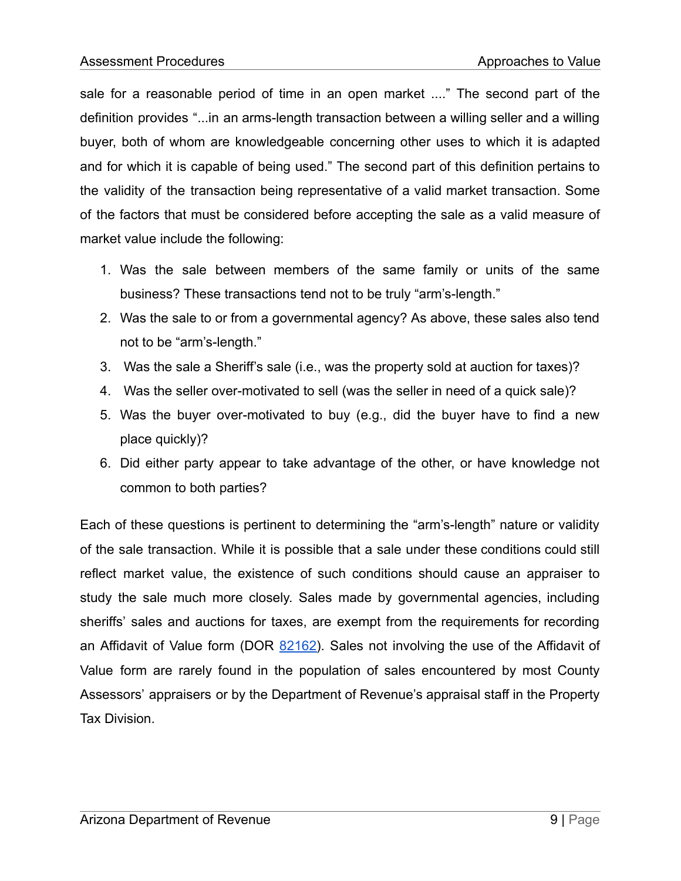sale for a reasonable period of time in an open market ...." The second part of the definition provides "...in an arms-length transaction between a willing seller and a willing buyer, both of whom are knowledgeable concerning other uses to which it is adapted and for which it is capable of being used." The second part of this definition pertains to the validity of the transaction being representative of a valid market transaction. Some of the factors that must be considered before accepting the sale as a valid measure of market value include the following:

- 1. Was the sale between members of the same family or units of the same business? These transactions tend not to be truly "arm's-length."
- 2. Was the sale to or from a governmental agency? As above, these sales also tend not to be "arm's-length."
- 3. Was the sale a Sheriff's sale (i.e., was the property sold at auction for taxes)?
- 4. Was the seller over-motivated to sell (was the seller in need of a quick sale)?
- 5. Was the buyer over-motivated to buy (e.g., did the buyer have to find a new place quickly)?
- 6. Did either party appear to take advantage of the other, or have knowledge not common to both parties?

Each of these questions is pertinent to determining the "arm's-length" nature or validity of the sale transaction. While it is possible that a sale under these conditions could still reflect market value, the existence of such conditions should cause an appraiser to study the sale much more closely. Sales made by governmental agencies, including sheriffs' sales and auctions for taxes, are exempt from the requirements for recording an Affidavit of Value form (DOR  $82162$ ). Sales not involving the use of the Affidavit of Value form are rarely found in the population of sales encountered by most County Assessors' appraisers or by the Department of Revenue's appraisal staff in the Property Tax Division.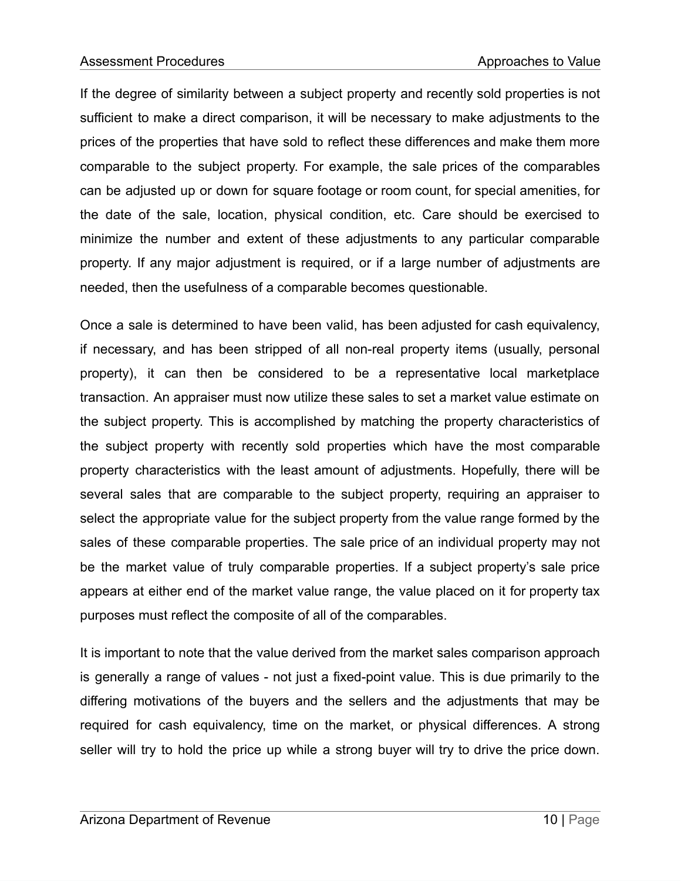If the degree of similarity between a subject property and recently sold properties is not sufficient to make a direct comparison, it will be necessary to make adjustments to the prices of the properties that have sold to reflect these differences and make them more comparable to the subject property. For example, the sale prices of the comparables can be adjusted up or down for square footage or room count, for special amenities, for the date of the sale, location, physical condition, etc. Care should be exercised to minimize the number and extent of these adjustments to any particular comparable property. If any major adjustment is required, or if a large number of adjustments are needed, then the usefulness of a comparable becomes questionable.

Once a sale is determined to have been valid, has been adjusted for cash equivalency, if necessary, and has been stripped of all non-real property items (usually, personal property), it can then be considered to be a representative local marketplace transaction. An appraiser must now utilize these sales to set a market value estimate on the subject property. This is accomplished by matching the property characteristics of the subject property with recently sold properties which have the most comparable property characteristics with the least amount of adjustments. Hopefully, there will be several sales that are comparable to the subject property, requiring an appraiser to select the appropriate value for the subject property from the value range formed by the sales of these comparable properties. The sale price of an individual property may not be the market value of truly comparable properties. If a subject property's sale price appears at either end of the market value range, the value placed on it for property tax purposes must reflect the composite of all of the comparables.

It is important to note that the value derived from the market sales comparison approach is generally a range of values - not just a fixed-point value. This is due primarily to the differing motivations of the buyers and the sellers and the adjustments that may be required for cash equivalency, time on the market, or physical differences. A strong seller will try to hold the price up while a strong buyer will try to drive the price down.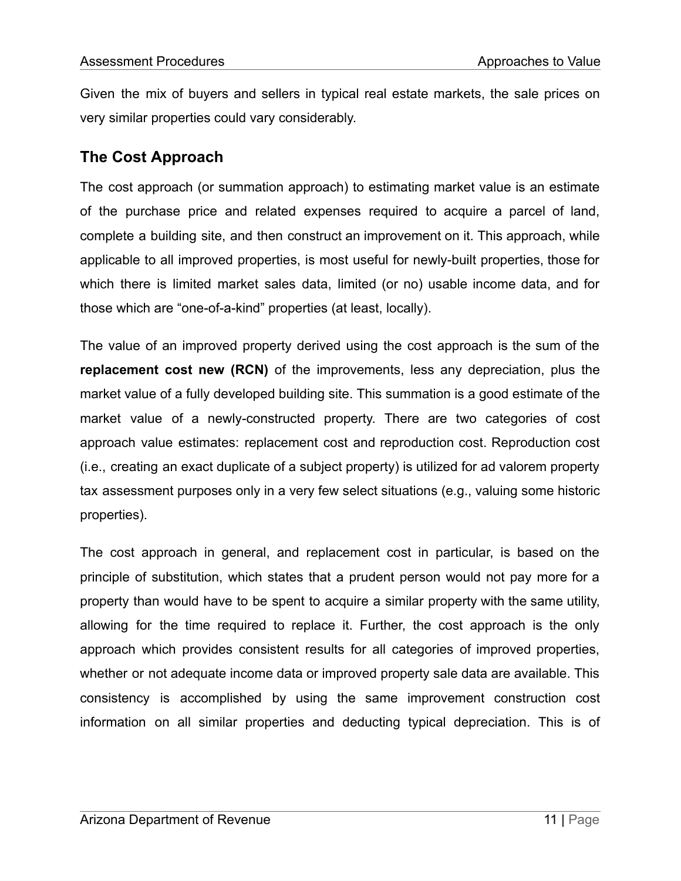Given the mix of buyers and sellers in typical real estate markets, the sale prices on very similar properties could vary considerably.

# **The Cost Approach**

The cost approach (or summation approach) to estimating market value is an estimate of the purchase price and related expenses required to acquire a parcel of land, complete a building site, and then construct an improvement on it. This approach, while applicable to all improved properties, is most useful for newly-built properties, those for which there is limited market sales data, limited (or no) usable income data, and for those which are "one-of-a-kind" properties (at least, locally).

The value of an improved property derived using the cost approach is the sum of the **replacement cost new (RCN)** of the improvements, less any depreciation, plus the market value of a fully developed building site. This summation is a good estimate of the market value of a newly-constructed property. There are two categories of cost approach value estimates: replacement cost and reproduction cost. Reproduction cost (i.e., creating an exact duplicate of a subject property) is utilized for ad valorem property tax assessment purposes only in a very few select situations (e.g., valuing some historic properties).

The cost approach in general, and replacement cost in particular, is based on the principle of substitution, which states that a prudent person would not pay more for a property than would have to be spent to acquire a similar property with the same utility, allowing for the time required to replace it. Further, the cost approach is the only approach which provides consistent results for all categories of improved properties, whether or not adequate income data or improved property sale data are available. This consistency is accomplished by using the same improvement construction cost information on all similar properties and deducting typical depreciation. This is of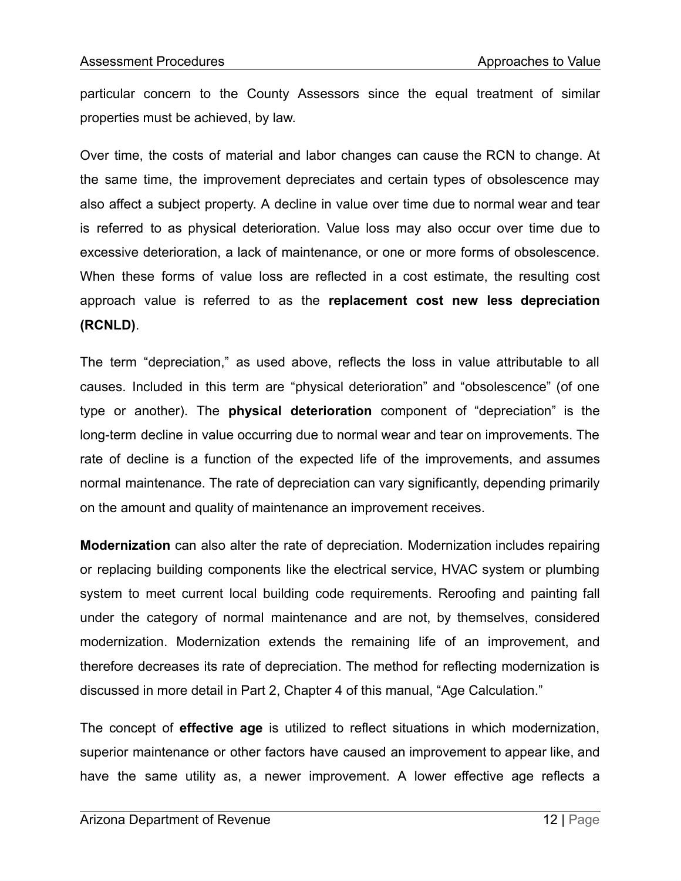particular concern to the County Assessors since the equal treatment of similar properties must be achieved, by law.

Over time, the costs of material and labor changes can cause the RCN to change. At the same time, the improvement depreciates and certain types of obsolescence may also affect a subject property. A decline in value over time due to normal wear and tear is referred to as physical deterioration. Value loss may also occur over time due to excessive deterioration, a lack of maintenance, or one or more forms of obsolescence. When these forms of value loss are reflected in a cost estimate, the resulting cost approach value is referred to as the **replacement cost new less depreciation (RCNLD)**.

The term "depreciation," as used above, reflects the loss in value attributable to all causes. Included in this term are "physical deterioration" and "obsolescence" (of one type or another). The **physical deterioration** component of "depreciation" is the long-term decline in value occurring due to normal wear and tear on improvements. The rate of decline is a function of the expected life of the improvements, and assumes normal maintenance. The rate of depreciation can vary significantly, depending primarily on the amount and quality of maintenance an improvement receives.

**Modernization** can also alter the rate of depreciation. Modernization includes repairing or replacing building components like the electrical service, HVAC system or plumbing system to meet current local building code requirements. Reroofing and painting fall under the category of normal maintenance and are not, by themselves, considered modernization. Modernization extends the remaining life of an improvement, and therefore decreases its rate of depreciation. The method for reflecting modernization is discussed in more detail in Part 2, Chapter 4 of this manual, "Age Calculation."

The concept of **effective age** is utilized to reflect situations in which modernization, superior maintenance or other factors have caused an improvement to appear like, and have the same utility as, a newer improvement. A lower effective age reflects a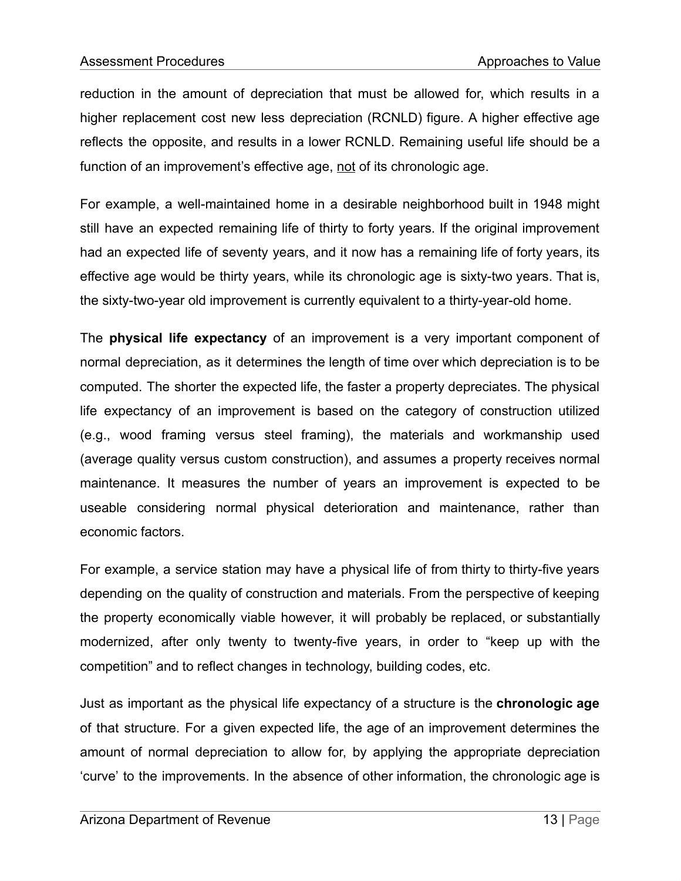reduction in the amount of depreciation that must be allowed for, which results in a higher replacement cost new less depreciation (RCNLD) figure. A higher effective age reflects the opposite, and results in a lower RCNLD. Remaining useful life should be a function of an improvement's effective age, not of its chronologic age.

For example, a well-maintained home in a desirable neighborhood built in 1948 might still have an expected remaining life of thirty to forty years. If the original improvement had an expected life of seventy years, and it now has a remaining life of forty years, its effective age would be thirty years, while its chronologic age is sixty-two years. That is, the sixty-two-year old improvement is currently equivalent to a thirty-year-old home.

The **physical life expectancy** of an improvement is a very important component of normal depreciation, as it determines the length of time over which depreciation is to be computed. The shorter the expected life, the faster a property depreciates. The physical life expectancy of an improvement is based on the category of construction utilized (e.g., wood framing versus steel framing), the materials and workmanship used (average quality versus custom construction), and assumes a property receives normal maintenance. It measures the number of years an improvement is expected to be useable considering normal physical deterioration and maintenance, rather than economic factors.

For example, a service station may have a physical life of from thirty to thirty-five years depending on the quality of construction and materials. From the perspective of keeping the property economically viable however, it will probably be replaced, or substantially modernized, after only twenty to twenty-five years, in order to "keep up with the competition" and to reflect changes in technology, building codes, etc.

Just as important as the physical life expectancy of a structure is the **chronologic age** of that structure. For a given expected life, the age of an improvement determines the amount of normal depreciation to allow for, by applying the appropriate depreciation 'curve' to the improvements. In the absence of other information, the chronologic age is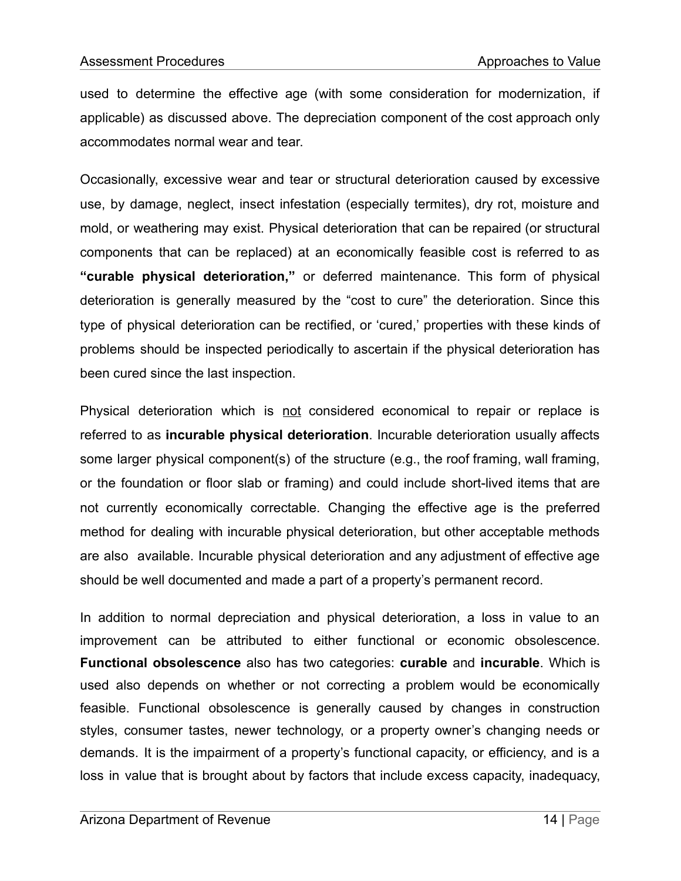used to determine the effective age (with some consideration for modernization, if applicable) as discussed above. The depreciation component of the cost approach only accommodates normal wear and tear.

Occasionally, excessive wear and tear or structural deterioration caused by excessive use, by damage, neglect, insect infestation (especially termites), dry rot, moisture and mold, or weathering may exist. Physical deterioration that can be repaired (or structural components that can be replaced) at an economically feasible cost is referred to as **"curable physical deterioration,"** or deferred maintenance. This form of physical deterioration is generally measured by the "cost to cure" the deterioration. Since this type of physical deterioration can be rectified, or 'cured,' properties with these kinds of problems should be inspected periodically to ascertain if the physical deterioration has been cured since the last inspection.

Physical deterioration which is not considered economical to repair or replace is referred to as **incurable physical deterioration**. Incurable deterioration usually affects some larger physical component(s) of the structure (e.g., the roof framing, wall framing, or the foundation or floor slab or framing) and could include short-lived items that are not currently economically correctable. Changing the effective age is the preferred method for dealing with incurable physical deterioration, but other acceptable methods are also available. Incurable physical deterioration and any adjustment of effective age should be well documented and made a part of a property's permanent record.

In addition to normal depreciation and physical deterioration, a loss in value to an improvement can be attributed to either functional or economic obsolescence. **Functional obsolescence** also has two categories: **curable** and **incurable**. Which is used also depends on whether or not correcting a problem would be economically feasible. Functional obsolescence is generally caused by changes in construction styles, consumer tastes, newer technology, or a property owner's changing needs or demands. It is the impairment of a property's functional capacity, or efficiency, and is a loss in value that is brought about by factors that include excess capacity, inadequacy,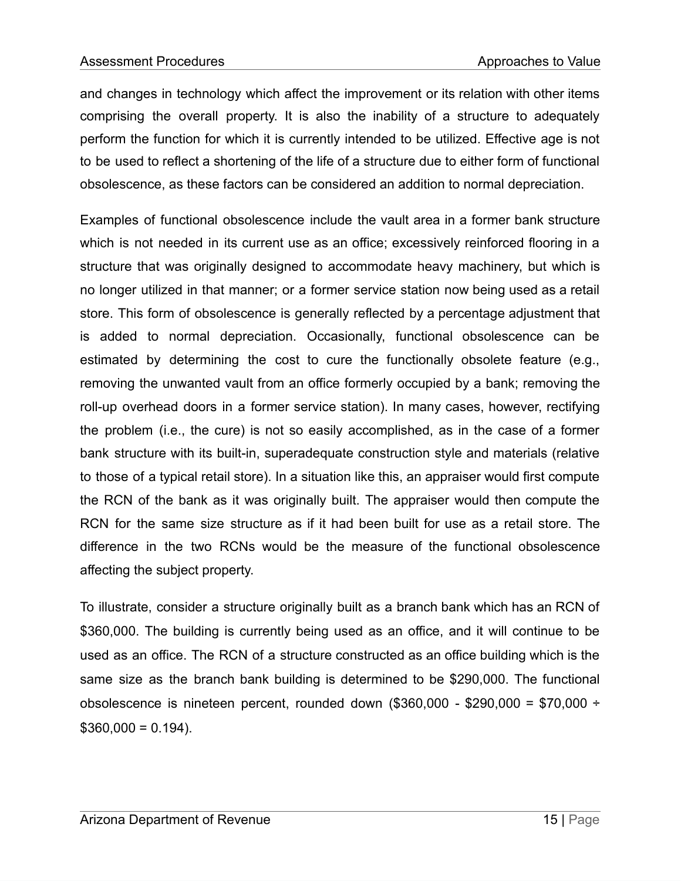and changes in technology which affect the improvement or its relation with other items comprising the overall property. It is also the inability of a structure to adequately perform the function for which it is currently intended to be utilized. Effective age is not to be used to reflect a shortening of the life of a structure due to either form of functional obsolescence, as these factors can be considered an addition to normal depreciation.

Examples of functional obsolescence include the vault area in a former bank structure which is not needed in its current use as an office; excessively reinforced flooring in a structure that was originally designed to accommodate heavy machinery, but which is no longer utilized in that manner; or a former service station now being used as a retail store. This form of obsolescence is generally reflected by a percentage adjustment that is added to normal depreciation. Occasionally, functional obsolescence can be estimated by determining the cost to cure the functionally obsolete feature (e.g., removing the unwanted vault from an office formerly occupied by a bank; removing the roll-up overhead doors in a former service station). In many cases, however, rectifying the problem (i.e., the cure) is not so easily accomplished, as in the case of a former bank structure with its built-in, superadequate construction style and materials (relative to those of a typical retail store). In a situation like this, an appraiser would first compute the RCN of the bank as it was originally built. The appraiser would then compute the RCN for the same size structure as if it had been built for use as a retail store. The difference in the two RCNs would be the measure of the functional obsolescence affecting the subject property.

To illustrate, consider a structure originally built as a branch bank which has an RCN of \$360,000. The building is currently being used as an office, and it will continue to be used as an office. The RCN of a structure constructed as an office building which is the same size as the branch bank building is determined to be \$290,000. The functional obsolescence is nineteen percent, rounded down  $(\$360,000 - \$290,000 = \$70,000 +$  $$360,000 = 0.194$ ).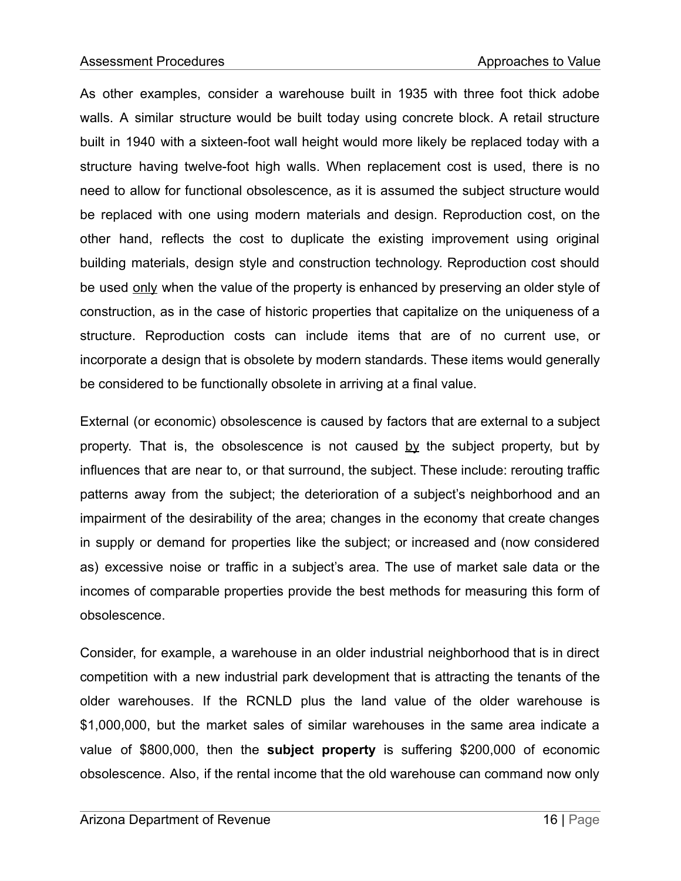As other examples, consider a warehouse built in 1935 with three foot thick adobe walls. A similar structure would be built today using concrete block. A retail structure built in 1940 with a sixteen-foot wall height would more likely be replaced today with a structure having twelve-foot high walls. When replacement cost is used, there is no need to allow for functional obsolescence, as it is assumed the subject structure would be replaced with one using modern materials and design. Reproduction cost, on the other hand, reflects the cost to duplicate the existing improvement using original building materials, design style and construction technology. Reproduction cost should be used only when the value of the property is enhanced by preserving an older style of construction, as in the case of historic properties that capitalize on the uniqueness of a structure. Reproduction costs can include items that are of no current use, or incorporate a design that is obsolete by modern standards. These items would generally be considered to be functionally obsolete in arriving at a final value.

External (or economic) obsolescence is caused by factors that are external to a subject property. That is, the obsolescence is not caused by the subject property, but by influences that are near to, or that surround, the subject. These include: rerouting traffic patterns away from the subject; the deterioration of a subject's neighborhood and an impairment of the desirability of the area; changes in the economy that create changes in supply or demand for properties like the subject; or increased and (now considered as) excessive noise or traffic in a subject's area. The use of market sale data or the incomes of comparable properties provide the best methods for measuring this form of obsolescence.

Consider, for example, a warehouse in an older industrial neighborhood that is in direct competition with a new industrial park development that is attracting the tenants of the older warehouses. If the RCNLD plus the land value of the older warehouse is \$1,000,000, but the market sales of similar warehouses in the same area indicate a value of \$800,000, then the **subject property** is suffering \$200,000 of economic obsolescence. Also, if the rental income that the old warehouse can command now only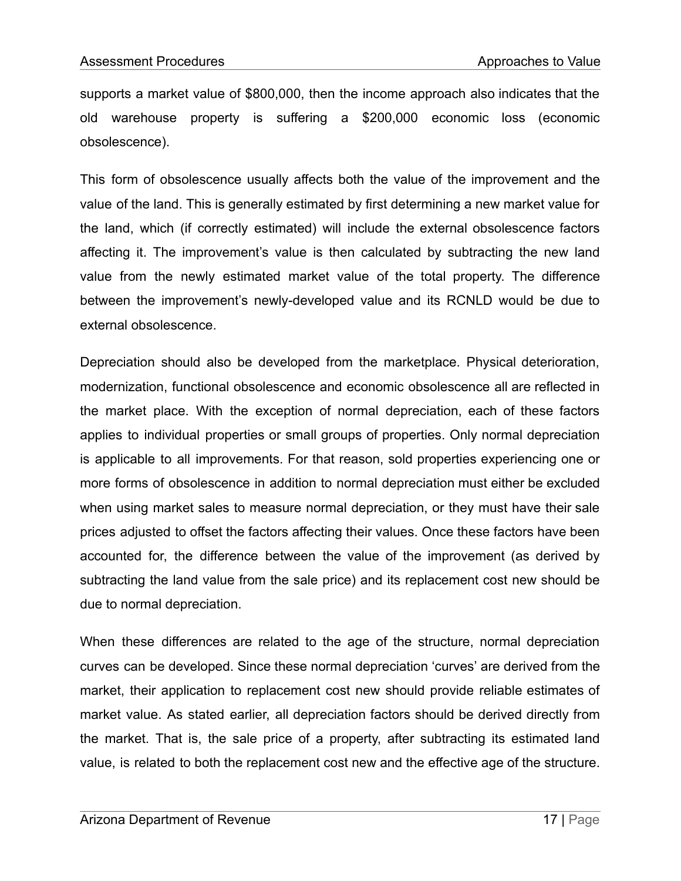supports a market value of \$800,000, then the income approach also indicates that the old warehouse property is suffering a \$200,000 economic loss (economic obsolescence).

This form of obsolescence usually affects both the value of the improvement and the value of the land. This is generally estimated by first determining a new market value for the land, which (if correctly estimated) will include the external obsolescence factors affecting it. The improvement's value is then calculated by subtracting the new land value from the newly estimated market value of the total property. The difference between the improvement's newly-developed value and its RCNLD would be due to external obsolescence.

Depreciation should also be developed from the marketplace. Physical deterioration, modernization, functional obsolescence and economic obsolescence all are reflected in the market place. With the exception of normal depreciation, each of these factors applies to individual properties or small groups of properties. Only normal depreciation is applicable to all improvements. For that reason, sold properties experiencing one or more forms of obsolescence in addition to normal depreciation must either be excluded when using market sales to measure normal depreciation, or they must have their sale prices adjusted to offset the factors affecting their values. Once these factors have been accounted for, the difference between the value of the improvement (as derived by subtracting the land value from the sale price) and its replacement cost new should be due to normal depreciation.

When these differences are related to the age of the structure, normal depreciation curves can be developed. Since these normal depreciation 'curves' are derived from the market, their application to replacement cost new should provide reliable estimates of market value. As stated earlier, all depreciation factors should be derived directly from the market. That is, the sale price of a property, after subtracting its estimated land value, is related to both the replacement cost new and the effective age of the structure.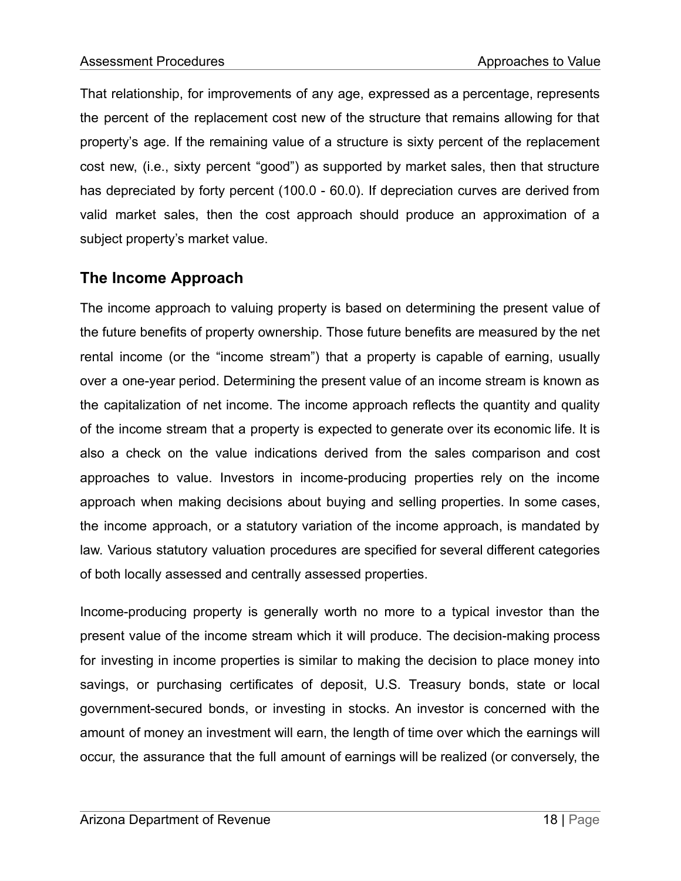That relationship, for improvements of any age, expressed as a percentage, represents the percent of the replacement cost new of the structure that remains allowing for that property's age. If the remaining value of a structure is sixty percent of the replacement cost new, (i.e., sixty percent "good") as supported by market sales, then that structure has depreciated by forty percent (100.0 - 60.0). If depreciation curves are derived from valid market sales, then the cost approach should produce an approximation of a subject property's market value.

# **The Income Approach**

The income approach to valuing property is based on determining the present value of the future benefits of property ownership. Those future benefits are measured by the net rental income (or the "income stream") that a property is capable of earning, usually over a one-year period. Determining the present value of an income stream is known as the capitalization of net income. The income approach reflects the quantity and quality of the income stream that a property is expected to generate over its economic life. It is also a check on the value indications derived from the sales comparison and cost approaches to value. Investors in income-producing properties rely on the income approach when making decisions about buying and selling properties. In some cases, the income approach, or a statutory variation of the income approach, is mandated by law. Various statutory valuation procedures are specified for several different categories of both locally assessed and centrally assessed properties.

Income-producing property is generally worth no more to a typical investor than the present value of the income stream which it will produce. The decision-making process for investing in income properties is similar to making the decision to place money into savings, or purchasing certificates of deposit, U.S. Treasury bonds, state or local government-secured bonds, or investing in stocks. An investor is concerned with the amount of money an investment will earn, the length of time over which the earnings will occur, the assurance that the full amount of earnings will be realized (or conversely, the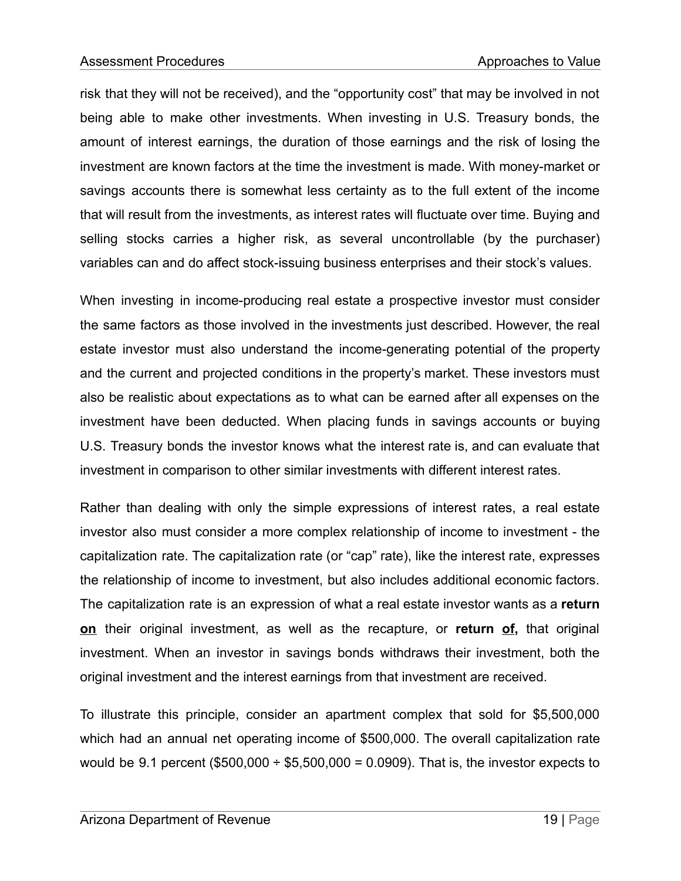risk that they will not be received), and the "opportunity cost" that may be involved in not being able to make other investments. When investing in U.S. Treasury bonds, the amount of interest earnings, the duration of those earnings and the risk of losing the investment are known factors at the time the investment is made. With money-market or savings accounts there is somewhat less certainty as to the full extent of the income that will result from the investments, as interest rates will fluctuate over time. Buying and selling stocks carries a higher risk, as several uncontrollable (by the purchaser) variables can and do affect stock-issuing business enterprises and their stock's values.

When investing in income-producing real estate a prospective investor must consider the same factors as those involved in the investments just described. However, the real estate investor must also understand the income-generating potential of the property and the current and projected conditions in the property's market. These investors must also be realistic about expectations as to what can be earned after all expenses on the investment have been deducted. When placing funds in savings accounts or buying U.S. Treasury bonds the investor knows what the interest rate is, and can evaluate that investment in comparison to other similar investments with different interest rates.

Rather than dealing with only the simple expressions of interest rates, a real estate investor also must consider a more complex relationship of income to investment - the capitalization rate. The capitalization rate (or "cap" rate), like the interest rate, expresses the relationship of income to investment, but also includes additional economic factors. The capitalization rate is an expression of what a real estate investor wants as a **return on** their original investment, as well as the recapture, or **return of,** that original investment. When an investor in savings bonds withdraws their investment, both the original investment and the interest earnings from that investment are received.

To illustrate this principle, consider an apartment complex that sold for \$5,500,000 which had an annual net operating income of \$500,000. The overall capitalization rate would be 9.1 percent (\$500,000  $\div$  \$5,500,000 = 0.0909). That is, the investor expects to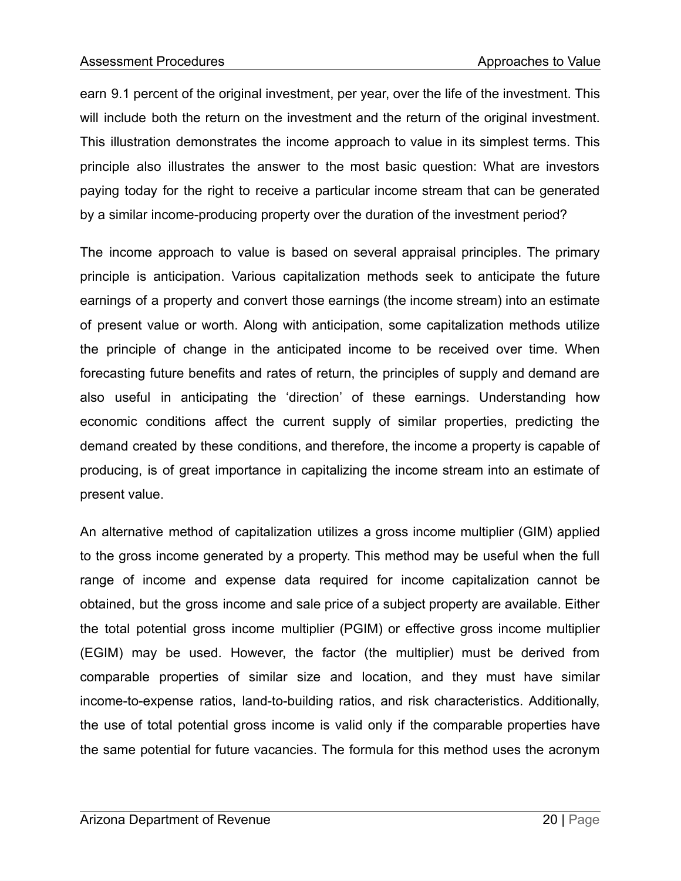earn 9.1 percent of the original investment, per year, over the life of the investment. This will include both the return on the investment and the return of the original investment. This illustration demonstrates the income approach to value in its simplest terms. This principle also illustrates the answer to the most basic question: What are investors paying today for the right to receive a particular income stream that can be generated by a similar income-producing property over the duration of the investment period?

The income approach to value is based on several appraisal principles. The primary principle is anticipation. Various capitalization methods seek to anticipate the future earnings of a property and convert those earnings (the income stream) into an estimate of present value or worth. Along with anticipation, some capitalization methods utilize the principle of change in the anticipated income to be received over time. When forecasting future benefits and rates of return, the principles of supply and demand are also useful in anticipating the 'direction' of these earnings. Understanding how economic conditions affect the current supply of similar properties, predicting the demand created by these conditions, and therefore, the income a property is capable of producing, is of great importance in capitalizing the income stream into an estimate of present value.

An alternative method of capitalization utilizes a gross income multiplier (GIM) applied to the gross income generated by a property. This method may be useful when the full range of income and expense data required for income capitalization cannot be obtained, but the gross income and sale price of a subject property are available. Either the total potential gross income multiplier (PGIM) or effective gross income multiplier (EGIM) may be used. However, the factor (the multiplier) must be derived from comparable properties of similar size and location, and they must have similar income-to-expense ratios, land-to-building ratios, and risk characteristics. Additionally, the use of total potential gross income is valid only if the comparable properties have the same potential for future vacancies. The formula for this method uses the acronym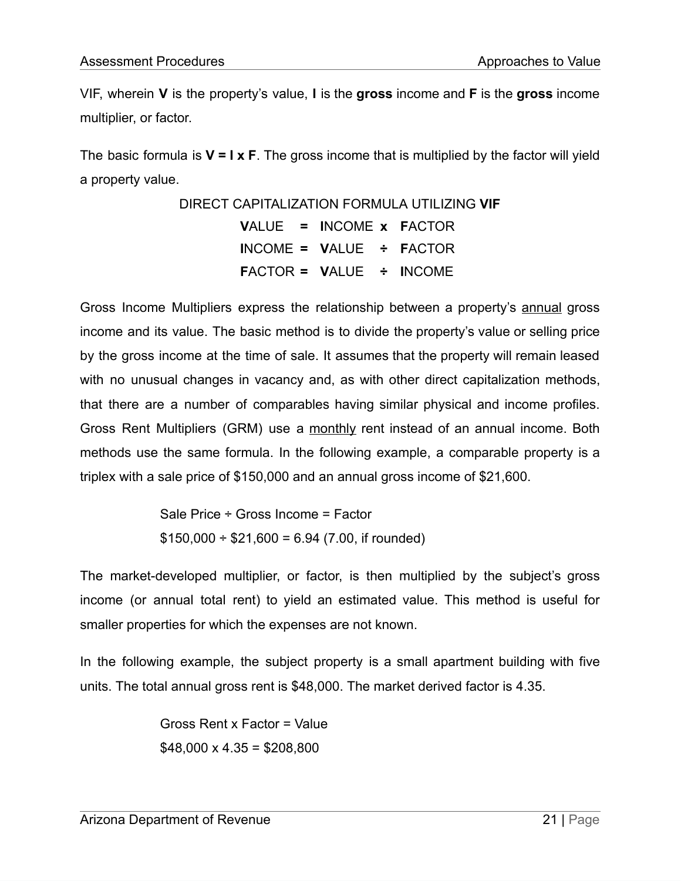VIF, wherein **V** is the property's value, **I** is the **gross** income and **F** is the **gross** income multiplier, or factor.

The basic formula is **V = I x F**. The gross income that is multiplied by the factor will yield a property value.

> DIRECT CAPITALIZATION FORMULA UTILIZING **VIF V**ALUE **= I**NCOME **x F**ACTOR **I**NCOME **= V**ALUE **÷ F**ACTOR **F**ACTOR **= V**ALUE **÷ I**NCOME

Gross Income Multipliers express the relationship between a property's annual gross income and its value. The basic method is to divide the property's value or selling price by the gross income at the time of sale. It assumes that the property will remain leased with no unusual changes in vacancy and, as with other direct capitalization methods, that there are a number of comparables having similar physical and income profiles. Gross Rent Multipliers (GRM) use a monthly rent instead of an annual income. Both methods use the same formula. In the following example, a comparable property is a triplex with a sale price of \$150,000 and an annual gross income of \$21,600.

> Sale Price ÷ Gross Income = Factor  $$150,000 \div $21,600 = 6.94 (7.00, if rounded)$

The market-developed multiplier, or factor, is then multiplied by the subject's gross income (or annual total rent) to yield an estimated value. This method is useful for smaller properties for which the expenses are not known.

In the following example, the subject property is a small apartment building with five units. The total annual gross rent is \$48,000. The market derived factor is 4.35.

> Gross Rent x Factor = Value  $$48,000 \times 4.35 = $208,800$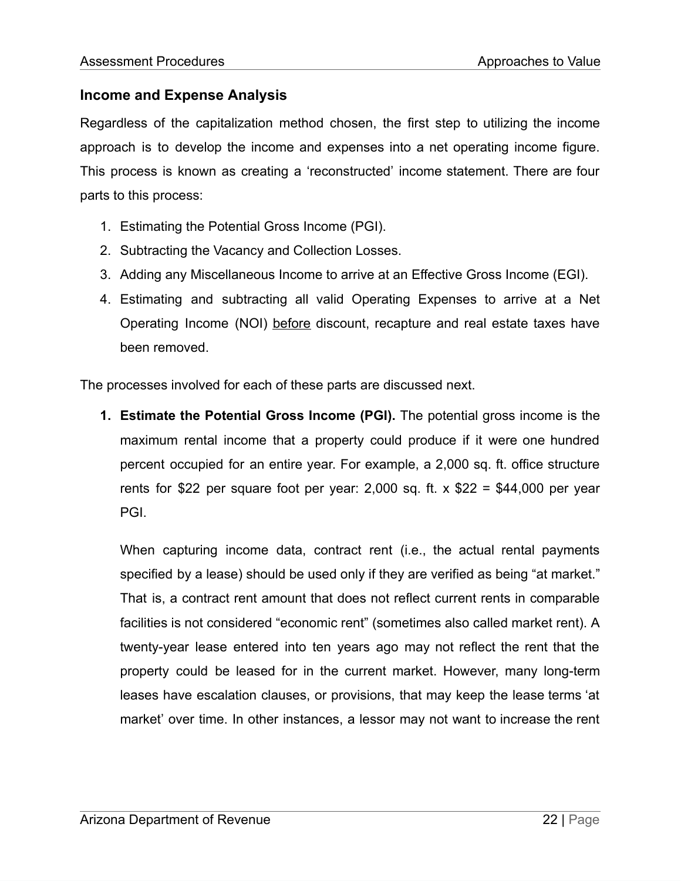## **Income and Expense Analysis**

Regardless of the capitalization method chosen, the first step to utilizing the income approach is to develop the income and expenses into a net operating income figure. This process is known as creating a 'reconstructed' income statement. There are four parts to this process:

- 1. Estimating the Potential Gross Income (PGI).
- 2. Subtracting the Vacancy and Collection Losses.
- 3. Adding any Miscellaneous Income to arrive at an Effective Gross Income (EGI).
- 4. Estimating and subtracting all valid Operating Expenses to arrive at a Net Operating Income (NOI) before discount, recapture and real estate taxes have been removed.

The processes involved for each of these parts are discussed next.

**1. Estimate the Potential Gross Income (PGI).** The potential gross income is the maximum rental income that a property could produce if it were one hundred percent occupied for an entire year. For example, a 2,000 sq. ft. office structure rents for \$22 per square foot per year: 2,000 sq. ft. x \$22 = \$44,000 per year PGI.

When capturing income data, contract rent (i.e., the actual rental payments specified by a lease) should be used only if they are verified as being "at market." That is, a contract rent amount that does not reflect current rents in comparable facilities is not considered "economic rent" (sometimes also called market rent). A twenty-year lease entered into ten years ago may not reflect the rent that the property could be leased for in the current market. However, many long-term leases have escalation clauses, or provisions, that may keep the lease terms 'at market' over time. In other instances, a lessor may not want to increase the rent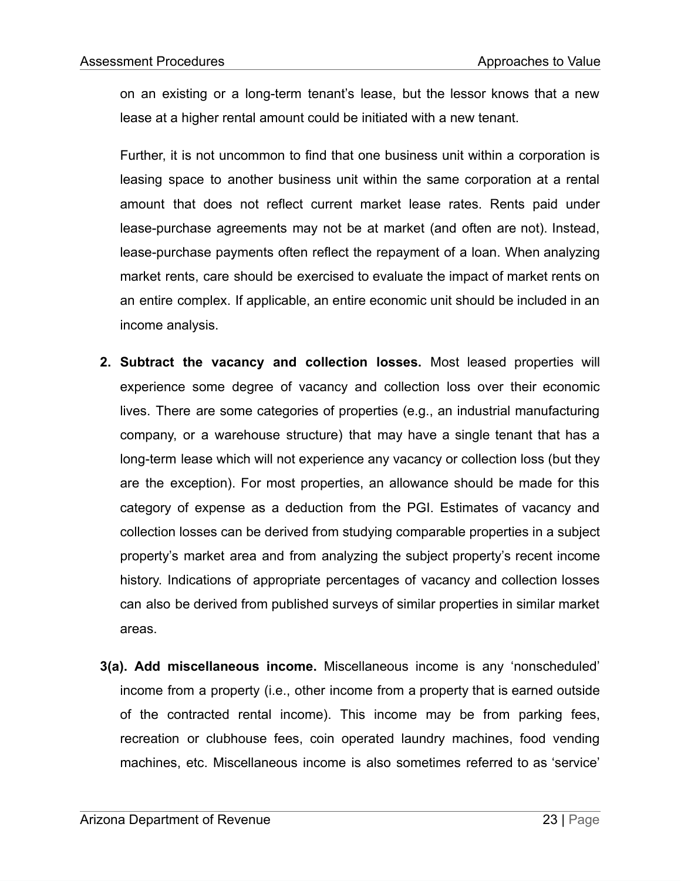on an existing or a long-term tenant's lease, but the lessor knows that a new lease at a higher rental amount could be initiated with a new tenant.

Further, it is not uncommon to find that one business unit within a corporation is leasing space to another business unit within the same corporation at a rental amount that does not reflect current market lease rates. Rents paid under lease-purchase agreements may not be at market (and often are not). Instead, lease-purchase payments often reflect the repayment of a loan. When analyzing market rents, care should be exercised to evaluate the impact of market rents on an entire complex. If applicable, an entire economic unit should be included in an income analysis.

- **2. Subtract the vacancy and collection losses.** Most leased properties will experience some degree of vacancy and collection loss over their economic lives. There are some categories of properties (e.g., an industrial manufacturing company, or a warehouse structure) that may have a single tenant that has a long-term lease which will not experience any vacancy or collection loss (but they are the exception). For most properties, an allowance should be made for this category of expense as a deduction from the PGI. Estimates of vacancy and collection losses can be derived from studying comparable properties in a subject property's market area and from analyzing the subject property's recent income history. Indications of appropriate percentages of vacancy and collection losses can also be derived from published surveys of similar properties in similar market areas.
- **3(a). Add miscellaneous income.** Miscellaneous income is any 'nonscheduled' income from a property (i.e., other income from a property that is earned outside of the contracted rental income). This income may be from parking fees, recreation or clubhouse fees, coin operated laundry machines, food vending machines, etc. Miscellaneous income is also sometimes referred to as 'service'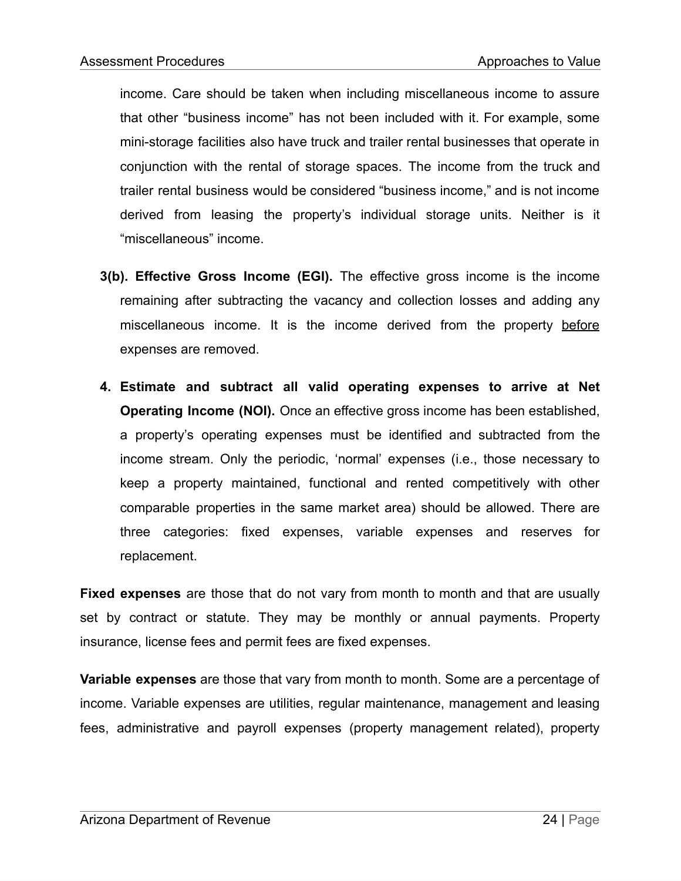income. Care should be taken when including miscellaneous income to assure that other "business income" has not been included with it. For example, some mini-storage facilities also have truck and trailer rental businesses that operate in conjunction with the rental of storage spaces. The income from the truck and trailer rental business would be considered "business income," and is not income derived from leasing the property's individual storage units. Neither is it "miscellaneous" income.

- **3(b). Effective Gross Income (EGI).** The effective gross income is the income remaining after subtracting the vacancy and collection losses and adding any miscellaneous income. It is the income derived from the property before expenses are removed.
- **4. Estimate and subtract all valid operating expenses to arrive at Net Operating Income (NOI).** Once an effective gross income has been established, a property's operating expenses must be identified and subtracted from the income stream. Only the periodic, 'normal' expenses (i.e., those necessary to keep a property maintained, functional and rented competitively with other comparable properties in the same market area) should be allowed. There are three categories: fixed expenses, variable expenses and reserves for replacement.

**Fixed expenses** are those that do not vary from month to month and that are usually set by contract or statute. They may be monthly or annual payments. Property insurance, license fees and permit fees are fixed expenses.

**Variable expenses** are those that vary from month to month. Some are a percentage of income. Variable expenses are utilities, regular maintenance, management and leasing fees, administrative and payroll expenses (property management related), property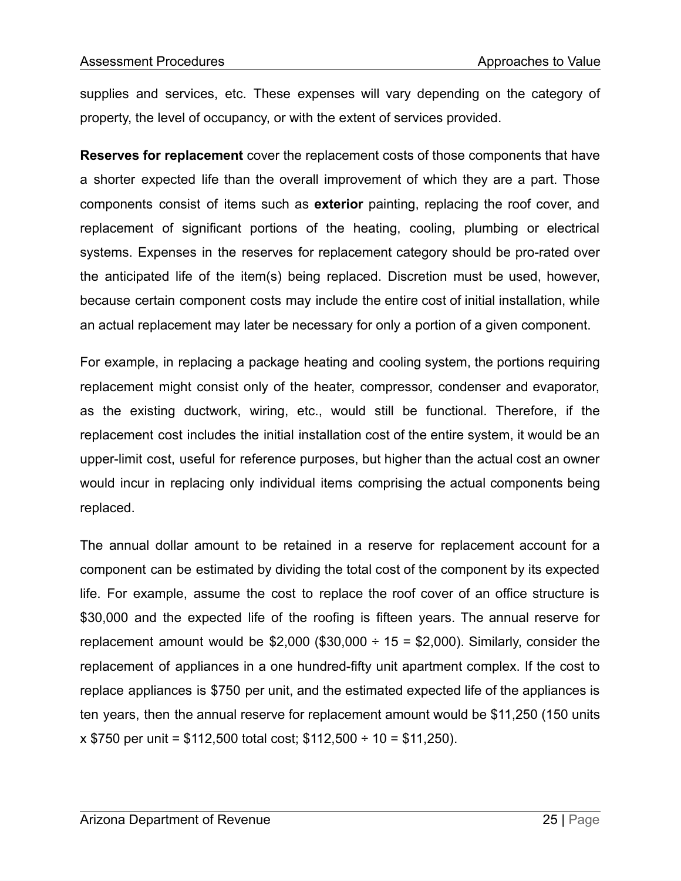supplies and services, etc. These expenses will vary depending on the category of property, the level of occupancy, or with the extent of services provided.

**Reserves for replacement** cover the replacement costs of those components that have a shorter expected life than the overall improvement of which they are a part. Those components consist of items such as **exterior** painting, replacing the roof cover, and replacement of significant portions of the heating, cooling, plumbing or electrical systems. Expenses in the reserves for replacement category should be pro-rated over the anticipated life of the item(s) being replaced. Discretion must be used, however, because certain component costs may include the entire cost of initial installation, while an actual replacement may later be necessary for only a portion of a given component.

For example, in replacing a package heating and cooling system, the portions requiring replacement might consist only of the heater, compressor, condenser and evaporator, as the existing ductwork, wiring, etc., would still be functional. Therefore, if the replacement cost includes the initial installation cost of the entire system, it would be an upper-limit cost, useful for reference purposes, but higher than the actual cost an owner would incur in replacing only individual items comprising the actual components being replaced.

The annual dollar amount to be retained in a reserve for replacement account for a component can be estimated by dividing the total cost of the component by its expected life. For example, assume the cost to replace the roof cover of an office structure is \$30,000 and the expected life of the roofing is fifteen years. The annual reserve for replacement amount would be  $$2,000$  (\$30,000 ÷ 15 = \$2,000). Similarly, consider the replacement of appliances in a one hundred-fifty unit apartment complex. If the cost to replace appliances is \$750 per unit, and the estimated expected life of the appliances is ten years, then the annual reserve for replacement amount would be \$11,250 (150 units  $x$  \$750 per unit = \$112,500 total cost; \$112,500 ÷ 10 = \$11,250).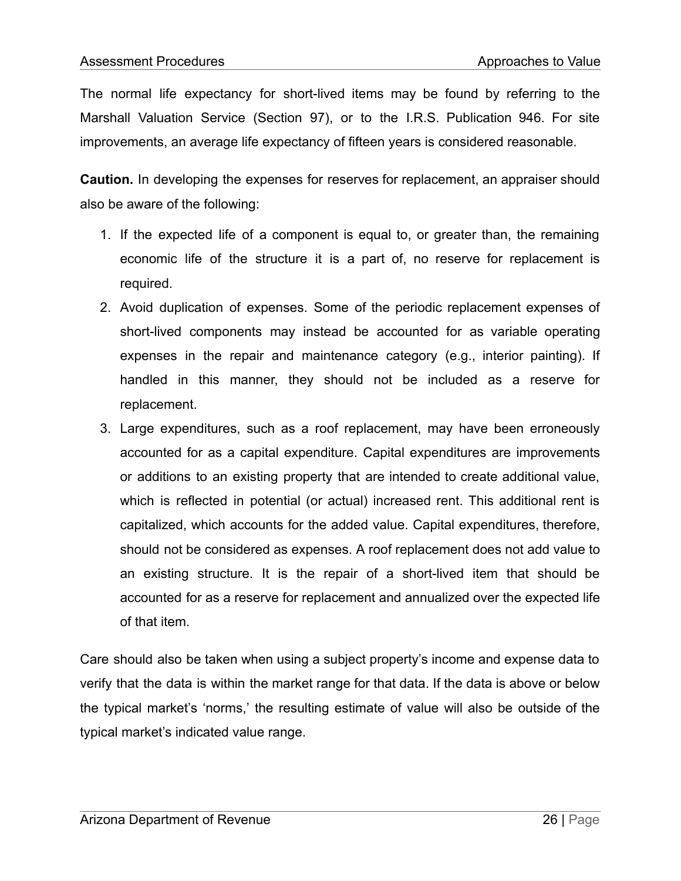The normal life expectancy for short-lived items may be found by referring to the Marshall Valuation Service (Section 97), or to the I.R.S. Publication 946. For site improvements, an average life expectancy of fifteen years is considered reasonable.

**Caution.** In developing the expenses for reserves for replacement, an appraiser should also be aware of the following:

- 1. If the expected life of a component is equal to, or greater than, the remaining economic life of the structure it is a part of, no reserve for replacement is required.
- 2. Avoid duplication of expenses. Some of the periodic replacement expenses of short-lived components may instead be accounted for as variable operating expenses in the repair and maintenance category (e.g., interior painting). If handled in this manner, they should not be included as a reserve for replacement.
- 3. Large expenditures, such as a roof replacement, may have been erroneously accounted for as a capital expenditure. Capital expenditures are improvements or additions to an existing property that are intended to create additional value, which is reflected in potential (or actual) increased rent. This additional rent is capitalized, which accounts for the added value. Capital expenditures, therefore, should not be considered as expenses. A roof replacement does not add value to an existing structure. It is the repair of a short-lived item that should be accounted for as a reserve for replacement and annualized over the expected life of that item.

Care should also be taken when using a subject property's income and expense data to verify that the data is within the market range for that data. If the data is above or below the typical market's 'norms,' the resulting estimate of value will also be outside of the typical market's indicated value range.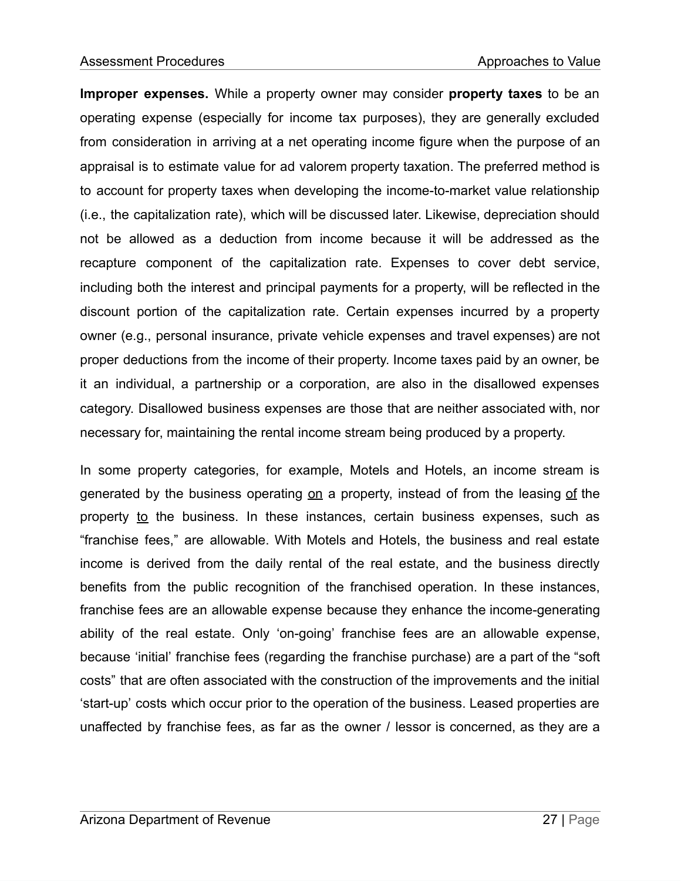**Improper expenses.** While a property owner may consider **property taxes** to be an operating expense (especially for income tax purposes), they are generally excluded from consideration in arriving at a net operating income figure when the purpose of an appraisal is to estimate value for ad valorem property taxation. The preferred method is to account for property taxes when developing the income-to-market value relationship (i.e., the capitalization rate), which will be discussed later. Likewise, depreciation should not be allowed as a deduction from income because it will be addressed as the recapture component of the capitalization rate. Expenses to cover debt service, including both the interest and principal payments for a property, will be reflected in the discount portion of the capitalization rate. Certain expenses incurred by a property owner (e.g., personal insurance, private vehicle expenses and travel expenses) are not proper deductions from the income of their property. Income taxes paid by an owner, be it an individual, a partnership or a corporation, are also in the disallowed expenses category. Disallowed business expenses are those that are neither associated with, nor necessary for, maintaining the rental income stream being produced by a property.

In some property categories, for example, Motels and Hotels, an income stream is generated by the business operating on a property, instead of from the leasing of the property to the business. In these instances, certain business expenses, such as "franchise fees," are allowable. With Motels and Hotels, the business and real estate income is derived from the daily rental of the real estate, and the business directly benefits from the public recognition of the franchised operation. In these instances, franchise fees are an allowable expense because they enhance the income-generating ability of the real estate. Only 'on-going' franchise fees are an allowable expense, because 'initial' franchise fees (regarding the franchise purchase) are a part of the "soft costs" that are often associated with the construction of the improvements and the initial 'start-up' costs which occur prior to the operation of the business. Leased properties are unaffected by franchise fees, as far as the owner / lessor is concerned, as they are a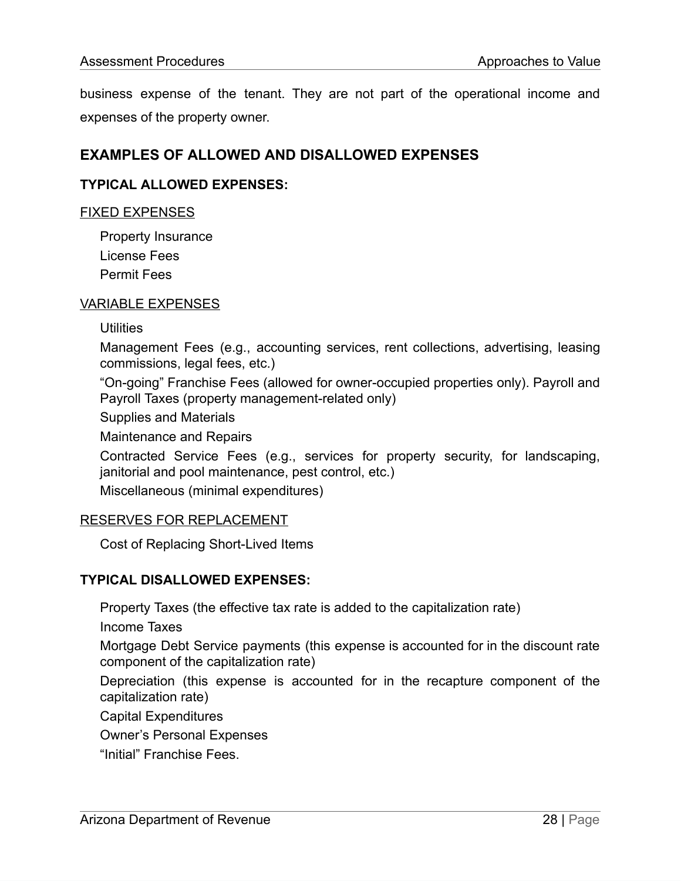business expense of the tenant. They are not part of the operational income and expenses of the property owner.

## **EXAMPLES OF ALLOWED AND DISALLOWED EXPENSES**

#### **TYPICAL ALLOWED EXPENSES:**

#### FIXED EXPENSES

Property Insurance License Fees Permit Fees

#### VARIABLE EXPENSES

Utilities

Management Fees (e.g., accounting services, rent collections, advertising, leasing commissions, legal fees, etc.)

"On-going" Franchise Fees (allowed for owner-occupied properties only). Payroll and Payroll Taxes (property management-related only)

Supplies and Materials

Maintenance and Repairs

Contracted Service Fees (e.g., services for property security, for landscaping, janitorial and pool maintenance, pest control, etc.)

Miscellaneous (minimal expenditures)

#### RESERVES FOR REPLACEMENT

Cost of Replacing Short-Lived Items

#### **TYPICAL DISALLOWED EXPENSES:**

Property Taxes (the effective tax rate is added to the capitalization rate)

Income Taxes

Mortgage Debt Service payments (this expense is accounted for in the discount rate component of the capitalization rate)

Depreciation (this expense is accounted for in the recapture component of the capitalization rate)

Capital Expenditures

Owner's Personal Expenses

"Initial" Franchise Fees.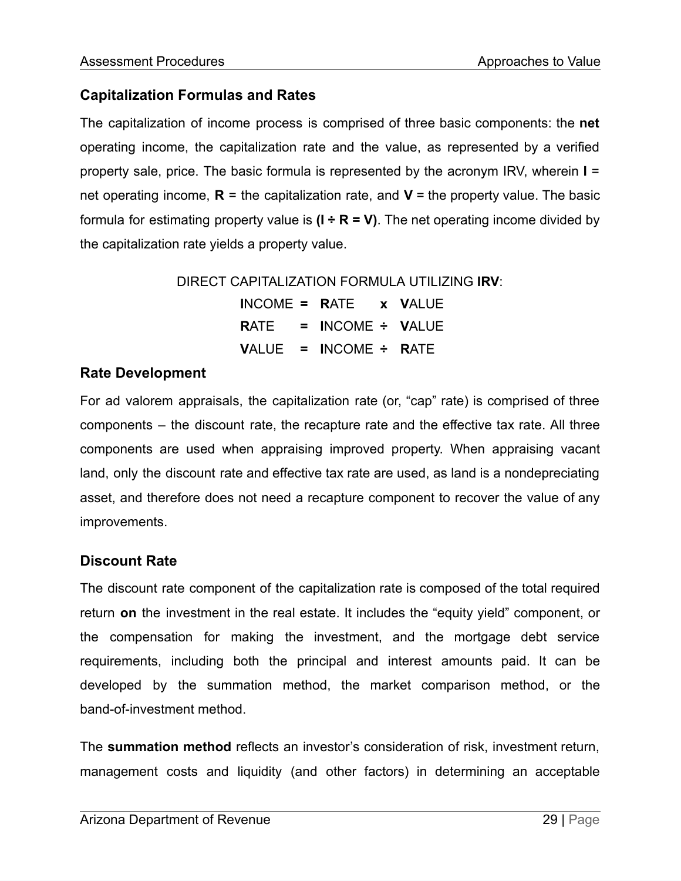## **Capitalization Formulas and Rates**

The capitalization of income process is comprised of three basic components: the **net** operating income, the capitalization rate and the value, as represented by a verified property sale, price. The basic formula is represented by the acronym IRV, wherein **I** = net operating income,  $\mathbf{R}$  = the capitalization rate, and  $\mathbf{V}$  = the property value. The basic formula for estimating property value is  $(I \div R = V)$ . The net operating income divided by the capitalization rate yields a property value.

DIRECT CAPITALIZATION FORMULA UTILIZING **IRV**:

**I**NCOME **= R**ATE **x V**ALUE **R**ATE **= I**NCOME **÷ V**ALUE **V**ALUE **= I**NCOME **÷ R**ATE

## **Rate Development**

For ad valorem appraisals, the capitalization rate (or, "cap" rate) is comprised of three components – the discount rate, the recapture rate and the effective tax rate. All three components are used when appraising improved property. When appraising vacant land, only the discount rate and effective tax rate are used, as land is a nondepreciating asset, and therefore does not need a recapture component to recover the value of any improvements.

## **Discount Rate**

The discount rate component of the capitalization rate is composed of the total required return **on** the investment in the real estate. It includes the "equity yield" component, or the compensation for making the investment, and the mortgage debt service requirements, including both the principal and interest amounts paid. It can be developed by the summation method, the market comparison method, or the band-of-investment method.

The **summation method** reflects an investor's consideration of risk, investment return, management costs and liquidity (and other factors) in determining an acceptable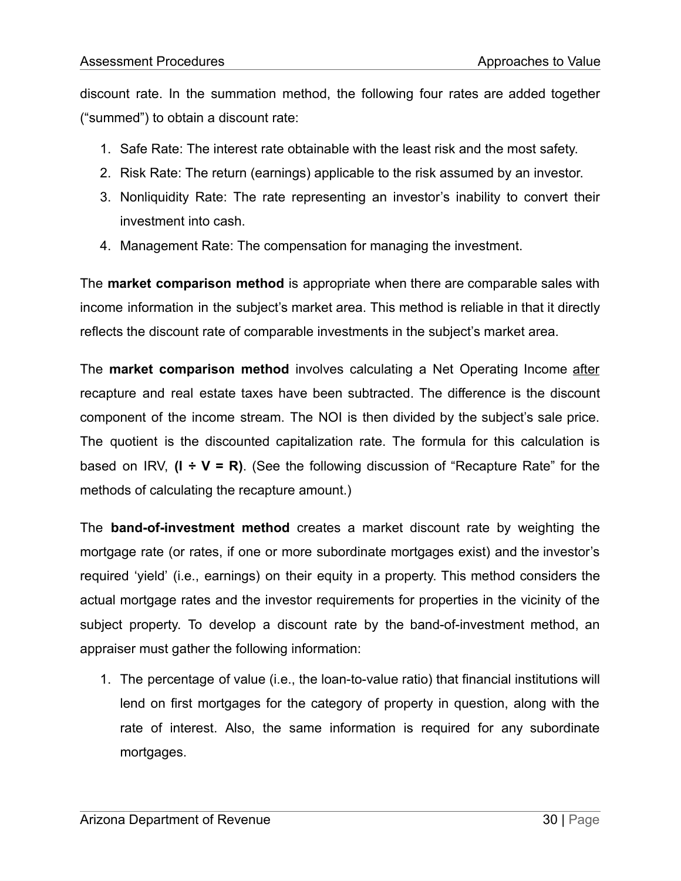discount rate. In the summation method, the following four rates are added together ("summed") to obtain a discount rate:

- 1. Safe Rate: The interest rate obtainable with the least risk and the most safety.
- 2. Risk Rate: The return (earnings) applicable to the risk assumed by an investor.
- 3. Nonliquidity Rate: The rate representing an investor's inability to convert their investment into cash.
- 4. Management Rate: The compensation for managing the investment.

The **market comparison method** is appropriate when there are comparable sales with income information in the subject's market area. This method is reliable in that it directly reflects the discount rate of comparable investments in the subject's market area.

The **market comparison method** involves calculating a Net Operating Income after recapture and real estate taxes have been subtracted. The difference is the discount component of the income stream. The NOI is then divided by the subject's sale price. The quotient is the discounted capitalization rate. The formula for this calculation is based on IRV, **(I ÷ V = R)**. (See the following discussion of "Recapture Rate" for the methods of calculating the recapture amount.)

The **band-of-investment method** creates a market discount rate by weighting the mortgage rate (or rates, if one or more subordinate mortgages exist) and the investor's required 'yield' (i.e., earnings) on their equity in a property. This method considers the actual mortgage rates and the investor requirements for properties in the vicinity of the subject property. To develop a discount rate by the band-of-investment method, an appraiser must gather the following information:

1. The percentage of value (i.e., the loan-to-value ratio) that financial institutions will lend on first mortgages for the category of property in question, along with the rate of interest. Also, the same information is required for any subordinate mortgages.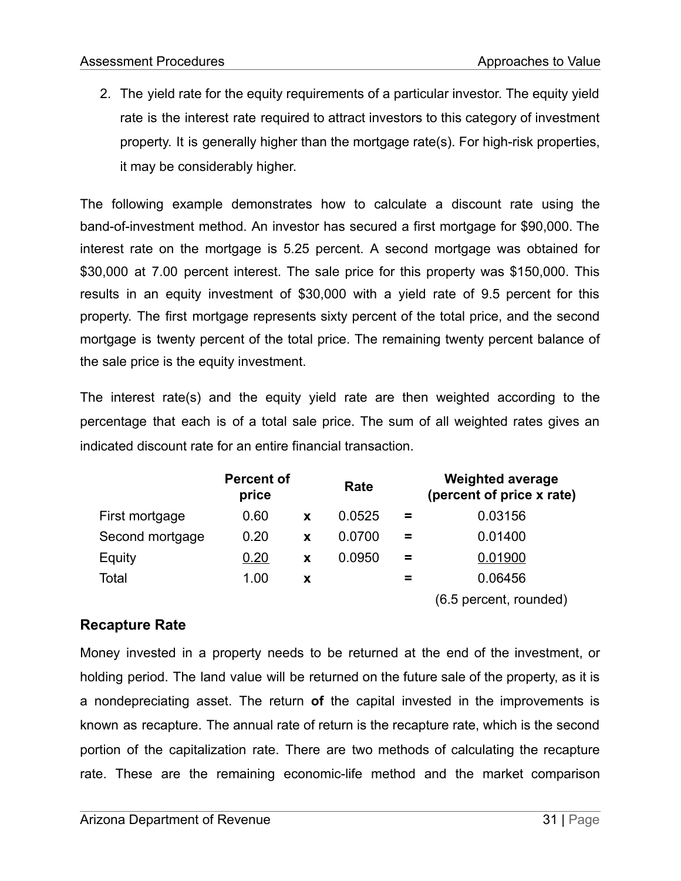2. The yield rate for the equity requirements of a particular investor. The equity yield rate is the interest rate required to attract investors to this category of investment property. It is generally higher than the mortgage rate(s). For high-risk properties, it may be considerably higher.

The following example demonstrates how to calculate a discount rate using the band-of-investment method. An investor has secured a first mortgage for \$90,000. The interest rate on the mortgage is 5.25 percent. A second mortgage was obtained for \$30,000 at 7.00 percent interest. The sale price for this property was \$150,000. This results in an equity investment of \$30,000 with a yield rate of 9.5 percent for this property. The first mortgage represents sixty percent of the total price, and the second mortgage is twenty percent of the total price. The remaining twenty percent balance of the sale price is the equity investment.

The interest rate(s) and the equity yield rate are then weighted according to the percentage that each is of a total sale price. The sum of all weighted rates gives an indicated discount rate for an entire financial transaction.

|                 | <b>Percent of</b><br>price |   | Rate   |          | <b>Weighted average</b><br>(percent of price x rate)                  |
|-----------------|----------------------------|---|--------|----------|-----------------------------------------------------------------------|
| First mortgage  | 0.60                       | X | 0.0525 | $\equiv$ | 0.03156                                                               |
| Second mortgage | 0.20                       | X | 0.0700 | =        | 0.01400                                                               |
| Equity          | 0.20                       | X | 0.0950 | =        | 0.01900                                                               |
| Total           | 1.00                       | x |        | =        | 0.06456                                                               |
|                 |                            |   |        |          | $\overline{C}$ $\overline{C}$ is special in the set of $\overline{C}$ |

(6.5 percent, rounded)

## **Recapture Rate**

Money invested in a property needs to be returned at the end of the investment, or holding period. The land value will be returned on the future sale of the property, as it is a nondepreciating asset. The return **of** the capital invested in the improvements is known as recapture. The annual rate of return is the recapture rate, which is the second portion of the capitalization rate. There are two methods of calculating the recapture rate. These are the remaining economic-life method and the market comparison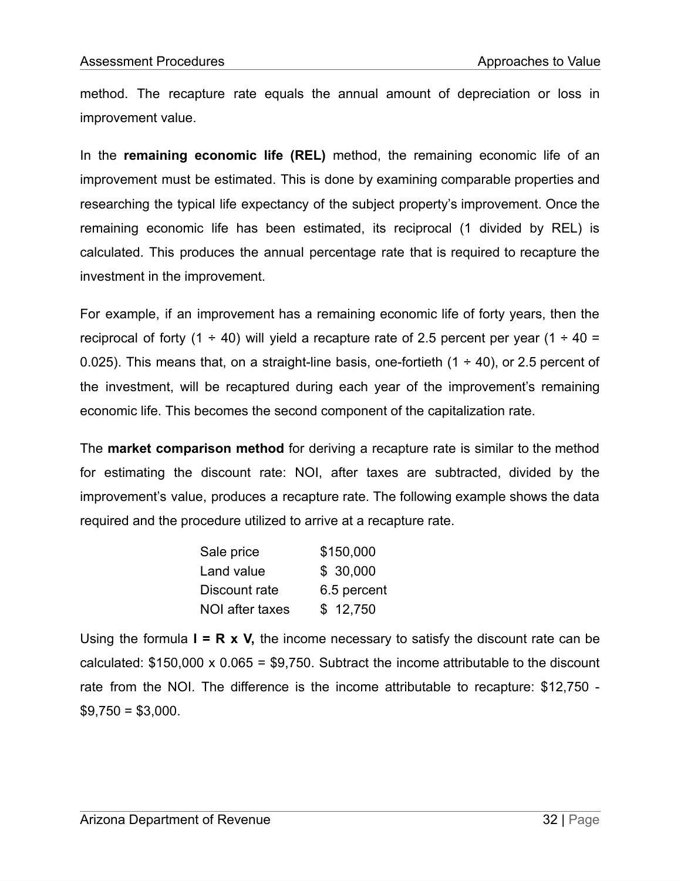method. The recapture rate equals the annual amount of depreciation or loss in improvement value.

In the **remaining economic life (REL)** method, the remaining economic life of an improvement must be estimated. This is done by examining comparable properties and researching the typical life expectancy of the subject property's improvement. Once the remaining economic life has been estimated, its reciprocal (1 divided by REL) is calculated. This produces the annual percentage rate that is required to recapture the investment in the improvement.

For example, if an improvement has a remaining economic life of forty years, then the reciprocal of forty (1  $\div$  40) will yield a recapture rate of 2.5 percent per year (1  $\div$  40 = 0.025). This means that, on a straight-line basis, one-fortieth  $(1 \div 40)$ , or 2.5 percent of the investment, will be recaptured during each year of the improvement's remaining economic life. This becomes the second component of the capitalization rate.

The **market comparison method** for deriving a recapture rate is similar to the method for estimating the discount rate: NOI, after taxes are subtracted, divided by the improvement's value, produces a recapture rate. The following example shows the data required and the procedure utilized to arrive at a recapture rate.

| Sale price      | \$150,000   |  |  |  |
|-----------------|-------------|--|--|--|
| Land value      | \$30,000    |  |  |  |
| Discount rate   | 6.5 percent |  |  |  |
| NOI after taxes | \$12,750    |  |  |  |

Using the formula **I = R x V,** the income necessary to satisfy the discount rate can be calculated:  $$150,000 \times 0.065 = $9,750$ . Subtract the income attributable to the discount rate from the NOI. The difference is the income attributable to recapture: \$12,750 -  $$9,750 = $3,000$ .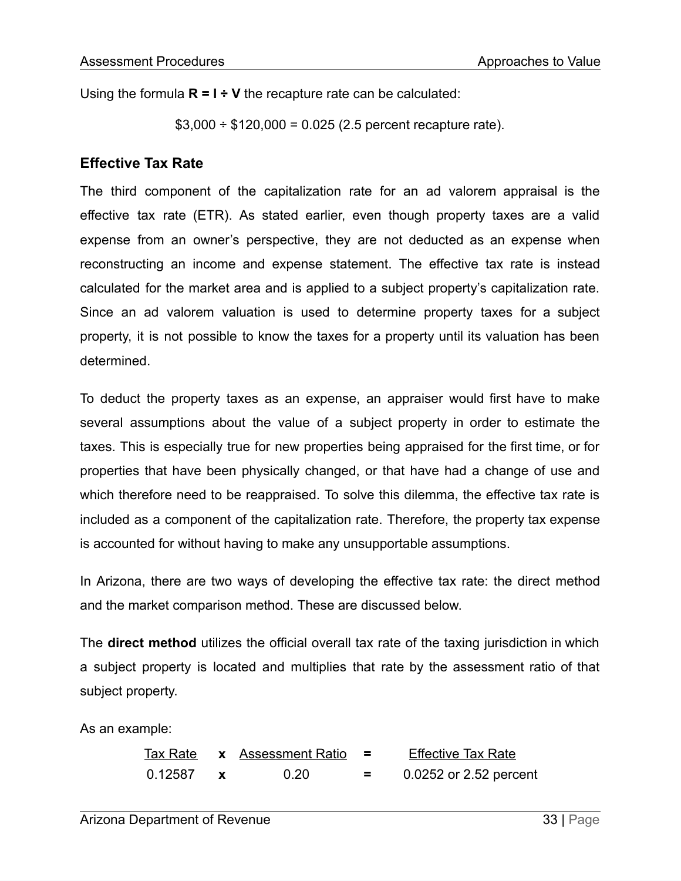Using the formula **R = I ÷ V** the recapture rate can be calculated:

 $$3,000 \div $120,000 = 0.025$  (2.5 percent recapture rate).

#### **Effective Tax Rate**

The third component of the capitalization rate for an ad valorem appraisal is the effective tax rate (ETR). As stated earlier, even though property taxes are a valid expense from an owner's perspective, they are not deducted as an expense when reconstructing an income and expense statement. The effective tax rate is instead calculated for the market area and is applied to a subject property's capitalization rate. Since an ad valorem valuation is used to determine property taxes for a subject property, it is not possible to know the taxes for a property until its valuation has been determined.

To deduct the property taxes as an expense, an appraiser would first have to make several assumptions about the value of a subject property in order to estimate the taxes. This is especially true for new properties being appraised for the first time, or for properties that have been physically changed, or that have had a change of use and which therefore need to be reappraised. To solve this dilemma, the effective tax rate is included as a component of the capitalization rate. Therefore, the property tax expense is accounted for without having to make any unsupportable assumptions.

In Arizona, there are two ways of developing the effective tax rate: the direct method and the market comparison method. These are discussed below.

The **direct method** utilizes the official overall tax rate of the taxing jurisdiction in which a subject property is located and multiplies that rate by the assessment ratio of that subject property.

As an example:

|         | Tax Rate $\quad x \quad$ Assessment Ratio = |           | <b>Effective Tax Rate</b> |
|---------|---------------------------------------------|-----------|---------------------------|
| 0.12587 | 0.20                                        | <u>н.</u> | 0.0252 or 2.52 percent    |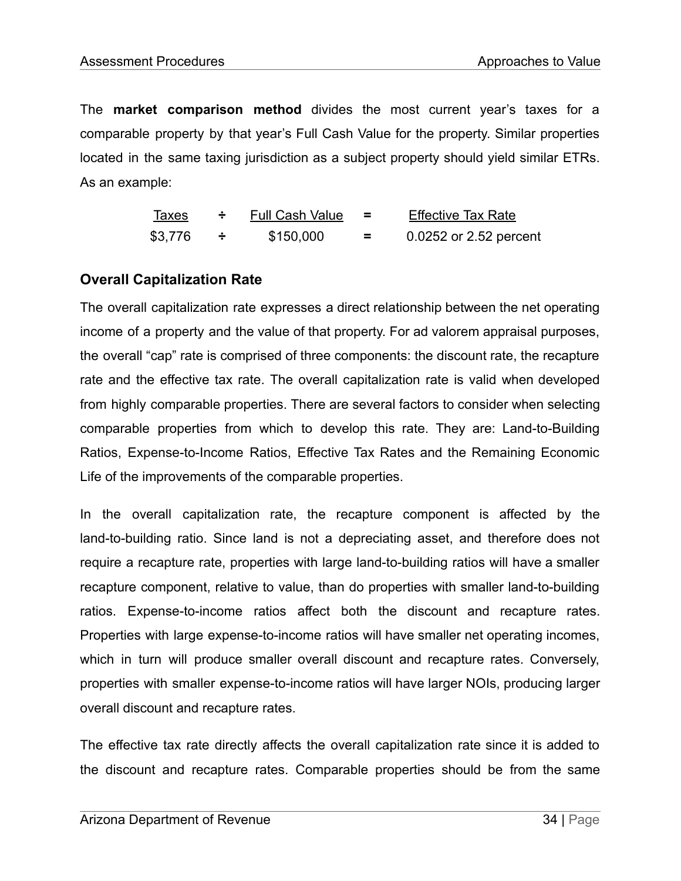The **market comparison method** divides the most current year's taxes for a comparable property by that year's Full Cash Value for the property. Similar properties located in the same taxing jurisdiction as a subject property should yield similar ETRs. As an example:

| Taxes   | <b>Full Cash Value</b> |    | <b>Effective Tax Rate</b> |
|---------|------------------------|----|---------------------------|
| \$3,776 | \$150,000              | Ξ. | 0.0252 or 2.52 percent    |

## **Overall Capitalization Rate**

The overall capitalization rate expresses a direct relationship between the net operating income of a property and the value of that property. For ad valorem appraisal purposes, the overall "cap" rate is comprised of three components: the discount rate, the recapture rate and the effective tax rate. The overall capitalization rate is valid when developed from highly comparable properties. There are several factors to consider when selecting comparable properties from which to develop this rate. They are: Land-to-Building Ratios, Expense-to-Income Ratios, Effective Tax Rates and the Remaining Economic Life of the improvements of the comparable properties.

In the overall capitalization rate, the recapture component is affected by the land-to-building ratio. Since land is not a depreciating asset, and therefore does not require a recapture rate, properties with large land-to-building ratios will have a smaller recapture component, relative to value, than do properties with smaller land-to-building ratios. Expense-to-income ratios affect both the discount and recapture rates. Properties with large expense-to-income ratios will have smaller net operating incomes, which in turn will produce smaller overall discount and recapture rates. Conversely, properties with smaller expense-to-income ratios will have larger NOIs, producing larger overall discount and recapture rates.

The effective tax rate directly affects the overall capitalization rate since it is added to the discount and recapture rates. Comparable properties should be from the same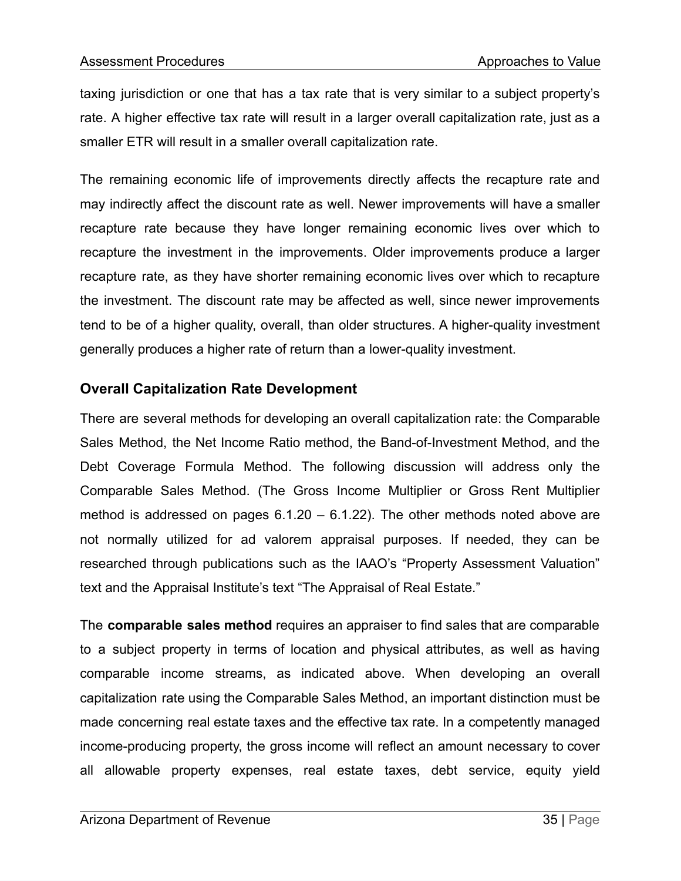taxing jurisdiction or one that has a tax rate that is very similar to a subject property's rate. A higher effective tax rate will result in a larger overall capitalization rate, just as a smaller ETR will result in a smaller overall capitalization rate.

The remaining economic life of improvements directly affects the recapture rate and may indirectly affect the discount rate as well. Newer improvements will have a smaller recapture rate because they have longer remaining economic lives over which to recapture the investment in the improvements. Older improvements produce a larger recapture rate, as they have shorter remaining economic lives over which to recapture the investment. The discount rate may be affected as well, since newer improvements tend to be of a higher quality, overall, than older structures. A higher-quality investment generally produces a higher rate of return than a lower-quality investment.

## **Overall Capitalization Rate Development**

There are several methods for developing an overall capitalization rate: the Comparable Sales Method, the Net Income Ratio method, the Band-of-Investment Method, and the Debt Coverage Formula Method. The following discussion will address only the Comparable Sales Method. (The Gross Income Multiplier or Gross Rent Multiplier method is addressed on pages  $6.1.20 - 6.1.22$ ). The other methods noted above are not normally utilized for ad valorem appraisal purposes. If needed, they can be researched through publications such as the IAAO's "Property Assessment Valuation" text and the Appraisal Institute's text "The Appraisal of Real Estate."

The **comparable sales method** requires an appraiser to find sales that are comparable to a subject property in terms of location and physical attributes, as well as having comparable income streams, as indicated above. When developing an overall capitalization rate using the Comparable Sales Method, an important distinction must be made concerning real estate taxes and the effective tax rate. In a competently managed income-producing property, the gross income will reflect an amount necessary to cover all allowable property expenses, real estate taxes, debt service, equity yield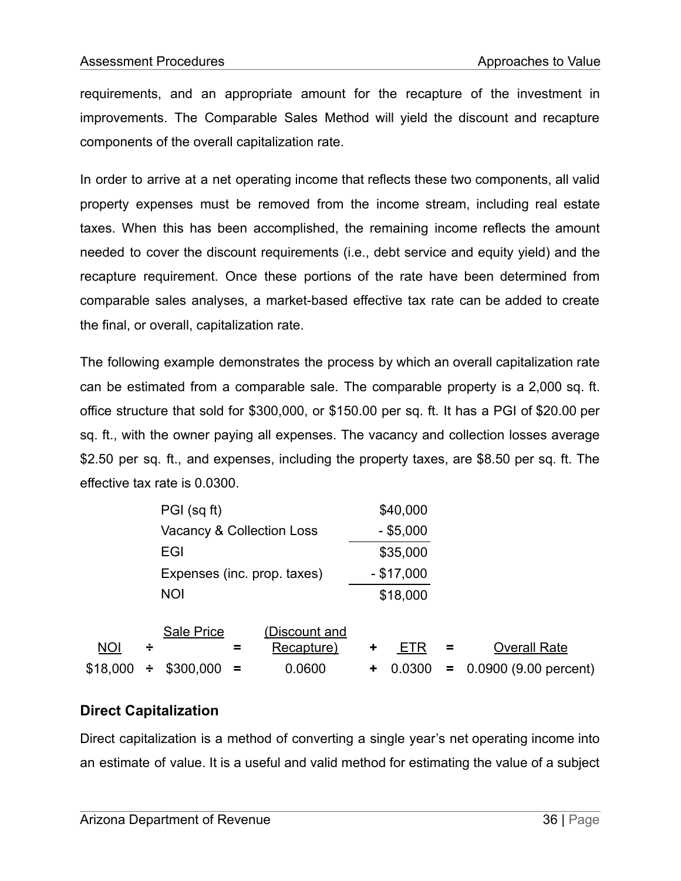requirements, and an appropriate amount for the recapture of the investment in improvements. The Comparable Sales Method will yield the discount and recapture components of the overall capitalization rate.

In order to arrive at a net operating income that reflects these two components, all valid property expenses must be removed from the income stream, including real estate taxes. When this has been accomplished, the remaining income reflects the amount needed to cover the discount requirements (i.e., debt service and equity yield) and the recapture requirement. Once these portions of the rate have been determined from comparable sales analyses, a market-based effective tax rate can be added to create the final, or overall, capitalization rate.

The following example demonstrates the process by which an overall capitalization rate can be estimated from a comparable sale. The comparable property is a 2,000 sq. ft. office structure that sold for \$300,000, or \$150.00 per sq. ft. It has a PGI of \$20.00 per sq. ft., with the owner paying all expenses. The vacancy and collection losses average \$2.50 per sq. ft., and expenses, including the property taxes, are \$8.50 per sq. ft. The effective tax rate is 0.0300.

|            |   | PGI (sq ft)                          |          |                      |   | \$40,000     |    |                       |
|------------|---|--------------------------------------|----------|----------------------|---|--------------|----|-----------------------|
|            |   | <b>Vacancy &amp; Collection Loss</b> |          |                      |   | $-$ \$5,000  |    |                       |
|            |   | EGI                                  |          |                      |   | \$35,000     |    |                       |
|            |   | Expenses (inc. prop. taxes)          |          |                      |   | $-$ \$17,000 |    |                       |
|            |   | <b>NOI</b>                           |          |                      |   | \$18,000     |    |                       |
|            |   | <b>Sale Price</b>                    |          | <u>(Discount and</u> |   |              |    |                       |
| <b>NOI</b> | ÷ |                                      | =        | Recapture)           | ٠ | EIR          | Ξ  | <b>Overall Rate</b>   |
| \$18,000   | ÷ | \$300,000                            | $\equiv$ | 0.0600               | ٠ | 0.0300       | Ξ. | 0.0900 (9.00 percent) |
|            |   |                                      |          |                      |   |              |    |                       |

## **Direct Capitalization**

Direct capitalization is a method of converting a single year's net operating income into an estimate of value. It is a useful and valid method for estimating the value of a subject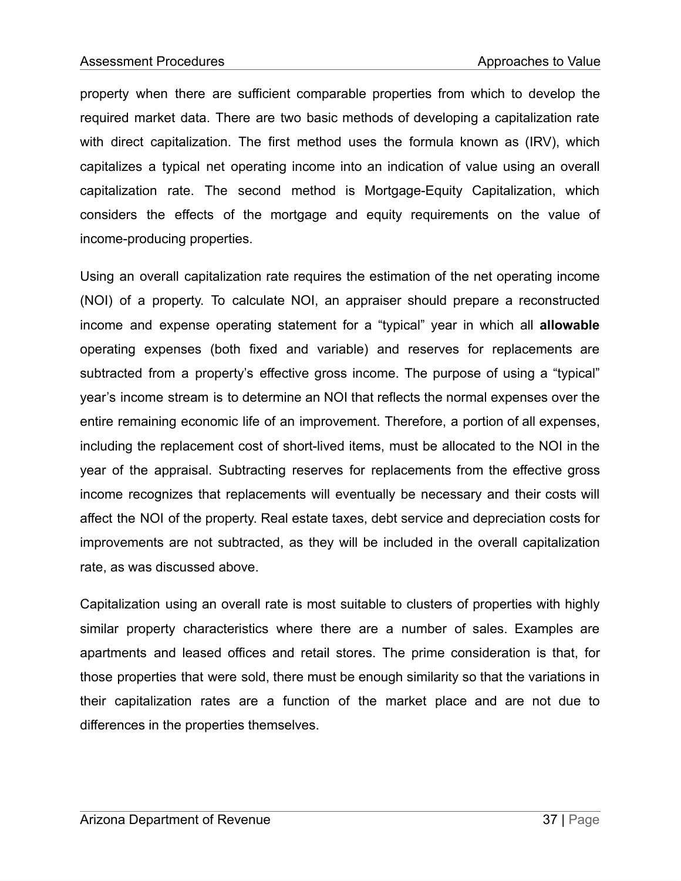property when there are sufficient comparable properties from which to develop the required market data. There are two basic methods of developing a capitalization rate with direct capitalization. The first method uses the formula known as (IRV), which capitalizes a typical net operating income into an indication of value using an overall capitalization rate. The second method is Mortgage-Equity Capitalization, which considers the effects of the mortgage and equity requirements on the value of income-producing properties.

Using an overall capitalization rate requires the estimation of the net operating income (NOI) of a property. To calculate NOI, an appraiser should prepare a reconstructed income and expense operating statement for a "typical" year in which all **allowable** operating expenses (both fixed and variable) and reserves for replacements are subtracted from a property's effective gross income. The purpose of using a "typical" year's income stream is to determine an NOI that reflects the normal expenses over the entire remaining economic life of an improvement. Therefore, a portion of all expenses, including the replacement cost of short-lived items, must be allocated to the NOI in the year of the appraisal. Subtracting reserves for replacements from the effective gross income recognizes that replacements will eventually be necessary and their costs will affect the NOI of the property. Real estate taxes, debt service and depreciation costs for improvements are not subtracted, as they will be included in the overall capitalization rate, as was discussed above.

Capitalization using an overall rate is most suitable to clusters of properties with highly similar property characteristics where there are a number of sales. Examples are apartments and leased offices and retail stores. The prime consideration is that, for those properties that were sold, there must be enough similarity so that the variations in their capitalization rates are a function of the market place and are not due to differences in the properties themselves.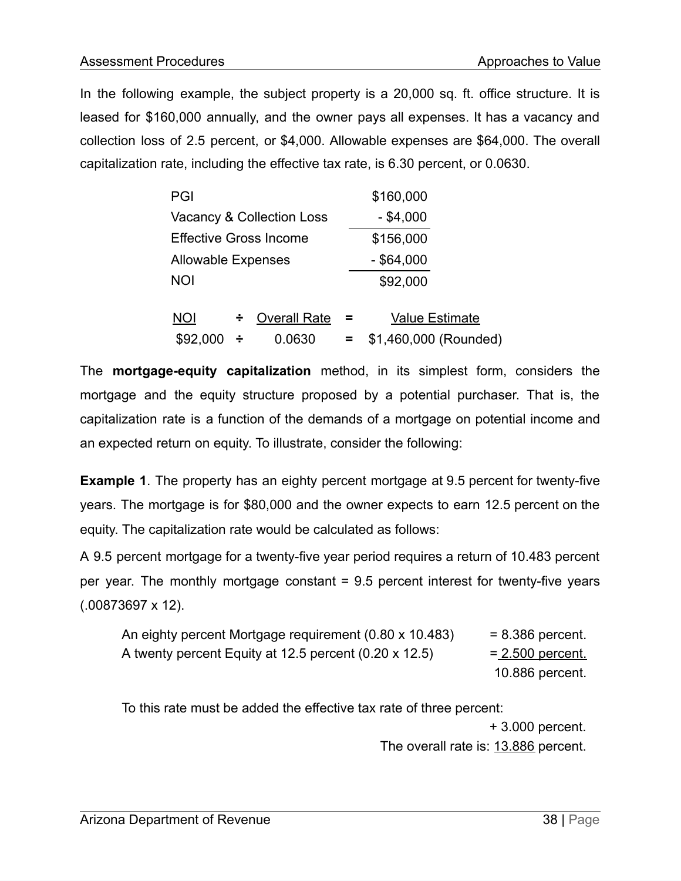In the following example, the subject property is a 20,000 sq. ft. office structure. It is leased for \$160,000 annually, and the owner pays all expenses. It has a vacancy and collection loss of 2.5 percent, or \$4,000. Allowable expenses are \$64,000. The overall capitalization rate, including the effective tax rate, is 6.30 percent, or 0.0630.

| PGI                       |   |                           |              | \$160,000             |  |  |
|---------------------------|---|---------------------------|--------------|-----------------------|--|--|
|                           |   | Vacancy & Collection Loss |              | $-$ \$4,000           |  |  |
| Effective Gross Income    |   |                           |              | \$156,000             |  |  |
| <b>Allowable Expenses</b> |   |                           | $-$ \$64,000 |                       |  |  |
| <b>NOI</b>                |   |                           |              | \$92,000              |  |  |
|                           |   |                           |              |                       |  |  |
| <b>NOI</b>                | ÷ | <b>Overall Rate</b>       | =            | <b>Value Estimate</b> |  |  |
| \$92,000                  | ÷ | 0.0630                    |              | \$1,460,000 (Rounded) |  |  |

The **mortgage-equity capitalization** method, in its simplest form, considers the mortgage and the equity structure proposed by a potential purchaser. That is, the capitalization rate is a function of the demands of a mortgage on potential income and an expected return on equity. To illustrate, consider the following:

**Example 1**. The property has an eighty percent mortgage at 9.5 percent for twenty-five years. The mortgage is for \$80,000 and the owner expects to earn 12.5 percent on the equity. The capitalization rate would be calculated as follows:

A 9.5 percent mortgage for a twenty-five year period requires a return of 10.483 percent per year. The monthly mortgage constant = 9.5 percent interest for twenty-five years (.00873697 x 12).

| An eighty percent Mortgage requirement (0.80 x 10.483) | $= 8.386$ percent. |
|--------------------------------------------------------|--------------------|
| A twenty percent Equity at 12.5 percent (0.20 x 12.5)  | $= 2.500$ percent. |
|                                                        | 10.886 percent.    |

To this rate must be added the effective tax rate of three percent: + 3.000 percent.

The overall rate is: 13.886 percent.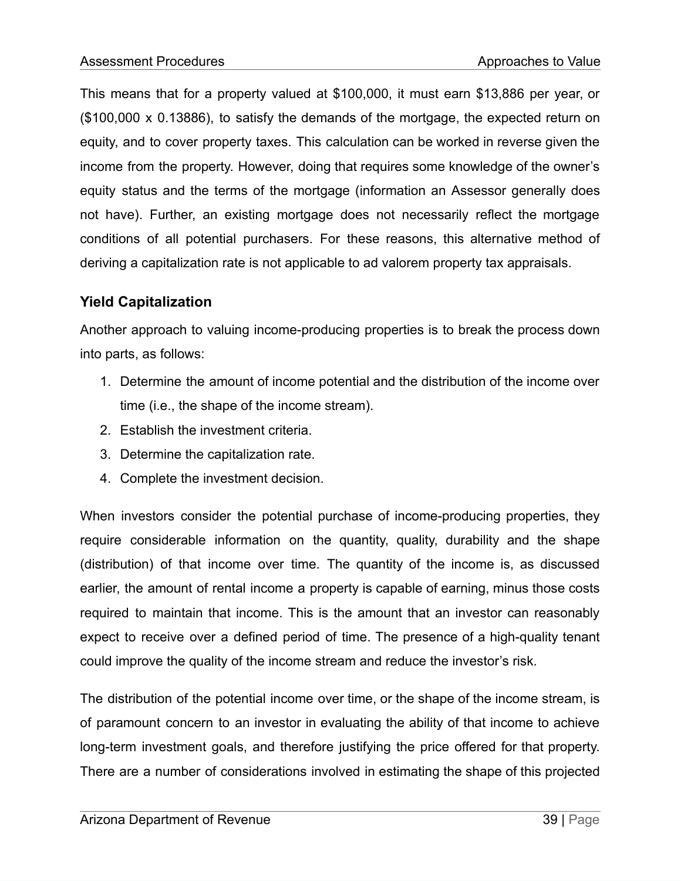This means that for a property valued at \$100,000, it must earn \$13,886 per year, or (\$100,000 x 0.13886), to satisfy the demands of the mortgage, the expected return on equity, and to cover property taxes. This calculation can be worked in reverse given the income from the property. However, doing that requires some knowledge of the owner's equity status and the terms of the mortgage (information an Assessor generally does not have). Further, an existing mortgage does not necessarily reflect the mortgage conditions of all potential purchasers. For these reasons, this alternative method of deriving a capitalization rate is not applicable to ad valorem property tax appraisals.

## **Yield Capitalization**

Another approach to valuing income-producing properties is to break the process down into parts, as follows:

- 1. Determine the amount of income potential and the distribution of the income over time (i.e., the shape of the income stream).
- 2. Establish the investment criteria.
- 3. Determine the capitalization rate.
- 4. Complete the investment decision.

When investors consider the potential purchase of income-producing properties, they require considerable information on the quantity, quality, durability and the shape (distribution) of that income over time. The quantity of the income is, as discussed earlier, the amount of rental income a property is capable of earning, minus those costs required to maintain that income. This is the amount that an investor can reasonably expect to receive over a defined period of time. The presence of a high-quality tenant could improve the quality of the income stream and reduce the investor's risk.

The distribution of the potential income over time, or the shape of the income stream, is of paramount concern to an investor in evaluating the ability of that income to achieve long-term investment goals, and therefore justifying the price offered for that property. There are a number of considerations involved in estimating the shape of this projected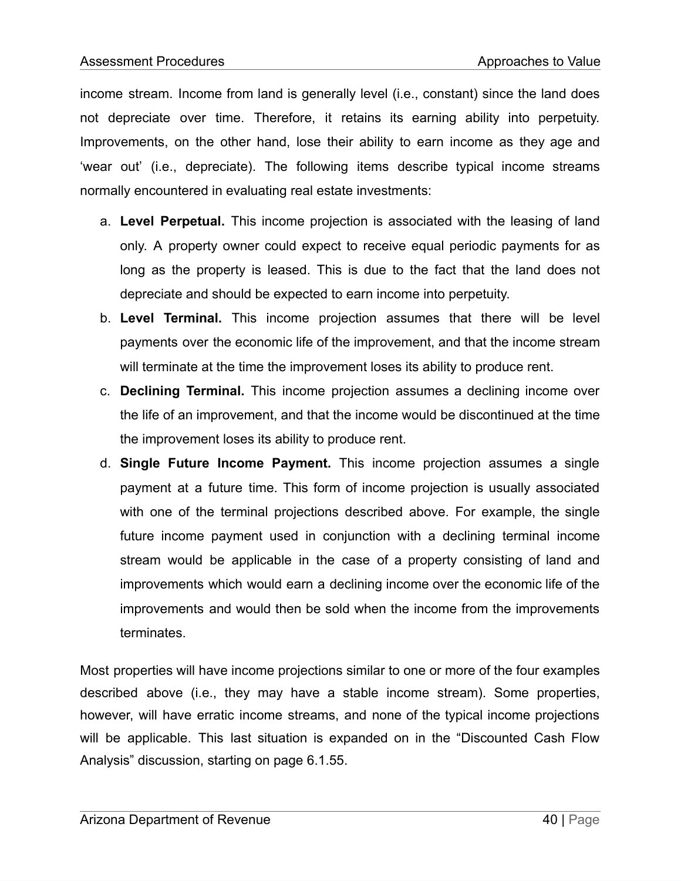income stream. Income from land is generally level (i.e., constant) since the land does not depreciate over time. Therefore, it retains its earning ability into perpetuity. Improvements, on the other hand, lose their ability to earn income as they age and 'wear out' (i.e., depreciate). The following items describe typical income streams normally encountered in evaluating real estate investments:

- a. **Level Perpetual.** This income projection is associated with the leasing of land only. A property owner could expect to receive equal periodic payments for as long as the property is leased. This is due to the fact that the land does not depreciate and should be expected to earn income into perpetuity.
- b. **Level Terminal.** This income projection assumes that there will be level payments over the economic life of the improvement, and that the income stream will terminate at the time the improvement loses its ability to produce rent.
- c. **Declining Terminal.** This income projection assumes a declining income over the life of an improvement, and that the income would be discontinued at the time the improvement loses its ability to produce rent.
- d. **Single Future Income Payment.** This income projection assumes a single payment at a future time. This form of income projection is usually associated with one of the terminal projections described above. For example, the single future income payment used in conjunction with a declining terminal income stream would be applicable in the case of a property consisting of land and improvements which would earn a declining income over the economic life of the improvements and would then be sold when the income from the improvements terminates.

Most properties will have income projections similar to one or more of the four examples described above (i.e., they may have a stable income stream). Some properties, however, will have erratic income streams, and none of the typical income projections will be applicable. This last situation is expanded on in the "Discounted Cash Flow Analysis" discussion, starting on page 6.1.55.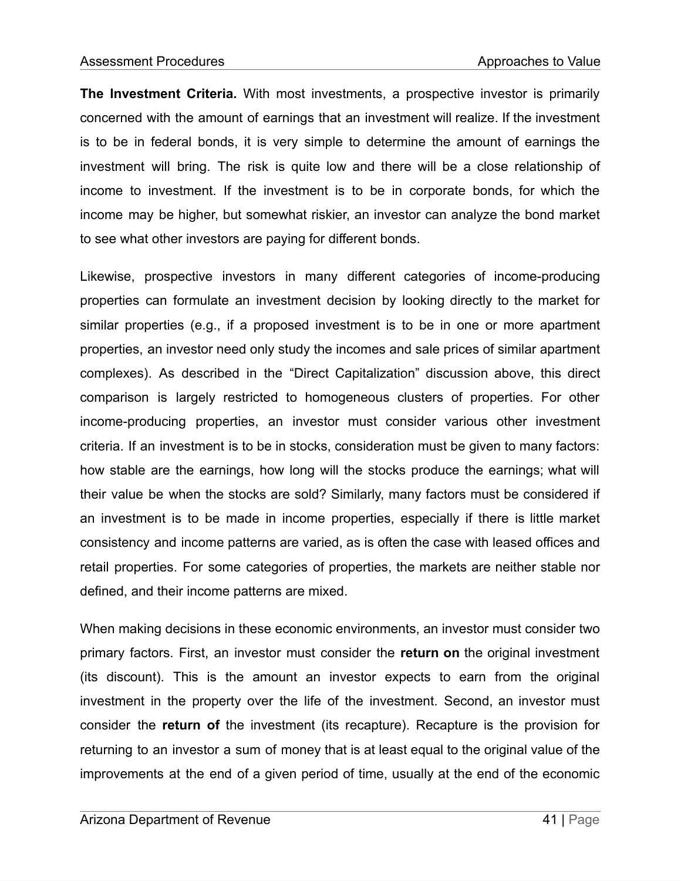**The Investment Criteria.** With most investments, a prospective investor is primarily concerned with the amount of earnings that an investment will realize. If the investment is to be in federal bonds, it is very simple to determine the amount of earnings the investment will bring. The risk is quite low and there will be a close relationship of income to investment. If the investment is to be in corporate bonds, for which the income may be higher, but somewhat riskier, an investor can analyze the bond market to see what other investors are paying for different bonds.

Likewise, prospective investors in many different categories of income-producing properties can formulate an investment decision by looking directly to the market for similar properties (e.g., if a proposed investment is to be in one or more apartment properties, an investor need only study the incomes and sale prices of similar apartment complexes). As described in the "Direct Capitalization" discussion above, this direct comparison is largely restricted to homogeneous clusters of properties. For other income-producing properties, an investor must consider various other investment criteria. If an investment is to be in stocks, consideration must be given to many factors: how stable are the earnings, how long will the stocks produce the earnings; what will their value be when the stocks are sold? Similarly, many factors must be considered if an investment is to be made in income properties, especially if there is little market consistency and income patterns are varied, as is often the case with leased offices and retail properties. For some categories of properties, the markets are neither stable nor defined, and their income patterns are mixed.

When making decisions in these economic environments, an investor must consider two primary factors. First, an investor must consider the **return on** the original investment (its discount). This is the amount an investor expects to earn from the original investment in the property over the life of the investment. Second, an investor must consider the **return of** the investment (its recapture). Recapture is the provision for returning to an investor a sum of money that is at least equal to the original value of the improvements at the end of a given period of time, usually at the end of the economic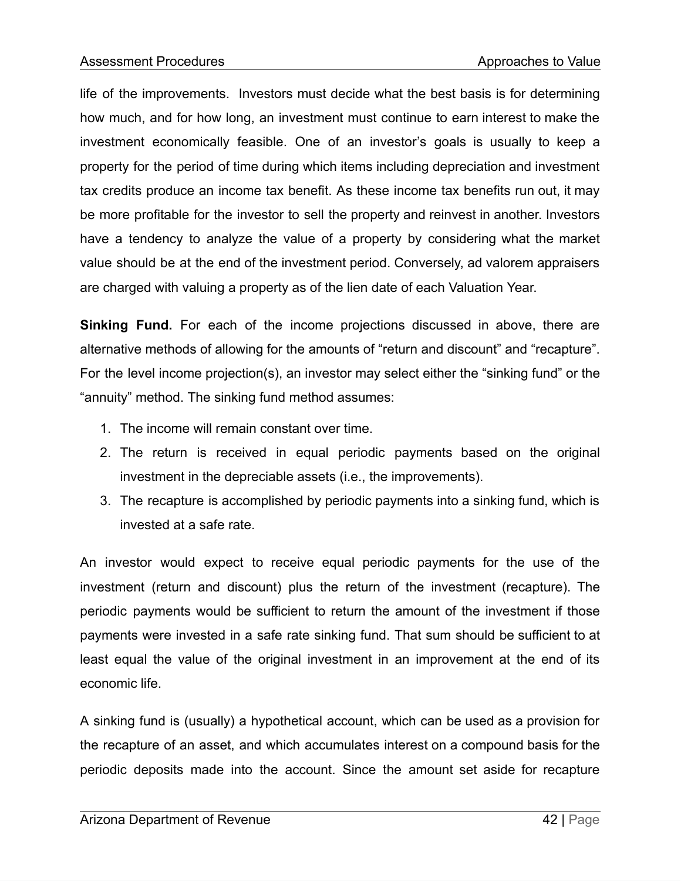life of the improvements. Investors must decide what the best basis is for determining how much, and for how long, an investment must continue to earn interest to make the investment economically feasible. One of an investor's goals is usually to keep a property for the period of time during which items including depreciation and investment tax credits produce an income tax benefit. As these income tax benefits run out, it may be more profitable for the investor to sell the property and reinvest in another. Investors have a tendency to analyze the value of a property by considering what the market value should be at the end of the investment period. Conversely, ad valorem appraisers are charged with valuing a property as of the lien date of each Valuation Year.

**Sinking Fund.** For each of the income projections discussed in above, there are alternative methods of allowing for the amounts of "return and discount" and "recapture". For the level income projection(s), an investor may select either the "sinking fund" or the "annuity" method. The sinking fund method assumes:

- 1. The income will remain constant over time.
- 2. The return is received in equal periodic payments based on the original investment in the depreciable assets (i.e., the improvements).
- 3. The recapture is accomplished by periodic payments into a sinking fund, which is invested at a safe rate.

An investor would expect to receive equal periodic payments for the use of the investment (return and discount) plus the return of the investment (recapture). The periodic payments would be sufficient to return the amount of the investment if those payments were invested in a safe rate sinking fund. That sum should be sufficient to at least equal the value of the original investment in an improvement at the end of its economic life.

A sinking fund is (usually) a hypothetical account, which can be used as a provision for the recapture of an asset, and which accumulates interest on a compound basis for the periodic deposits made into the account. Since the amount set aside for recapture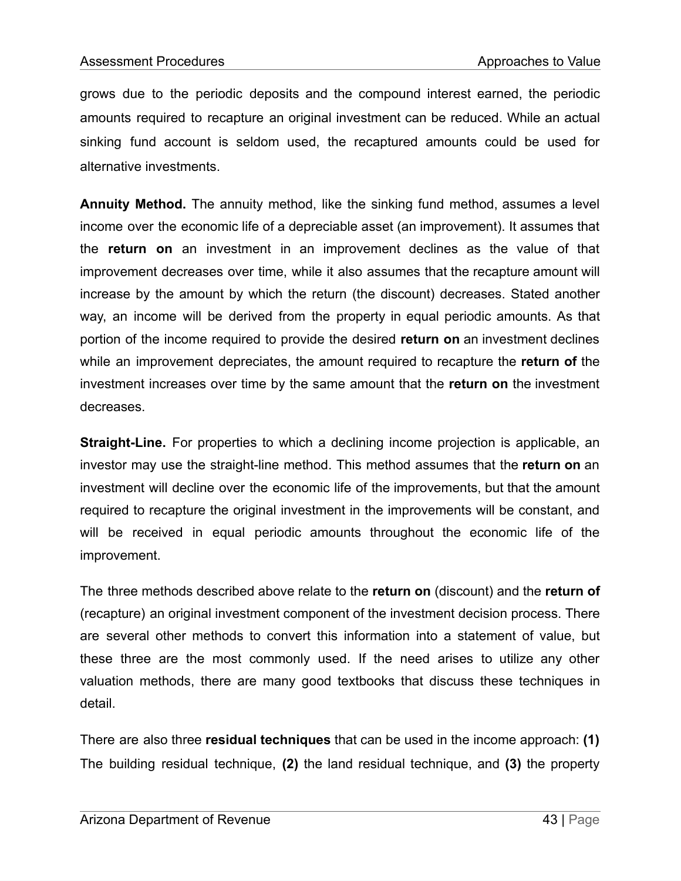grows due to the periodic deposits and the compound interest earned, the periodic amounts required to recapture an original investment can be reduced. While an actual sinking fund account is seldom used, the recaptured amounts could be used for alternative investments.

**Annuity Method.** The annuity method, like the sinking fund method, assumes a level income over the economic life of a depreciable asset (an improvement). It assumes that the **return on** an investment in an improvement declines as the value of that improvement decreases over time, while it also assumes that the recapture amount will increase by the amount by which the return (the discount) decreases. Stated another way, an income will be derived from the property in equal periodic amounts. As that portion of the income required to provide the desired **return on** an investment declines while an improvement depreciates, the amount required to recapture the **return of** the investment increases over time by the same amount that the **return on** the investment decreases.

**Straight-Line.** For properties to which a declining income projection is applicable, an investor may use the straight-line method. This method assumes that the **return on** an investment will decline over the economic life of the improvements, but that the amount required to recapture the original investment in the improvements will be constant, and will be received in equal periodic amounts throughout the economic life of the improvement.

The three methods described above relate to the **return on** (discount) and the **return of** (recapture) an original investment component of the investment decision process. There are several other methods to convert this information into a statement of value, but these three are the most commonly used. If the need arises to utilize any other valuation methods, there are many good textbooks that discuss these techniques in detail.

There are also three **residual techniques** that can be used in the income approach: **(1)** The building residual technique, **(2)** the land residual technique, and **(3)** the property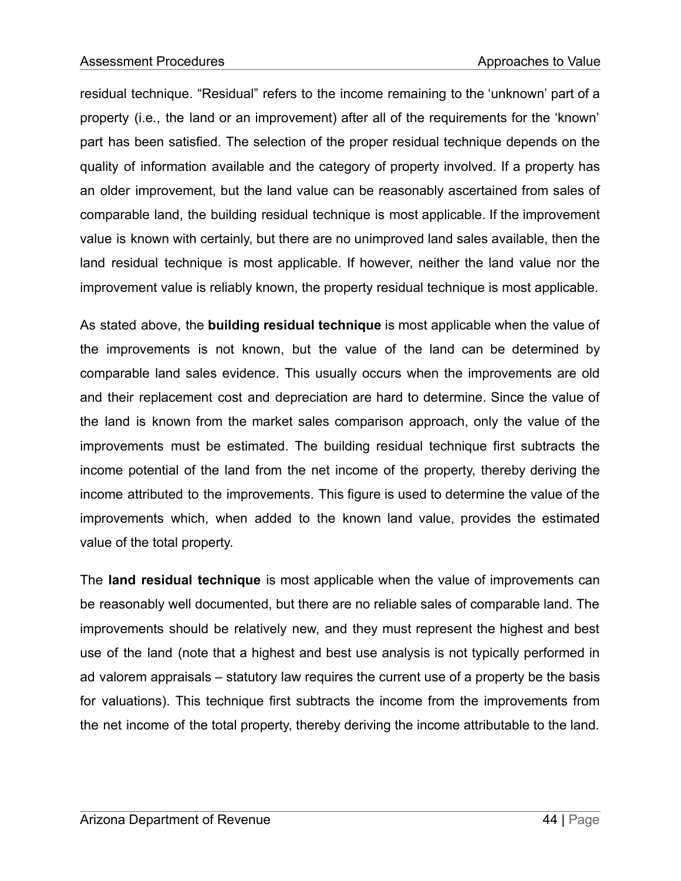residual technique. "Residual" refers to the income remaining to the 'unknown' part of a property (i.e., the land or an improvement) after all of the requirements for the 'known' part has been satisfied. The selection of the proper residual technique depends on the quality of information available and the category of property involved. If a property has an older improvement, but the land value can be reasonably ascertained from sales of comparable land, the building residual technique is most applicable. If the improvement value is known with certainly, but there are no unimproved land sales available, then the land residual technique is most applicable. If however, neither the land value nor the improvement value is reliably known, the property residual technique is most applicable.

As stated above, the **building residual technique** is most applicable when the value of the improvements is not known, but the value of the land can be determined by comparable land sales evidence. This usually occurs when the improvements are old and their replacement cost and depreciation are hard to determine. Since the value of the land is known from the market sales comparison approach, only the value of the improvements must be estimated. The building residual technique first subtracts the income potential of the land from the net income of the property, thereby deriving the income attributed to the improvements. This figure is used to determine the value of the improvements which, when added to the known land value, provides the estimated value of the total property.

The **land residual technique** is most applicable when the value of improvements can be reasonably well documented, but there are no reliable sales of comparable land. The improvements should be relatively new, and they must represent the highest and best use of the land (note that a highest and best use analysis is not typically performed in ad valorem appraisals – statutory law requires the current use of a property be the basis for valuations). This technique first subtracts the income from the improvements from the net income of the total property, thereby deriving the income attributable to the land.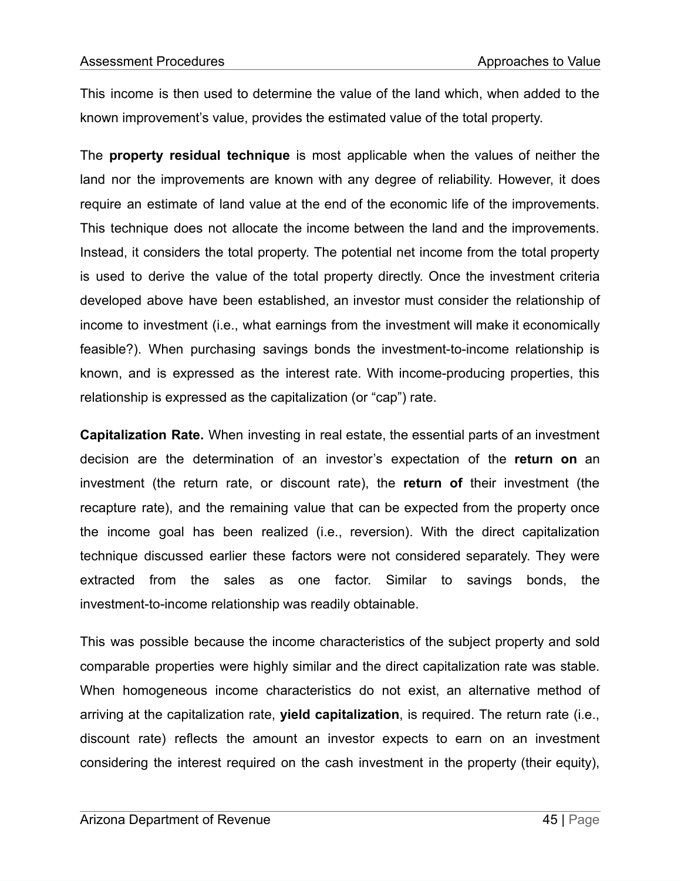This income is then used to determine the value of the land which, when added to the known improvement's value, provides the estimated value of the total property.

The **property residual technique** is most applicable when the values of neither the land nor the improvements are known with any degree of reliability. However, it does require an estimate of land value at the end of the economic life of the improvements. This technique does not allocate the income between the land and the improvements. Instead, it considers the total property. The potential net income from the total property is used to derive the value of the total property directly. Once the investment criteria developed above have been established, an investor must consider the relationship of income to investment (i.e., what earnings from the investment will make it economically feasible?). When purchasing savings bonds the investment-to-income relationship is known, and is expressed as the interest rate. With income-producing properties, this relationship is expressed as the capitalization (or "cap") rate.

**Capitalization Rate.** When investing in real estate, the essential parts of an investment decision are the determination of an investor's expectation of the **return on** an investment (the return rate, or discount rate), the **return of** their investment (the recapture rate), and the remaining value that can be expected from the property once the income goal has been realized (i.e., reversion). With the direct capitalization technique discussed earlier these factors were not considered separately. They were extracted from the sales as one factor. Similar to savings bonds, the investment-to-income relationship was readily obtainable.

This was possible because the income characteristics of the subject property and sold comparable properties were highly similar and the direct capitalization rate was stable. When homogeneous income characteristics do not exist, an alternative method of arriving at the capitalization rate, **yield capitalization**, is required. The return rate (i.e., discount rate) reflects the amount an investor expects to earn on an investment considering the interest required on the cash investment in the property (their equity),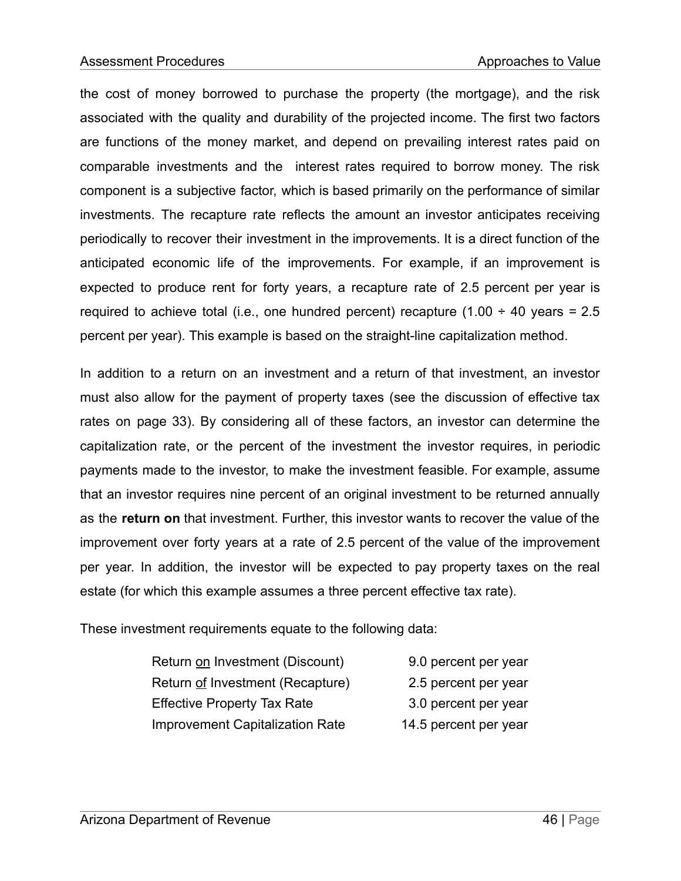the cost of money borrowed to purchase the property (the mortgage), and the risk associated with the quality and durability of the projected income. The first two factors are functions of the money market, and depend on prevailing interest rates paid on comparable investments and the interest rates required to borrow money. The risk component is a subjective factor, which is based primarily on the performance of similar investments. The recapture rate reflects the amount an investor anticipates receiving periodically to recover their investment in the improvements. It is a direct function of the anticipated economic life of the improvements. For example, if an improvement is expected to produce rent for forty years, a recapture rate of 2.5 percent per year is required to achieve total (i.e., one hundred percent) recapture (1.00  $\div$  40 years = 2.5 percent per year). This example is based on the straight-line capitalization method.

In addition to a return on an investment and a return of that investment, an investor must also allow for the payment of property taxes (see the discussion of effective tax rates on page 33). By considering all of these factors, an investor can determine the capitalization rate, or the percent of the investment the investor requires, in periodic payments made to the investor, to make the investment feasible. For example, assume that an investor requires nine percent of an original investment to be returned annually as the **return on** that investment. Further, this investor wants to recover the value of the improvement over forty years at a rate of 2.5 percent of the value of the improvement per year. In addition, the investor will be expected to pay property taxes on the real estate (for which this example assumes a three percent effective tax rate).

These investment requirements equate to the following data:

| Return on Investment (Discount)        | 9.0 percent per year  |
|----------------------------------------|-----------------------|
| Return of Investment (Recapture)       | 2.5 percent per year  |
| <b>Effective Property Tax Rate</b>     | 3.0 percent per year  |
| <b>Improvement Capitalization Rate</b> | 14.5 percent per year |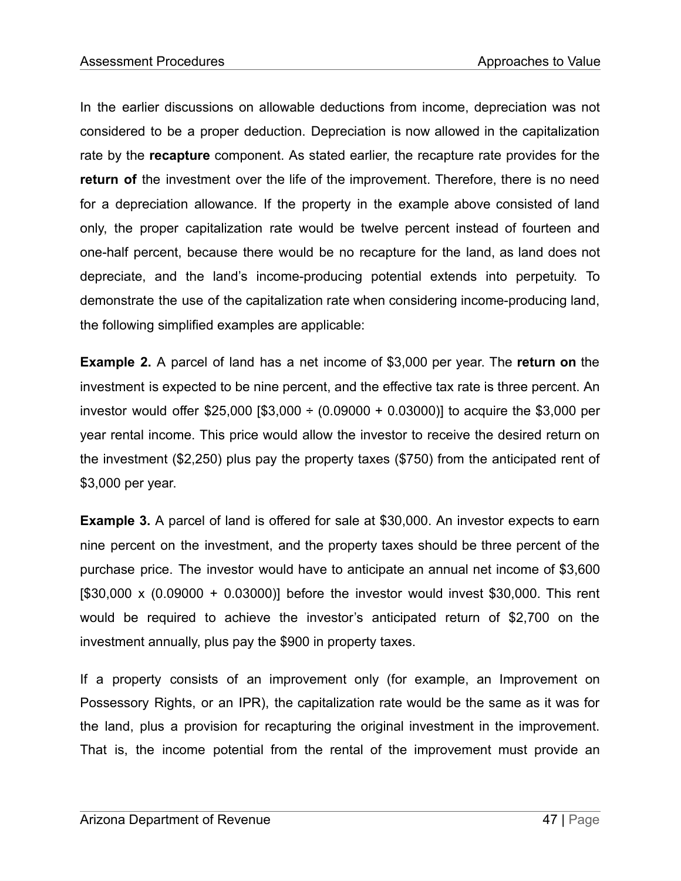In the earlier discussions on allowable deductions from income, depreciation was not considered to be a proper deduction. Depreciation is now allowed in the capitalization rate by the **recapture** component. As stated earlier, the recapture rate provides for the **return of** the investment over the life of the improvement. Therefore, there is no need for a depreciation allowance. If the property in the example above consisted of land only, the proper capitalization rate would be twelve percent instead of fourteen and one-half percent, because there would be no recapture for the land, as land does not depreciate, and the land's income-producing potential extends into perpetuity. To demonstrate the use of the capitalization rate when considering income-producing land, the following simplified examples are applicable:

**Example 2.** A parcel of land has a net income of \$3,000 per year. The **return on** the investment is expected to be nine percent, and the effective tax rate is three percent. An investor would offer \$25,000 [\$3,000  $\div$  (0.09000 + 0.03000)] to acquire the \$3,000 per year rental income. This price would allow the investor to receive the desired return on the investment (\$2,250) plus pay the property taxes (\$750) from the anticipated rent of \$3,000 per year.

**Example 3.** A parcel of land is offered for sale at \$30,000. An investor expects to earn nine percent on the investment, and the property taxes should be three percent of the purchase price. The investor would have to anticipate an annual net income of \$3,600  $[$30,000 \times (0.09000 + 0.03000)]$  before the investor would invest \$30,000. This rent would be required to achieve the investor's anticipated return of \$2,700 on the investment annually, plus pay the \$900 in property taxes.

If a property consists of an improvement only (for example, an Improvement on Possessory Rights, or an IPR), the capitalization rate would be the same as it was for the land, plus a provision for recapturing the original investment in the improvement. That is, the income potential from the rental of the improvement must provide an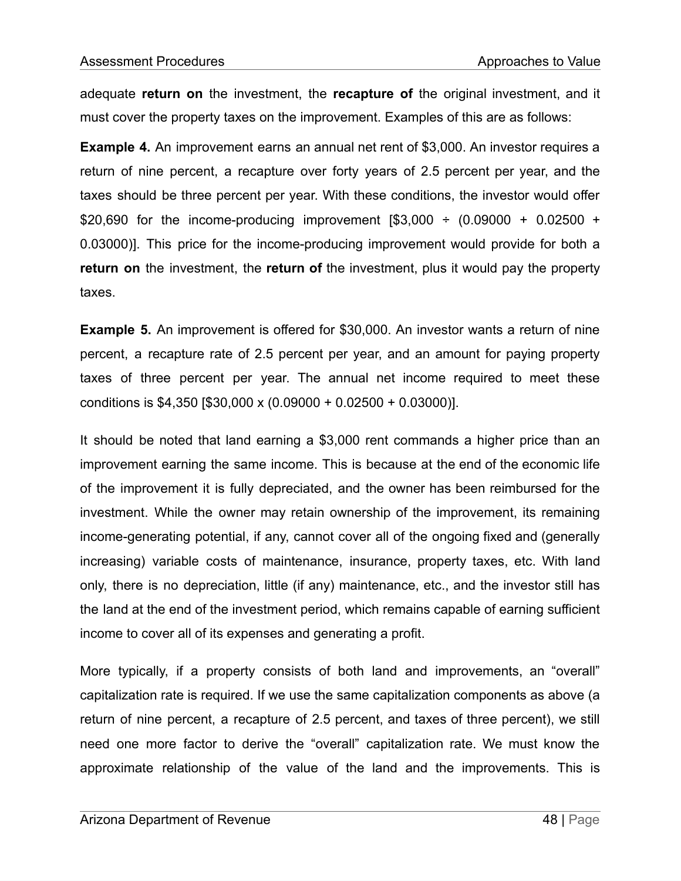adequate **return on** the investment, the **recapture of** the original investment, and it must cover the property taxes on the improvement. Examples of this are as follows:

**Example 4.** An improvement earns an annual net rent of \$3,000. An investor requires a return of nine percent, a recapture over forty years of 2.5 percent per year, and the taxes should be three percent per year. With these conditions, the investor would offer \$20,690 for the income-producing improvement  $[$3,000 \div (0.09000 + 0.02500 +$ 0.03000)]. This price for the income-producing improvement would provide for both a **return on** the investment, the **return of** the investment, plus it would pay the property taxes.

**Example 5.** An improvement is offered for \$30,000. An investor wants a return of nine percent, a recapture rate of 2.5 percent per year, and an amount for paying property taxes of three percent per year. The annual net income required to meet these conditions is \$4,350 [\$30,000 x (0.09000 + 0.02500 + 0.03000)].

It should be noted that land earning a \$3,000 rent commands a higher price than an improvement earning the same income. This is because at the end of the economic life of the improvement it is fully depreciated, and the owner has been reimbursed for the investment. While the owner may retain ownership of the improvement, its remaining income-generating potential, if any, cannot cover all of the ongoing fixed and (generally increasing) variable costs of maintenance, insurance, property taxes, etc. With land only, there is no depreciation, little (if any) maintenance, etc., and the investor still has the land at the end of the investment period, which remains capable of earning sufficient income to cover all of its expenses and generating a profit.

More typically, if a property consists of both land and improvements, an "overall" capitalization rate is required. If we use the same capitalization components as above (a return of nine percent, a recapture of 2.5 percent, and taxes of three percent), we still need one more factor to derive the "overall" capitalization rate. We must know the approximate relationship of the value of the land and the improvements. This is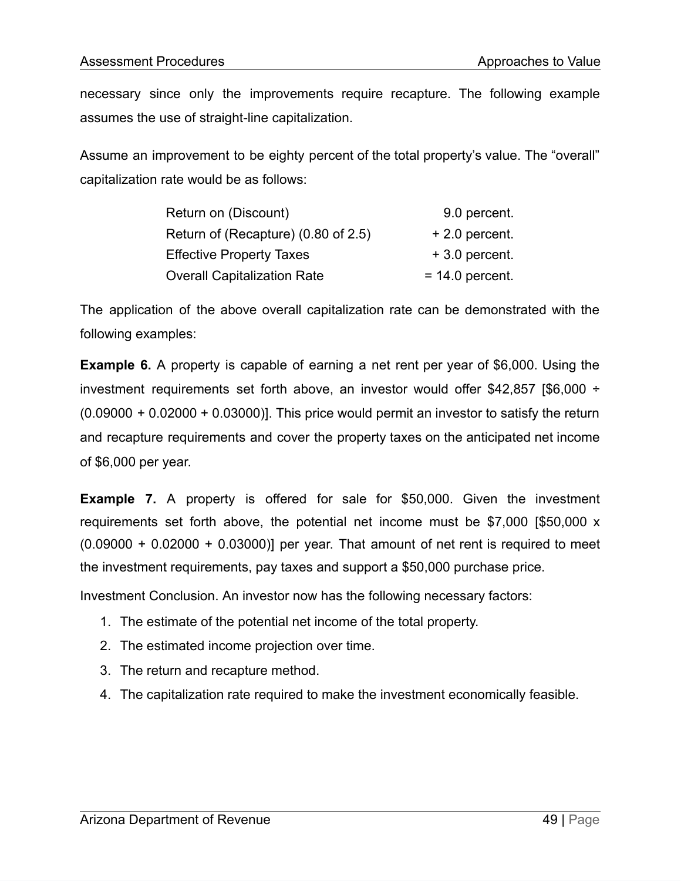necessary since only the improvements require recapture. The following example assumes the use of straight-line capitalization.

Assume an improvement to be eighty percent of the total property's value. The "overall" capitalization rate would be as follows:

| Return on (Discount)                | 9.0 percent.      |
|-------------------------------------|-------------------|
| Return of (Recapture) (0.80 of 2.5) | $+2.0$ percent.   |
| <b>Effective Property Taxes</b>     | $+3.0$ percent.   |
| <b>Overall Capitalization Rate</b>  | $= 14.0$ percent. |

The application of the above overall capitalization rate can be demonstrated with the following examples:

**Example 6.** A property is capable of earning a net rent per year of \$6,000. Using the investment requirements set forth above, an investor would offer \$42,857 [\$6,000 ÷  $(0.09000 + 0.02000 + 0.03000)$ ]. This price would permit an investor to satisfy the return and recapture requirements and cover the property taxes on the anticipated net income of \$6,000 per year.

**Example 7.** A property is offered for sale for \$50,000. Given the investment requirements set forth above, the potential net income must be \$7,000 [\$50,000 x  $(0.09000 + 0.02000 + 0.03000)$ ] per year. That amount of net rent is required to meet the investment requirements, pay taxes and support a \$50,000 purchase price.

Investment Conclusion. An investor now has the following necessary factors:

- 1. The estimate of the potential net income of the total property.
- 2. The estimated income projection over time.
- 3. The return and recapture method.
- 4. The capitalization rate required to make the investment economically feasible.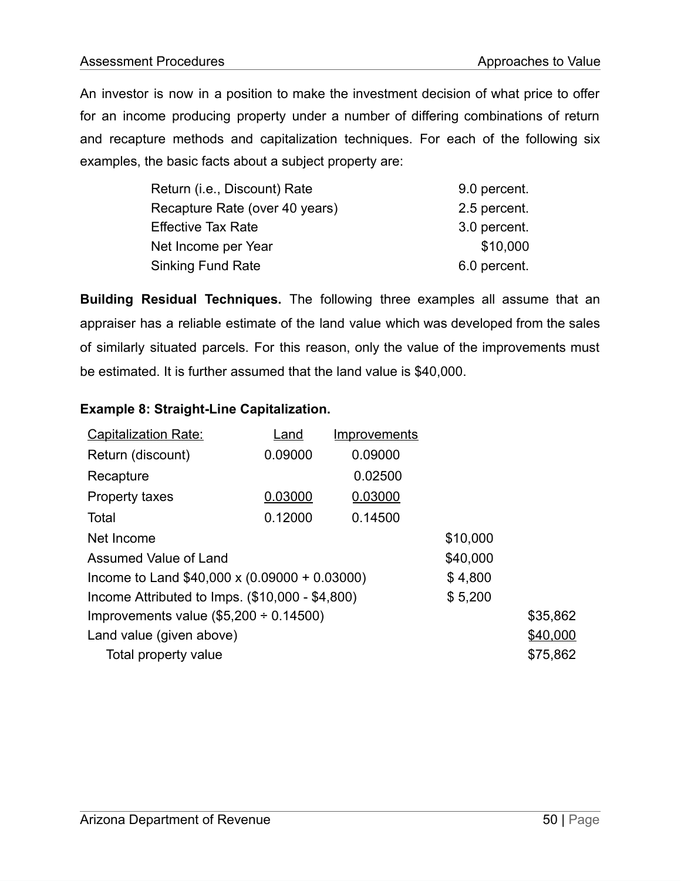An investor is now in a position to make the investment decision of what price to offer for an income producing property under a number of differing combinations of return and recapture methods and capitalization techniques. For each of the following six examples, the basic facts about a subject property are:

| Return (i.e., Discount) Rate   | 9.0 percent. |
|--------------------------------|--------------|
| Recapture Rate (over 40 years) | 2.5 percent. |
| <b>Effective Tax Rate</b>      | 3.0 percent. |
| Net Income per Year            | \$10,000     |
| <b>Sinking Fund Rate</b>       | 6.0 percent. |

**Building Residual Techniques.** The following three examples all assume that an appraiser has a reliable estimate of the land value which was developed from the sales of similarly situated parcels. For this reason, only the value of the improvements must be estimated. It is further assumed that the land value is \$40,000.

#### **Example 8: Straight-Line Capitalization.**

| <b>Capitalization Rate:</b>                         | Land    | <b>Improvements</b> |          |          |
|-----------------------------------------------------|---------|---------------------|----------|----------|
| Return (discount)                                   | 0.09000 | 0.09000             |          |          |
| Recapture                                           |         | 0.02500             |          |          |
| Property taxes                                      | 0.03000 | 0.03000             |          |          |
| Total                                               | 0.12000 | 0.14500             |          |          |
| Net Income                                          |         |                     | \$10,000 |          |
| Assumed Value of Land                               |         |                     | \$40,000 |          |
| Income to Land $$40,000 \times (0.09000 + 0.03000)$ |         | \$4,800             |          |          |
| Income Attributed to Imps. (\$10,000 - \$4,800)     |         |                     | \$5,200  |          |
| Improvements value $(\$5,200 \div 0.14500)$         |         |                     |          | \$35,862 |
| Land value (given above)                            |         |                     |          | \$40,000 |
| Total property value                                |         |                     |          | \$75,862 |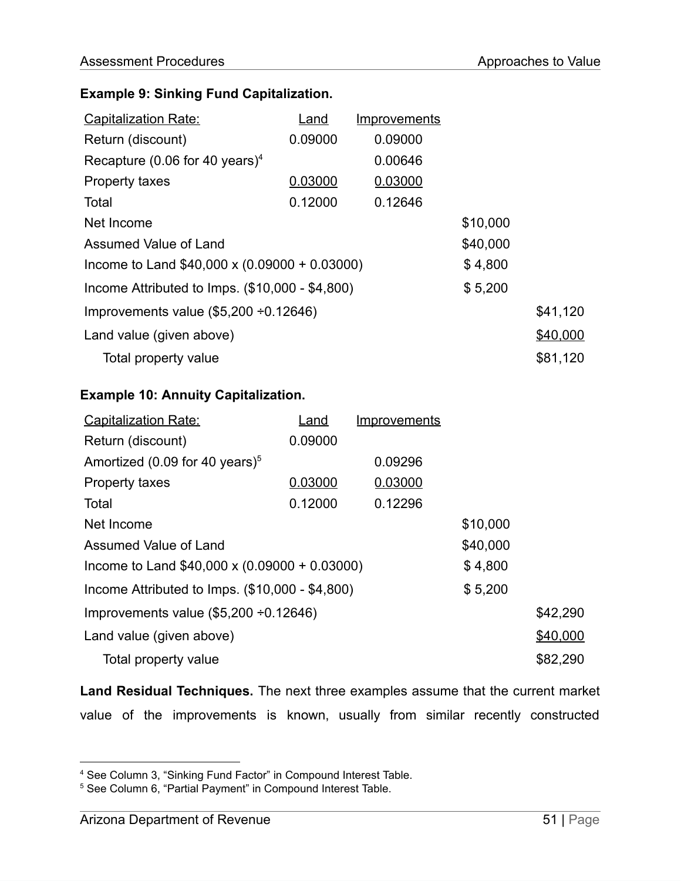## **Example 9: Sinking Fund Capitalization.**

| <b>Capitalization Rate:</b>                         | Land    | <u>Improvements</u> |          |          |
|-----------------------------------------------------|---------|---------------------|----------|----------|
| Return (discount)                                   | 0.09000 | 0.09000             |          |          |
| Recapture (0.06 for 40 years) <sup>4</sup>          |         | 0.00646             |          |          |
| <b>Property taxes</b>                               | 0.03000 | 0.03000             |          |          |
| Total                                               | 0.12000 | 0.12646             |          |          |
| Net Income                                          |         |                     | \$10,000 |          |
| Assumed Value of Land                               |         |                     | \$40,000 |          |
| Income to Land $$40,000 \times (0.09000 + 0.03000)$ |         | \$4,800             |          |          |
| Income Attributed to Imps. (\$10,000 - \$4,800)     |         |                     | \$5,200  |          |
| Improvements value $(\$5,200 \div 0.12646)$         |         |                     |          | \$41,120 |
| Land value (given above)                            |         |                     |          | \$40,000 |
| Total property value                                |         |                     |          | \$81,120 |

## **Example 10: Annuity Capitalization.**

| <b>Capitalization Rate:</b>                         | Land    | <b>Improvements</b> |          |          |
|-----------------------------------------------------|---------|---------------------|----------|----------|
| Return (discount)                                   | 0.09000 |                     |          |          |
| Amortized (0.09 for 40 years) $5$                   |         | 0.09296             |          |          |
| <b>Property taxes</b>                               | 0.03000 | 0.03000             |          |          |
| Total                                               | 0.12000 | 0.12296             |          |          |
| Net Income                                          |         |                     | \$10,000 |          |
| Assumed Value of Land                               |         |                     | \$40,000 |          |
| Income to Land $$40,000 \times (0.09000 + 0.03000)$ |         |                     | \$4,800  |          |
| Income Attributed to Imps. $(\$10,000 - \$4,800)$   |         |                     | \$5,200  |          |
| Improvements value $(\$5,200 \div 0.12646)$         |         |                     |          | \$42,290 |
| Land value (given above)                            |         |                     |          | \$40,000 |
| Total property value                                |         |                     |          | \$82,290 |

**Land Residual Techniques.** The next three examples assume that the current market value of the improvements is known, usually from similar recently constructed

<sup>4</sup> See Column 3, "Sinking Fund Factor" in Compound Interest Table.

<sup>5</sup> See Column 6, "Partial Payment" in Compound Interest Table.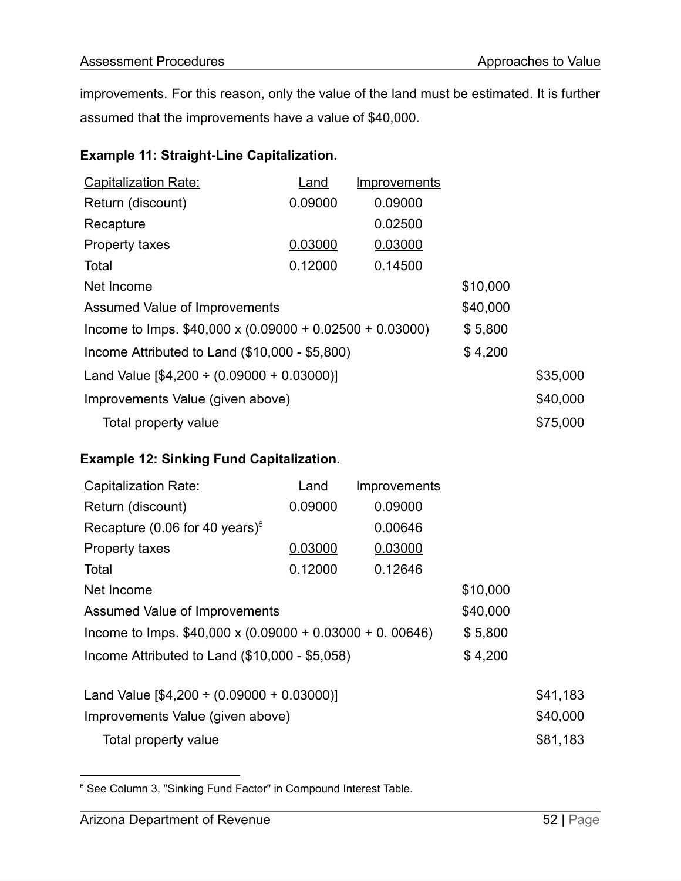improvements. For this reason, only the value of the land must be estimated. It is further assumed that the improvements have a value of \$40,000.

## **Example 11: Straight-Line Capitalization.**

| <b>Capitalization Rate:</b>                                    | Land    | <b>Improvements</b> |          |          |
|----------------------------------------------------------------|---------|---------------------|----------|----------|
| Return (discount)                                              | 0.09000 | 0.09000             |          |          |
| Recapture                                                      |         | 0.02500             |          |          |
| Property taxes                                                 | 0.03000 | 0.03000             |          |          |
| Total                                                          | 0.12000 | 0.14500             |          |          |
| Net Income                                                     |         |                     | \$10,000 |          |
| Assumed Value of Improvements                                  |         |                     | \$40,000 |          |
| Income to Imps. $$40,000 \times (0.09000 + 0.02500 + 0.03000)$ |         |                     | \$5,800  |          |
| Income Attributed to Land $(\$10,000 - \$5,800)$               |         |                     | \$4,200  |          |
| Land Value $[$4,200 \div (0.09000 + 0.03000)]$                 |         |                     | \$35,000 |          |
| Improvements Value (given above)                               |         | \$40,000            |          |          |
| Total property value                                           |         |                     |          | \$75,000 |

#### **Example 12: Sinking Fund Capitalization.**

| <b>Capitalization Rate:</b>                                    | Land    | <b>Improvements</b> |          |          |
|----------------------------------------------------------------|---------|---------------------|----------|----------|
| Return (discount)                                              | 0.09000 | 0.09000             |          |          |
| Recapture (0.06 for 40 years) $6$                              |         | 0.00646             |          |          |
| <b>Property taxes</b>                                          | 0.03000 | 0.03000             |          |          |
| Total                                                          | 0.12000 | 0.12646             |          |          |
| Net Income                                                     |         |                     | \$10,000 |          |
| Assumed Value of Improvements                                  |         |                     | \$40,000 |          |
| Income to Imps. $$40,000 \times (0.09000 + 0.03000 + 0.00646)$ |         |                     | \$5,800  |          |
| Income Attributed to Land (\$10,000 - \$5,058)                 |         | \$4,200             |          |          |
| Land Value $[$4,200 \div (0.09000 + 0.03000)]$                 |         |                     |          | \$41,183 |
| Improvements Value (given above)                               |         |                     |          | \$40,000 |
| Total property value                                           |         |                     |          | \$81,183 |

<sup>&</sup>lt;sup>6</sup> See Column 3, "Sinking Fund Factor" in Compound Interest Table.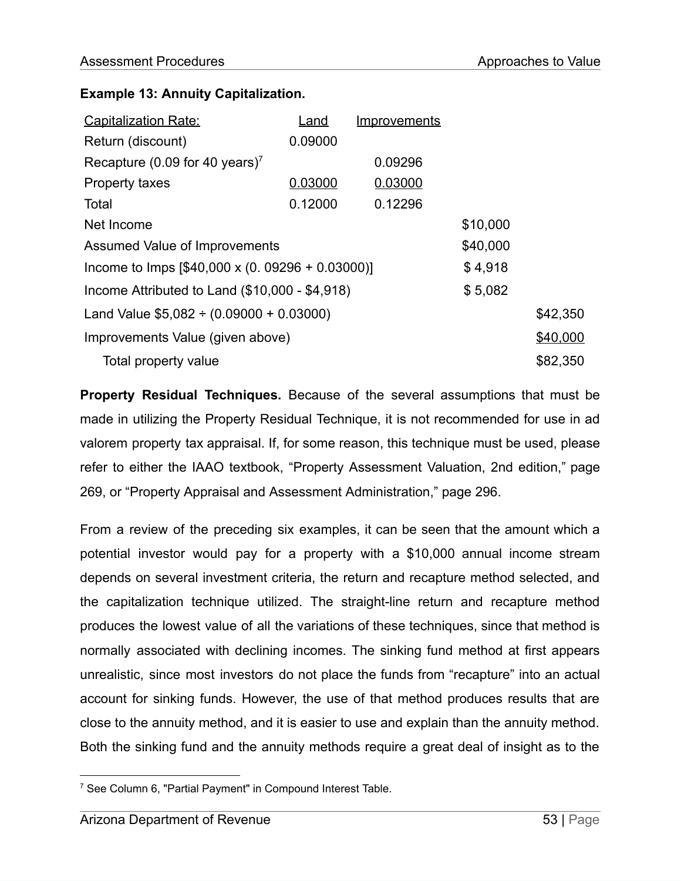#### **Example 13: Annuity Capitalization.**

| <b>Capitalization Rate:</b>                           | Land    | <u>Improvements</u> |          |          |
|-------------------------------------------------------|---------|---------------------|----------|----------|
| Return (discount)                                     | 0.09000 |                     |          |          |
| Recapture (0.09 for 40 years) <sup>7</sup>            |         | 0.09296             |          |          |
| <b>Property taxes</b>                                 | 0.03000 | 0.03000             |          |          |
| Total                                                 | 0.12000 | 0.12296             |          |          |
| Net Income                                            |         |                     | \$10,000 |          |
| Assumed Value of Improvements                         |         |                     | \$40,000 |          |
| Income to Imps $[$40,000 \times (0.09296 + 0.03000)]$ |         |                     | \$4,918  |          |
| Income Attributed to Land $(\$10,000 - \$4,918)$      |         |                     | \$5,082  |          |
| Land Value $$5,082 \div (0.09000 + 0.03000)$          |         | \$42,350            |          |          |
| Improvements Value (given above)                      |         | \$40,000            |          |          |
| Total property value                                  |         |                     |          | \$82,350 |

**Property Residual Techniques.** Because of the several assumptions that must be made in utilizing the Property Residual Technique, it is not recommended for use in ad valorem property tax appraisal. If, for some reason, this technique must be used, please refer to either the IAAO textbook, "Property Assessment Valuation, 2nd edition," page 269, or "Property Appraisal and Assessment Administration," page 296.

From a review of the preceding six examples, it can be seen that the amount which a potential investor would pay for a property with a \$10,000 annual income stream depends on several investment criteria, the return and recapture method selected, and the capitalization technique utilized. The straight-line return and recapture method produces the lowest value of all the variations of these techniques, since that method is normally associated with declining incomes. The sinking fund method at first appears unrealistic, since most investors do not place the funds from "recapture" into an actual account for sinking funds. However, the use of that method produces results that are close to the annuity method, and it is easier to use and explain than the annuity method. Both the sinking fund and the annuity methods require a great deal of insight as to the

<sup>7</sup> See Column 6, "Partial Payment" in Compound Interest Table.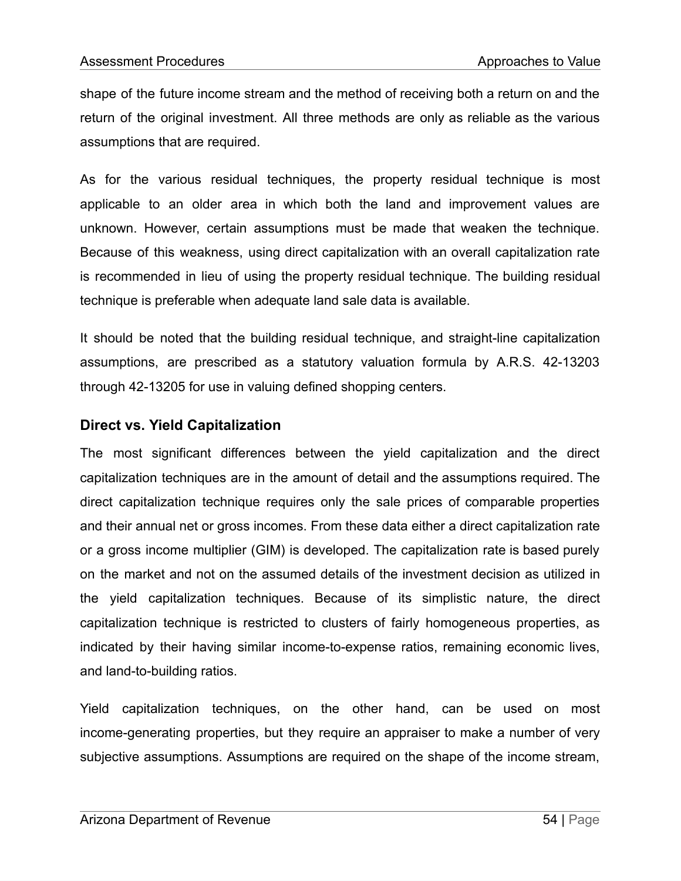shape of the future income stream and the method of receiving both a return on and the return of the original investment. All three methods are only as reliable as the various assumptions that are required.

As for the various residual techniques, the property residual technique is most applicable to an older area in which both the land and improvement values are unknown. However, certain assumptions must be made that weaken the technique. Because of this weakness, using direct capitalization with an overall capitalization rate is recommended in lieu of using the property residual technique. The building residual technique is preferable when adequate land sale data is available.

It should be noted that the building residual technique, and straight-line capitalization assumptions, are prescribed as a statutory valuation formula by A.R.S. 42-13203 through 42-13205 for use in valuing defined shopping centers.

#### **Direct vs. Yield Capitalization**

The most significant differences between the yield capitalization and the direct capitalization techniques are in the amount of detail and the assumptions required. The direct capitalization technique requires only the sale prices of comparable properties and their annual net or gross incomes. From these data either a direct capitalization rate or a gross income multiplier (GIM) is developed. The capitalization rate is based purely on the market and not on the assumed details of the investment decision as utilized in the yield capitalization techniques. Because of its simplistic nature, the direct capitalization technique is restricted to clusters of fairly homogeneous properties, as indicated by their having similar income-to-expense ratios, remaining economic lives, and land-to-building ratios.

Yield capitalization techniques, on the other hand, can be used on most income-generating properties, but they require an appraiser to make a number of very subjective assumptions. Assumptions are required on the shape of the income stream,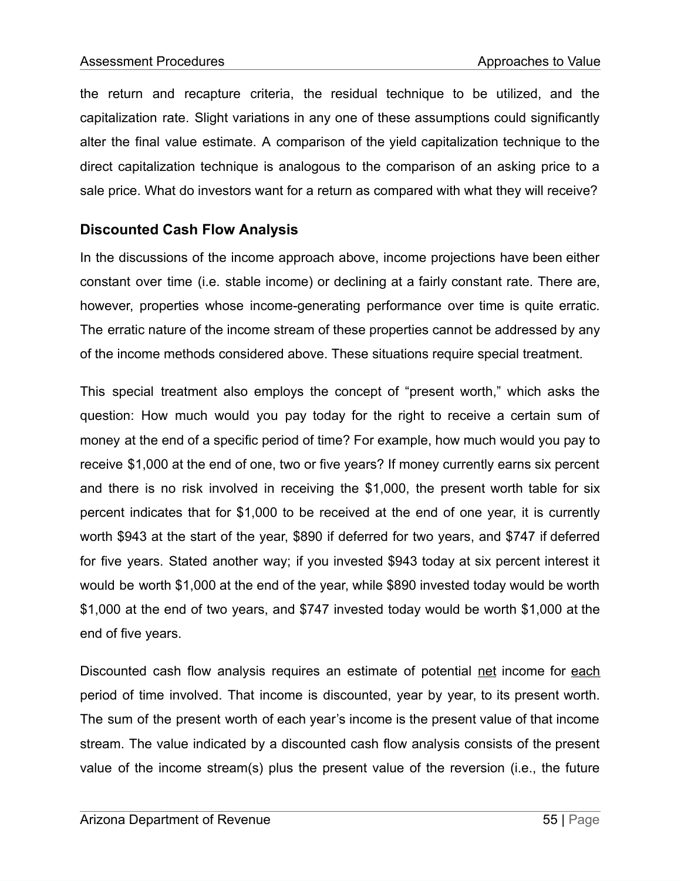the return and recapture criteria, the residual technique to be utilized, and the capitalization rate. Slight variations in any one of these assumptions could significantly alter the final value estimate. A comparison of the yield capitalization technique to the direct capitalization technique is analogous to the comparison of an asking price to a sale price. What do investors want for a return as compared with what they will receive?

## **Discounted Cash Flow Analysis**

In the discussions of the income approach above, income projections have been either constant over time (i.e. stable income) or declining at a fairly constant rate. There are, however, properties whose income-generating performance over time is quite erratic. The erratic nature of the income stream of these properties cannot be addressed by any of the income methods considered above. These situations require special treatment.

This special treatment also employs the concept of "present worth," which asks the question: How much would you pay today for the right to receive a certain sum of money at the end of a specific period of time? For example, how much would you pay to receive \$1,000 at the end of one, two or five years? If money currently earns six percent and there is no risk involved in receiving the \$1,000, the present worth table for six percent indicates that for \$1,000 to be received at the end of one year, it is currently worth \$943 at the start of the year, \$890 if deferred for two years, and \$747 if deferred for five years. Stated another way; if you invested \$943 today at six percent interest it would be worth \$1,000 at the end of the year, while \$890 invested today would be worth \$1,000 at the end of two years, and \$747 invested today would be worth \$1,000 at the end of five years.

Discounted cash flow analysis requires an estimate of potential net income for each period of time involved. That income is discounted, year by year, to its present worth. The sum of the present worth of each year's income is the present value of that income stream. The value indicated by a discounted cash flow analysis consists of the present value of the income stream(s) plus the present value of the reversion (i.e., the future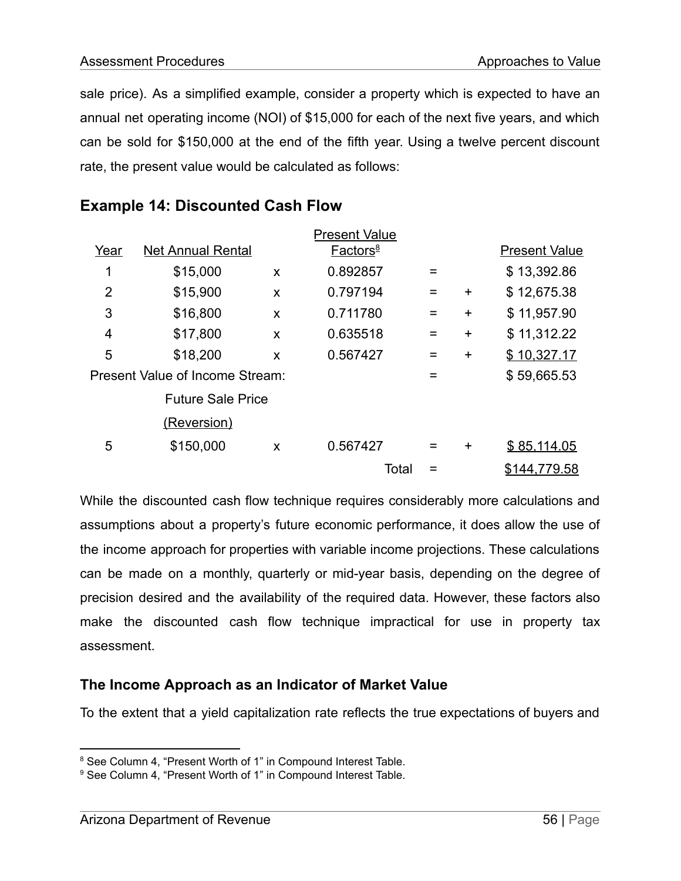sale price). As a simplified example, consider a property which is expected to have an annual net operating income (NOI) of \$15,000 for each of the next five years, and which can be sold for \$150,000 at the end of the fifth year. Using a twelve percent discount rate, the present value would be calculated as follows:

|      |                                 |   | <b>Present Value</b> |   |           |                      |
|------|---------------------------------|---|----------------------|---|-----------|----------------------|
| Year | <b>Net Annual Rental</b>        |   | Factors <sup>8</sup> |   |           | <b>Present Value</b> |
| 1    | \$15,000                        | X | 0.892857             |   |           | \$13,392.86          |
| 2    | \$15,900                        | X | 0.797194             |   | $\ddot{}$ | \$12,675.38          |
| 3    | \$16,800                        | X | 0.711780             | = | $\ddot{}$ | \$11,957.90          |
| 4    | \$17,800                        | X | 0.635518             | = | $\ddot{}$ | \$11,312.22          |
| 5    | \$18,200                        | X | 0.567427             | = | $\ddot{}$ | \$10,327.17          |
|      | Present Value of Income Stream: |   |                      |   |           | \$59,665.53          |
|      | <b>Future Sale Price</b>        |   |                      |   |           |                      |
|      | <u>(Reversion)</u>              |   |                      |   |           |                      |
| 5    | \$150,000                       | X | 0.567427             |   | $\div$    | \$85,114.05          |
|      |                                 |   | Total                |   |           | \$144,779.58         |

# **Example 14: Discounted Cash Flow**

While the discounted cash flow technique requires considerably more calculations and assumptions about a property's future economic performance, it does allow the use of the income approach for properties with variable income projections. These calculations can be made on a monthly, quarterly or mid-year basis, depending on the degree of precision desired and the availability of the required data. However, these factors also make the discounted cash flow technique impractical for use in property tax assessment.

## **The Income Approach as an Indicator of Market Value**

To the extent that a yield capitalization rate reflects the true expectations of buyers and

<sup>&</sup>lt;sup>8</sup> See Column 4, "Present Worth of 1" in Compound Interest Table.

<sup>&</sup>lt;sup>9</sup> See Column 4, "Present Worth of 1" in Compound Interest Table.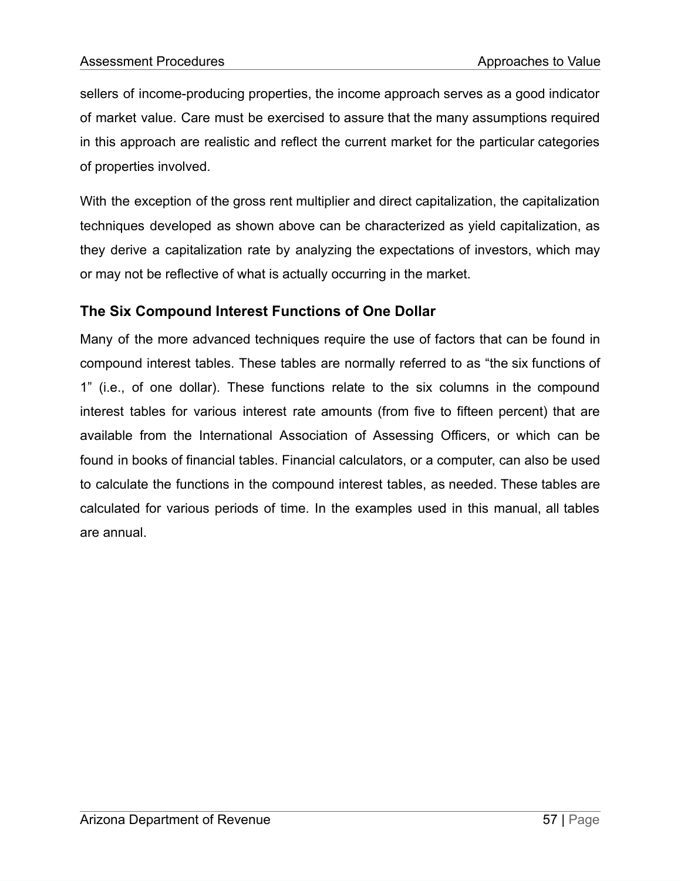sellers of income-producing properties, the income approach serves as a good indicator of market value. Care must be exercised to assure that the many assumptions required in this approach are realistic and reflect the current market for the particular categories of properties involved.

With the exception of the gross rent multiplier and direct capitalization, the capitalization techniques developed as shown above can be characterized as yield capitalization, as they derive a capitalization rate by analyzing the expectations of investors, which may or may not be reflective of what is actually occurring in the market.

## **The Six Compound Interest Functions of One Dollar**

Many of the more advanced techniques require the use of factors that can be found in compound interest tables. These tables are normally referred to as "the six functions of 1" (i.e., of one dollar). These functions relate to the six columns in the compound interest tables for various interest rate amounts (from five to fifteen percent) that are available from the International Association of Assessing Officers, or which can be found in books of financial tables. Financial calculators, or a computer, can also be used to calculate the functions in the compound interest tables, as needed. These tables are calculated for various periods of time. In the examples used in this manual, all tables are annual.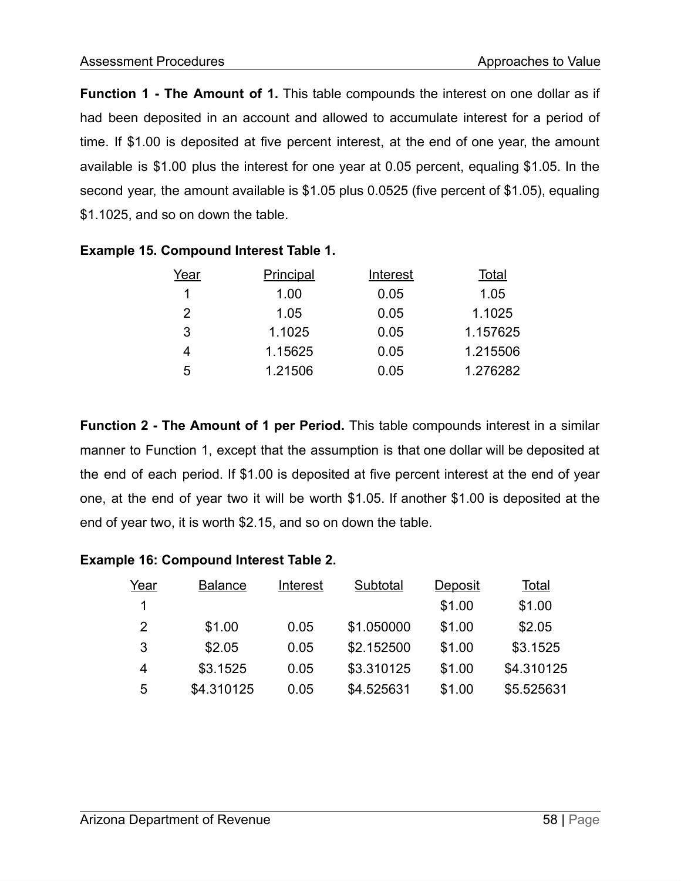**Function 1 - The Amount of 1.** This table compounds the interest on one dollar as if had been deposited in an account and allowed to accumulate interest for a period of time. If \$1.00 is deposited at five percent interest, at the end of one year, the amount available is \$1.00 plus the interest for one year at 0.05 percent, equaling \$1.05. In the second year, the amount available is \$1.05 plus 0.0525 (five percent of \$1.05), equaling \$1.1025, and so on down the table.

| Year          | Principal | Interest | Total    |
|---------------|-----------|----------|----------|
|               |           |          |          |
| 1             | 1.00      | 0.05     | 1.05     |
| $\mathcal{P}$ | 1.05      | 0.05     | 1.1025   |
| 3             | 1.1025    | 0.05     | 1.157625 |
| 4             | 1.15625   | 0.05     | 1.215506 |
| 5             | 1.21506   | 0.05     | 1.276282 |

#### **Example 15. Compound Interest Table 1.**

**Function 2 - The Amount of 1 per Period.** This table compounds interest in a similar manner to Function 1, except that the assumption is that one dollar will be deposited at the end of each period. If \$1.00 is deposited at five percent interest at the end of year one, at the end of year two it will be worth \$1.05. If another \$1.00 is deposited at the end of year two, it is worth \$2.15, and so on down the table.

|  | <b>Example 16: Compound Interest Table 2.</b> |  |  |
|--|-----------------------------------------------|--|--|
|--|-----------------------------------------------|--|--|

| Year | <b>Balance</b> | Interest | Subtotal   | Deposit | Total      |
|------|----------------|----------|------------|---------|------------|
| 1    |                |          |            | \$1.00  | \$1.00     |
| 2    | \$1.00         | 0.05     | \$1.050000 | \$1.00  | \$2.05     |
| 3    | \$2.05         | 0.05     | \$2.152500 | \$1.00  | \$3.1525   |
| 4    | \$3.1525       | 0.05     | \$3.310125 | \$1.00  | \$4.310125 |
| 5    | \$4.310125     | 0.05     | \$4.525631 | \$1.00  | \$5.525631 |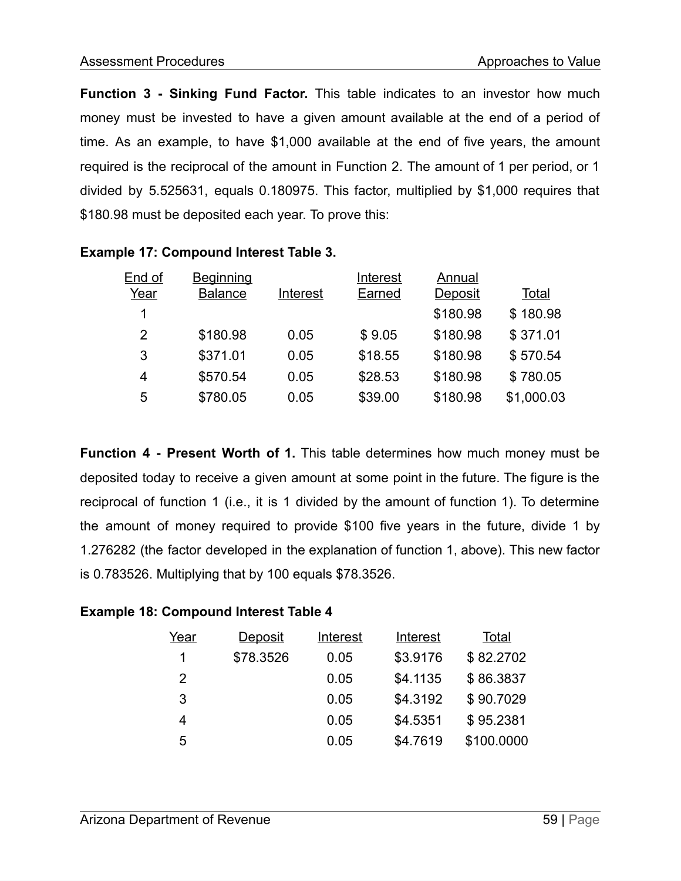**Function 3 - Sinking Fund Factor.** This table indicates to an investor how much money must be invested to have a given amount available at the end of a period of time. As an example, to have \$1,000 available at the end of five years, the amount required is the reciprocal of the amount in Function 2. The amount of 1 per period, or 1 divided by 5.525631, equals 0.180975. This factor, multiplied by \$1,000 requires that \$180.98 must be deposited each year. To prove this:

| End of | <b>Beginning</b> |          | Interest | Annual         |            |
|--------|------------------|----------|----------|----------------|------------|
| Year   | <b>Balance</b>   | Interest | Earned   | <b>Deposit</b> | Total      |
| 1      |                  |          |          | \$180.98       | \$180.98   |
| 2      | \$180.98         | 0.05     | \$9.05   | \$180.98       | \$371.01   |
| 3      | \$371.01         | 0.05     | \$18.55  | \$180.98       | \$570.54   |
| 4      | \$570.54         | 0.05     | \$28.53  | \$180.98       | \$780.05   |
| 5      | \$780.05         | 0.05     | \$39.00  | \$180.98       | \$1,000.03 |

#### **Example 17: Compound Interest Table 3.**

**Function 4 - Present Worth of 1.** This table determines how much money must be deposited today to receive a given amount at some point in the future. The figure is the reciprocal of function 1 (i.e., it is 1 divided by the amount of function 1). To determine the amount of money required to provide \$100 five years in the future, divide 1 by 1.276282 (the factor developed in the explanation of function 1, above). This new factor is 0.783526. Multiplying that by 100 equals \$78.3526.

| Year | <b>Deposit</b> | Interest | Interest | Total      |
|------|----------------|----------|----------|------------|
| 1    | \$78.3526      | 0.05     | \$3.9176 | \$82.2702  |
| 2    |                | 0.05     | \$4.1135 | \$86.3837  |
| 3    |                | 0.05     | \$4.3192 | \$90.7029  |
| 4    |                | 0.05     | \$4.5351 | \$95.2381  |
| 5    |                | 0.05     | \$4.7619 | \$100.0000 |

#### **Example 18: Compound Interest Table 4**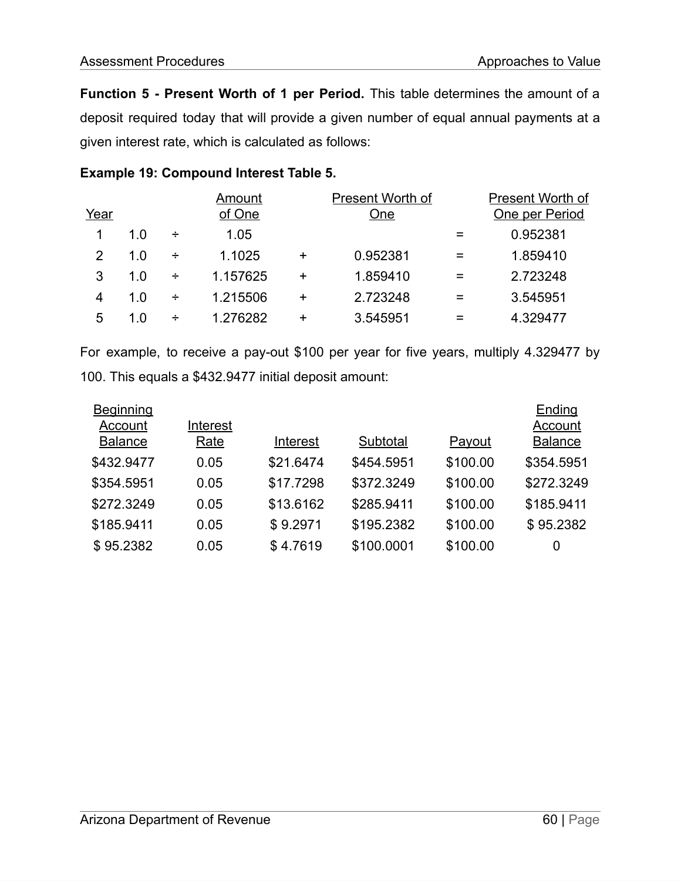**Function 5 - Present Worth of 1 per Period.** This table determines the amount of a deposit required today that will provide a given number of equal annual payments at a given interest rate, which is calculated as follows:

#### **Example 19: Compound Interest Table 5.**

|      |     |   | Amount   |           | Present Worth of |   | Present Worth of |
|------|-----|---|----------|-----------|------------------|---|------------------|
| Year |     |   | of One   |           | One              |   | One per Period   |
|      | 1.0 | ÷ | 1.05     |           |                  |   | 0.952381         |
| 2    | 1.0 | ÷ | 1.1025   | $\ddot{}$ | 0.952381         | = | 1.859410         |
| 3    | 1.0 | ÷ | 1.157625 | +         | 1.859410         | = | 2.723248         |
| 4    | 1.0 | ÷ | 1.215506 | +         | 2.723248         |   | 3.545951         |
| 5    | 1.0 | ÷ | 1.276282 | +         | 3.545951         | = | 4.329477         |

For example, to receive a pay-out \$100 per year for five years, multiply 4.329477 by 100. This equals a \$432.9477 initial deposit amount:

| <b>Beginning</b> |          |           |            |          | Ending         |
|------------------|----------|-----------|------------|----------|----------------|
| Account          | Interest |           |            |          | Account        |
| <b>Balance</b>   | Rate     | Interest  | Subtotal   | Payout   | <b>Balance</b> |
| \$432.9477       | 0.05     | \$21.6474 | \$454.5951 | \$100.00 | \$354.5951     |
| \$354.5951       | 0.05     | \$17.7298 | \$372.3249 | \$100.00 | \$272.3249     |
| \$272.3249       | 0.05     | \$13.6162 | \$285.9411 | \$100.00 | \$185.9411     |
| \$185.9411       | 0.05     | \$9.2971  | \$195.2382 | \$100.00 | \$95.2382      |
| \$95.2382        | 0.05     | \$4.7619  | \$100.0001 | \$100.00 | 0              |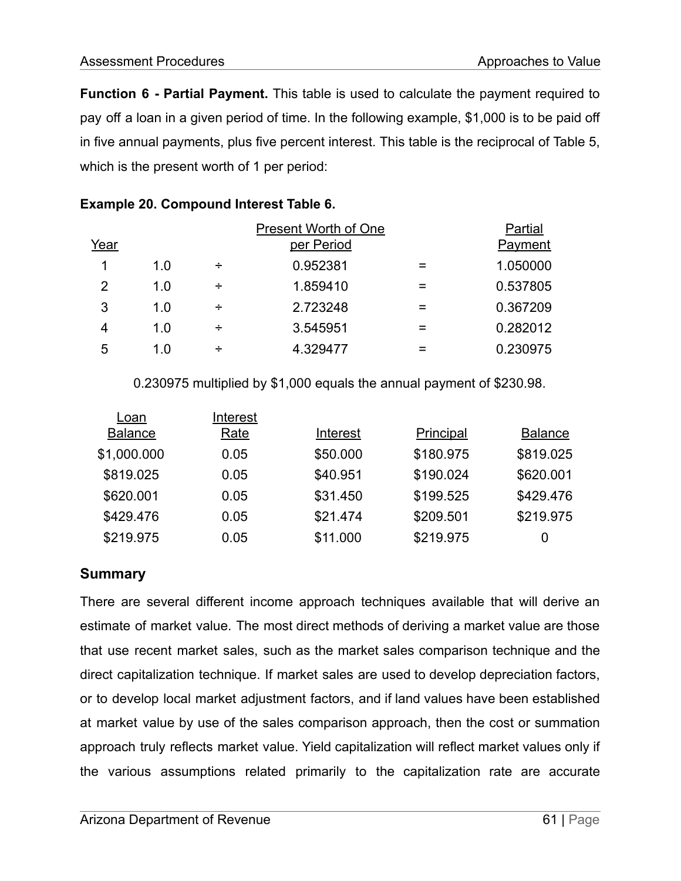**Function 6 - Partial Payment.** This table is used to calculate the payment required to pay off a loan in a given period of time. In the following example, \$1,000 is to be paid off in five annual payments, plus five percent interest. This table is the reciprocal of Table 5, which is the present worth of 1 per period:

|  | <b>Example 20. Compound Interest Table 6.</b> |  |  |  |  |
|--|-----------------------------------------------|--|--|--|--|
|--|-----------------------------------------------|--|--|--|--|

|      | <b>Present Worth of One</b> |   |            |  | Partial  |  |
|------|-----------------------------|---|------------|--|----------|--|
| Year |                             |   | per Period |  | Payment  |  |
|      | 1.0                         | ÷ | 0.952381   |  | 1.050000 |  |
| 2    | 1.0                         | ÷ | 1.859410   |  | 0.537805 |  |
| 3    | 1.0                         | ÷ | 2.723248   |  | 0.367209 |  |
| 4    | 1.0                         | ÷ | 3.545951   |  | 0.282012 |  |
| 5    | 1.0                         | ÷ | 4.329477   |  | 0.230975 |  |

0.230975 multiplied by \$1,000 equals the annual payment of \$230.98.

| Loan           | Interest    |          |                  |                |
|----------------|-------------|----------|------------------|----------------|
| <b>Balance</b> | <b>Rate</b> | Interest | <b>Principal</b> | <b>Balance</b> |
| \$1,000.000    | 0.05        | \$50.000 | \$180.975        | \$819.025      |
| \$819.025      | 0.05        | \$40.951 | \$190.024        | \$620.001      |
| \$620.001      | 0.05        | \$31.450 | \$199.525        | \$429.476      |
| \$429.476      | 0.05        | \$21.474 | \$209.501        | \$219.975      |
| \$219.975      | 0.05        | \$11.000 | \$219.975        | 0              |

#### **Summary**

There are several different income approach techniques available that will derive an estimate of market value. The most direct methods of deriving a market value are those that use recent market sales, such as the market sales comparison technique and the direct capitalization technique. If market sales are used to develop depreciation factors, or to develop local market adjustment factors, and if land values have been established at market value by use of the sales comparison approach, then the cost or summation approach truly reflects market value. Yield capitalization will reflect market values only if the various assumptions related primarily to the capitalization rate are accurate